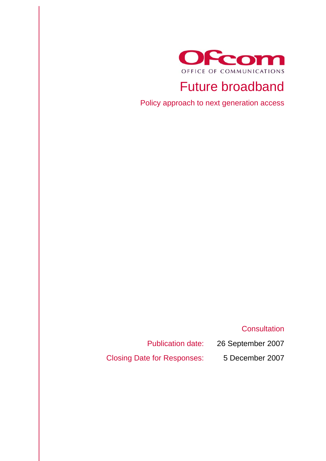

# Future broadband

Policy approach to next generation access

# **Consultation**

Publication date: 26 September 2007 Closing Date for Responses: 5 December 2007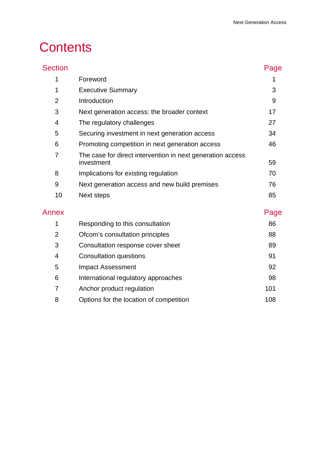# **Contents**

| <b>Section</b> |                                                                          | Page |
|----------------|--------------------------------------------------------------------------|------|
| 1              | Foreword                                                                 | 1    |
| 1              | <b>Executive Summary</b>                                                 | 3    |
| $\overline{2}$ | Introduction                                                             | 9    |
| 3              | Next generation access: the broader context                              | 17   |
| 4              | The regulatory challenges                                                | 27   |
| 5              | Securing investment in next generation access                            | 34   |
| 6              | Promoting competition in next generation access                          | 46   |
| $\overline{7}$ | The case for direct intervention in next generation access<br>investment | 59   |
| 8              | Implications for existing regulation                                     | 70   |
| 9              | Next generation access and new build premises                            | 76   |
| 10             | Next steps                                                               | 85   |
| Annex          |                                                                          | Page |
| 1              | Responding to this consultation                                          | 86   |
| $\overline{2}$ | Ofcom's consultation principles                                          | 88   |
| 3              | Consultation response cover sheet                                        | 89   |
| 4              | <b>Consultation questions</b>                                            | 91   |
| 5              | <b>Impact Assessment</b>                                                 | 92   |
| 6              | International regulatory approaches                                      | 98   |

7 Anchor product regulation 101 8 Options for the location of competition 108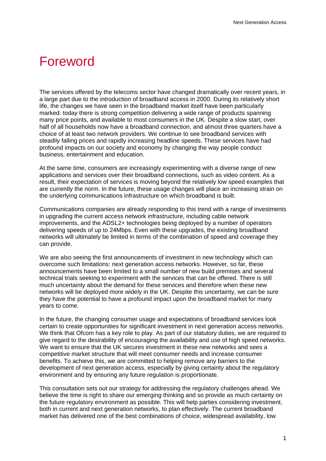# **Foreword**

The services offered by the telecoms sector have changed dramatically over recent years, in a large part due to the introduction of broadband access in 2000. During its relatively short life, the changes we have seen in the broadband market itself have been particularly marked: today there is strong competition delivering a wide range of products spanning many price points, and available to most consumers in the UK. Despite a slow start, over half of all households now have a broadband connection, and almost three quarters have a choice of at least two network providers. We continue to see broadband services with steadily falling prices and rapidly increasing headline speeds. These services have had profound impacts on our society and economy by changing the way people conduct business, entertainment and education.

At the same time, consumers are increasingly experimenting with a diverse range of new applications and services over their broadband connections, such as video content. As a result, their expectation of services is moving beyond the relatively low speed examples that are currently the norm. In the future, these usage changes will place an increasing strain on the underlying communications infrastructure on which broadband is built.

Communications companies are already responding to this trend with a range of investments in upgrading the current access network infrastructure, including cable network improvements, and the ADSL2+ technologies being deployed by a number of operators delivering speeds of up to 24Mbps. Even with these upgrades, the existing broadband networks will ultimately be limited in terms of the combination of speed and coverage they can provide.

We are also seeing the first announcements of investment in new technology which can overcome such limitations: next generation access networks. However, so far, these announcements have been limited to a small number of new build premises and several technical trials seeking to experiment with the services that can be offered. There is still much uncertainty about the demand for these services and therefore when these new networks will be deployed more widely in the UK. Despite this uncertainty, we can be sure they have the potential to have a profound impact upon the broadband market for many years to come.

In the future, the changing consumer usage and expectations of broadband services look certain to create opportunities for significant investment in next generation access networks. We think that Ofcom has a key role to play. As part of our statutory duties, we are required to give regard to the desirability of encouraging the availability and use of high speed networks. We want to ensure that the UK secures investment in these new networks and sees a competitive market structure that will meet consumer needs and increase consumer benefits. To achieve this, we are committed to helping remove any barriers to the development of next generation access, especially by giving certainty about the regulatory environment and by ensuring any future regulation is proportionate.

This consultation sets out our strategy for addressing the regulatory challenges ahead. We believe the time is right to share our emerging thinking and so provide as much certainty on the future regulatory environment as possible. This will help parties considering investment, both in current and next generation networks, to plan effectively. The current broadband market has delivered one of the best combinations of choice, widespread availability, low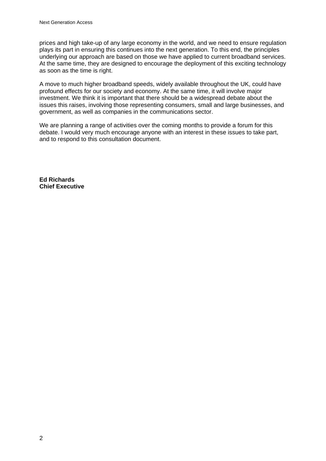prices and high take-up of any large economy in the world, and we need to ensure regulation plays its part in ensuring this continues into the next generation. To this end, the principles underlying our approach are based on those we have applied to current broadband services. At the same time, they are designed to encourage the deployment of this exciting technology as soon as the time is right.

A move to much higher broadband speeds, widely available throughout the UK, could have profound effects for our society and economy. At the same time, it will involve major investment. We think it is important that there should be a widespread debate about the issues this raises, involving those representing consumers, small and large businesses, and government, as well as companies in the communications sector.

We are planning a range of activities over the coming months to provide a forum for this debate. I would very much encourage anyone with an interest in these issues to take part, and to respond to this consultation document.

**Ed Richards Chief Executive**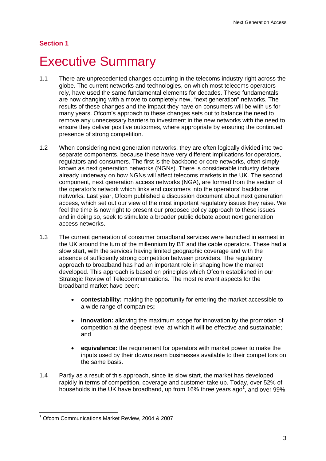## **Section 1**

# **Executive Summary**

- 1.1 There are unprecedented changes occurring in the telecoms industry right across the globe. The current networks and technologies, on which most telecoms operators rely, have used the same fundamental elements for decades. These fundamentals are now changing with a move to completely new, "next generation" networks. The results of these changes and the impact they have on consumers will be with us for many years. Ofcom's approach to these changes sets out to balance the need to remove any unnecessary barriers to investment in the new networks with the need to ensure they deliver positive outcomes, where appropriate by ensuring the continued presence of strong competition.
- 1.2 When considering next generation networks, they are often logically divided into two separate components, because these have very different implications for operators, regulators and consumers. The first is the backbone or core networks, often simply known as next generation networks (NGNs). There is considerable industry debate already underway on how NGNs will affect telecoms markets in the UK. The second component, next generation access networks (NGA), are formed from the section of the operator's network which links end customers into the operators' backbone networks. Last year, Ofcom published a discussion document about next generation access, which set out our view of the most important regulatory issues they raise. We feel the time is now right to present our proposed policy approach to these issues and in doing so, seek to stimulate a broader public debate about next generation access networks.
- 1.3 The current generation of consumer broadband services were launched in earnest in the UK around the turn of the millennium by BT and the cable operators. These had a slow start, with the services having limited geographic coverage and with the absence of sufficiently strong competition between providers. The regulatory approach to broadband has had an important role in shaping how the market developed. This approach is based on principles which Ofcom established in our Strategic Review of Telecommunications. The most relevant aspects for the broadband market have been:
	- **contestability:** making the opportunity for entering the market accessible to a wide range of companies**;**
	- **innovation:** allowing the maximum scope for innovation by the promotion of competition at the deepest level at which it will be effective and sustainable; and
	- **equivalence:** the requirement for operators with market power to make the inputs used by their downstream businesses available to their competitors on the same basis.
- 1.4 Partly as a result of this approach, since its slow start, the market has developed rapidly in terms of competition, coverage and customer take up. Today, over 52% of households in the UK have broadband, up from 16% three years ago<sup>1</sup>, and over 99%

 $\overline{a}$ 1 Ofcom Communications Market Review, 2004 & 2007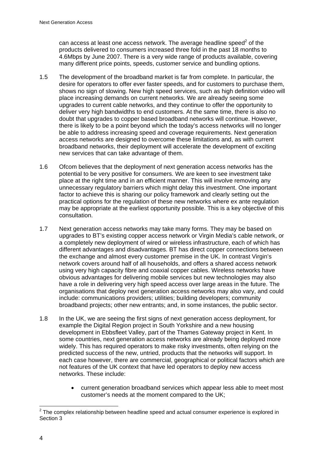can access at least one access network. The average headline speed $^2$  of the products delivered to consumers increased three fold in the past 18 months to 4.6Mbps by June 2007. There is a very wide range of products available, covering many different price points, speeds, customer service and bundling options.

- 1.5 The development of the broadband market is far from complete. In particular, the desire for operators to offer ever faster speeds, and for customers to purchase them, shows no sign of slowing. New high speed services, such as high definition video will place increasing demands on current networks. We are already seeing some upgrades to current cable networks, and they continue to offer the opportunity to deliver very high bandwidths to end customers. At the same time, there is also no doubt that upgrades to copper based broadband networks will continue. However, there is likely to be a point beyond which the today's access networks will no longer be able to address increasing speed and coverage requirements. Next generation access networks are designed to overcome these limitations and, as with current broadband networks, their deployment will accelerate the development of exciting new services that can take advantage of them.
- 1.6 Ofcom believes that the deployment of next generation access networks has the potential to be very positive for consumers. We are keen to see investment take place at the right time and in an efficient manner. This will involve removing any unnecessary regulatory barriers which might delay this investment. One important factor to achieve this is sharing our policy framework and clearly setting out the practical options for the regulation of these new networks where ex ante regulation may be appropriate at the earliest opportunity possible. This is a key objective of this consultation.
- 1.7 Next generation access networks may take many forms. They may be based on upgrades to BT's existing copper access network or Virgin Media's cable network, or a completely new deployment of wired or wireless infrastructure, each of which has different advantages and disadvantages. BT has direct copper connections between the exchange and almost every customer premise in the UK. In contrast Virgin's network covers around half of all households, and offers a shared access network using very high capacity fibre and coaxial copper cables. Wireless networks have obvious advantages for delivering mobile services but new technologies may also have a role in delivering very high speed access over large areas in the future. The organisations that deploy next generation access networks may also vary, and could include: communications providers; utilities; building developers; community broadband projects; other new entrants; and, in some instances, the public sector.
- 1.8 In the UK, we are seeing the first signs of next generation access deployment, for example the Digital Region project in South Yorkshire and a new housing development in Ebbsfleet Valley, part of the Thames Gateway project in Kent. In some countries, next generation access networks are already being deployed more widely. This has required operators to make risky investments, often relying on the predicted success of the new, untried, products that the networks will support. In each case however, there are commercial, geographical or political factors which are not features of the UK context that have led operators to deploy new access networks. These include:
	- current generation broadband services which appear less able to meet most customer's needs at the moment compared to the UK;

 2 The complex relationship between headline speed and actual consumer experience is explored in Section 3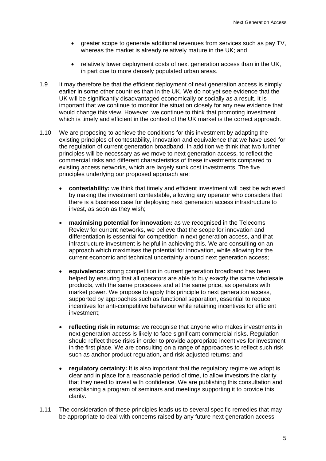- greater scope to generate additional revenues from services such as pay TV, whereas the market is already relatively mature in the UK; and
- relatively lower deployment costs of next generation access than in the UK, in part due to more densely populated urban areas.
- 1.9 It may therefore be that the efficient deployment of next generation access is simply earlier in some other countries than in the UK. We do not yet see evidence that the UK will be significantly disadvantaged economically or socially as a result. It is important that we continue to monitor the situation closely for any new evidence that would change this view. However, we continue to think that promoting investment which is timely and efficient in the context of the UK market is the correct approach.
- 1.10 We are proposing to achieve the conditions for this investment by adapting the existing principles of contestability, innovation and equivalence that we have used for the regulation of current generation broadband. In addition we think that two further principles will be necessary as we move to next generation access, to reflect the commercial risks and different characteristics of these investments compared to existing access networks, which are largely sunk cost investments. The five principles underlying our proposed approach are:
	- **contestability:** we think that timely and efficient investment will best be achieved by making the investment contestable, allowing any operator who considers that there is a business case for deploying next generation access infrastructure to invest, as soon as they wish;
	- **maximising potential for innovation:** as we recognised in the Telecoms Review for current networks, we believe that the scope for innovation and differentiation is essential for competition in next generation access, and that infrastructure investment is helpful in achieving this. We are consulting on an approach which maximises the potential for innovation, while allowing for the current economic and technical uncertainty around next generation access;
	- **equivalence:** strong competition in current generation broadband has been helped by ensuring that all operators are able to buy exactly the same wholesale products, with the same processes and at the same price, as operators with market power. We propose to apply this principle to next generation access, supported by approaches such as functional separation, essential to reduce incentives for anti-competitive behaviour while retaining incentives for efficient investment;
	- **reflecting risk in returns:** we recognise that anyone who makes investments in next generation access is likely to face significant commercial risks. Regulation should reflect these risks in order to provide appropriate incentives for investment in the first place. We are consulting on a range of approaches to reflect such risk such as anchor product regulation, and risk-adjusted returns; and
	- **regulatory certainty:** It is also important that the regulatory regime we adopt is clear and in place for a reasonable period of time, to allow investors the clarity that they need to invest with confidence. We are publishing this consultation and establishing a program of seminars and meetings supporting it to provide this clarity.
- 1.11 The consideration of these principles leads us to several specific remedies that may be appropriate to deal with concerns raised by any future next generation access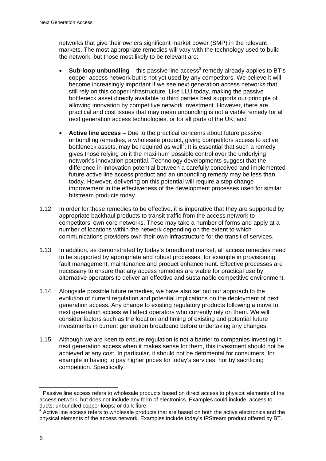networks that give their owners significant market power (SMP) in the relevant markets. The most appropriate remedies will vary with the technology used to build the network, but those most likely to be relevant are:

- $\bullet$  **Sub-loop unbundling** this passive line access<sup>3</sup> remedy already applies to BT's copper access network but is not yet used by any competitors. We believe it will become increasingly important if we see next generation access networks that still rely on this copper infrastructure. Like LLU today, making the passive bottleneck asset directly available to third parties best supports our principle of allowing innovation by competitive network investment. However, there are practical and cost issues that may mean unbundling is not a viable remedy for all next generation access technologies, or for all parts of the UK; and
- **Active line access** Due to the practical concerns about future passive unbundling remedies, a wholesale product, giving competitors access to active bottleneck assets, may be required as well $4$ . It is essential that such a remedy gives those relying on it the maximum possible control over the underlying network's innovation potential. Technology developments suggest that the difference in innovation potential between a carefully conceived and implemented future active line access product and an unbundling remedy may be less than today. However, delivering on this potential will require a step change improvement in the effectiveness of the development processes used for similar bitstream products today.
- 1.12 In order for these remedies to be effective, it is imperative that they are supported by appropriate backhaul products to transit traffic from the access network to competitors' own core networks. These may take a number of forms and apply at a number of locations within the network depending on the extent to which communications providers own their own infrastructure for the transit of services.
- 1.13 In addition, as demonstrated by today's broadband market, all access remedies need to be supported by appropriate and robust processes, for example in provisioning, fault management, maintenance and product enhancement. Effective processes are necessary to ensure that any access remedies are viable for practical use by alternative operators to deliver an effective and sustainable competitive environment.
- 1.14 Alongside possible future remedies, we have also set out our approach to the evolution of current regulation and potential implications on the deployment of next generation access. Any change to existing regulatory products following a move to next generation access will affect operators who currently rely on them. We will consider factors such as the location and timing of existing and potential future investments in current generation broadband before undertaking any changes.
- 1.15 Although we are keen to ensure regulation is not a barrier to companies investing in next generation access when it makes sense for them, this investment should not be achieved at any cost. In particular, it should not be detrimental for consumers, for example in having to pay higher prices for today's services, nor by sacrificing competition. Specifically:

 3 Passive line access refers to wholesale products based on direct access to physical elements of the access network, but does not include any form of electronics. Examples could include: access to ducts; unbundled copper loops; or dark fibre.

<sup>&</sup>lt;sup>4</sup> Active line access refers to wholesale products that are based on both the active electronics and the physical elements of the access network. Examples include today's IPStream product offered by BT.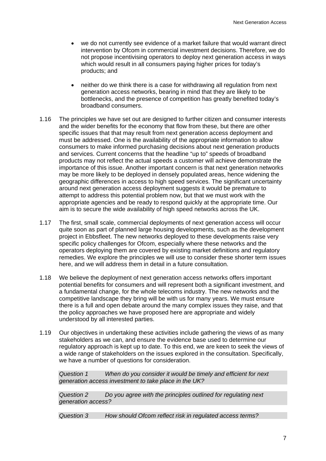- we do not currently see evidence of a market failure that would warrant direct intervention by Ofcom in commercial investment decisions. Therefore, we do not propose incentivising operators to deploy next generation access in ways which would result in all consumers paying higher prices for today's products; and
- neither do we think there is a case for withdrawing all regulation from next generation access networks, bearing in mind that they are likely to be bottlenecks, and the presence of competition has greatly benefited today's broadband consumers.
- 1.16 The principles we have set out are designed to further citizen and consumer interests and the wider benefits for the economy that flow from these, but there are other specific issues that that may result from next generation access deployment and must be addressed. One is the availability of the appropriate information to allow consumers to make informed purchasing decisions about next generation products and services. Current concerns that the headline "up to" speeds of broadband products may not reflect the actual speeds a customer will achieve demonstrate the importance of this issue. Another important concern is that next generation networks may be more likely to be deployed in densely populated areas, hence widening the geographic differences in access to high speed services. The significant uncertainty around next generation access deployment suggests it would be premature to attempt to address this potential problem now, but that we must work with the appropriate agencies and be ready to respond quickly at the appropriate time. Our aim is to secure the wide availability of high speed networks across the UK.
- 1.17 The first, small scale, commercial deployments of next generation access will occur quite soon as part of planned large housing developments, such as the development project in Ebbsfleet. The new networks deployed to these developments raise very specific policy challenges for Ofcom, especially where these networks and the operators deploying them are covered by existing market definitions and regulatory remedies. We explore the principles we will use to consider these shorter term issues here, and we will address them in detail in a future consultation.
- 1.18 We believe the deployment of next generation access networks offers important potential benefits for consumers and will represent both a significant investment, and a fundamental change, for the whole telecoms industry. The new networks and the competitive landscape they bring will be with us for many years. We must ensure there is a full and open debate around the many complex issues they raise, and that the policy approaches we have proposed here are appropriate and widely understood by all interested parties.
- 1.19 Our objectives in undertaking these activities include gathering the views of as many stakeholders as we can, and ensure the evidence base used to determine our regulatory approach is kept up to date. To this end, we are keen to seek the views of a wide range of stakeholders on the issues explored in the consultation. Specifically, we have a number of questions for consideration.

*Question 1 When do you consider it would be timely and efficient for next generation access investment to take place in the UK?* 

*Question 2 Do you agree with the principles outlined for regulating next generation access?* 

*Question 3 How should Ofcom reflect risk in regulated access terms?*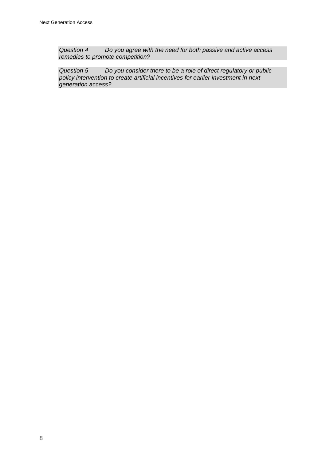*Question 4 Do you agree with the need for both passive and active access remedies to promote competition?* 

*Question 5 Do you consider there to be a role of direct regulatory or public policy intervention to create artificial incentives for earlier investment in next generation access?*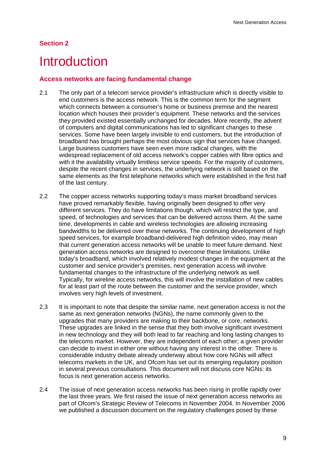# **Section 2**

# **Introduction**

## **Access networks are facing fundamental change**

- 2.1 The only part of a telecom service provider's infrastructure which is directly visible to end customers is the access network. This is the common term for the segment which connects between a consumer's home or business premise and the nearest location which houses their provider's equipment. These networks and the services they provided existed essentially unchanged for decades. More recently, the advent of computers and digital communications has led to significant changes to these services. Some have been largely invisible to end customers, but the introduction of broadband has brought perhaps the most obvious sign that services have changed. Large business customers have seen even more radical changes, with the widespread replacement of old access network's copper cables with fibre optics and with it the availability virtually limitless service speeds. For the majority of customers, despite the recent changes in services, the underlying network is still based on the same elements as the first telephone networks which were established in the first half of the last century.
- 2.2 The copper access networks supporting today's mass market broadband services have proved remarkably flexible, having originally been designed to offer very different services. They do have limitations though, which will restrict the type, and speed, of technologies and services that can be delivered across them. At the same time, developments in cable and wireless technologies are allowing increasing bandwidths to be delivered over these networks. The continuing development of high speed services, for example broadband-delivered high definition video, may mean that current generation access networks will be unable to meet future demand. Next generation access networks are designed to overcome these limitations. Unlike today's broadband, which involved relatively modest changes in the equipment at the customer and service provider's premises, next generation access will involve fundamental changes to the infrastructure of the underlying network as well. Typically, for wireline access networks, this will involve the installation of new cables for at least part of the route between the customer and the service provider, which involves very high levels of investment.
- 2.3 It is important to note that despite the similar name, next generation access is not the same as next generation networks (NGNs), the name commonly given to the upgrades that many providers are making to their backbone, or core, networks. These upgrades are linked in the sense that they both involve significant investment in new technology and they will both lead to far reaching and long lasting changes to the telecoms market. However, they are independent of each other; a given provider can decide to invest in either one without having any interest in the other. There is considerable industry debate already underway about how core NGNs will affect telecoms markets in the UK, and Ofcom has set out its emerging regulatory position in several previous consultations. This document will not discuss core NGNs: its focus is next generation access networks.
- 2.4 The issue of next generation access networks has been rising in profile rapidly over the last three years. We first raised the issue of next generation access networks as part of Ofcom's Strategic Review of Telecoms in November 2004. In November 2006 we published a discussion document on the regulatory challenges posed by these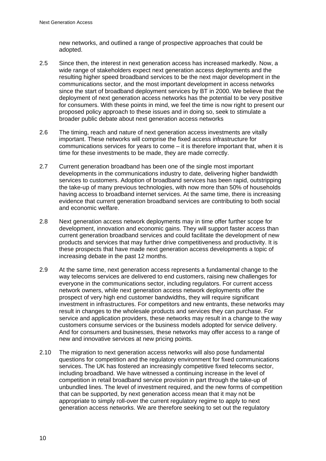new networks, and outlined a range of prospective approaches that could be adopted.

- 2.5 Since then, the interest in next generation access has increased markedly. Now, a wide range of stakeholders expect next generation access deployments and the resulting higher speed broadband services to be the next major development in the communications sector, and the most important development in access networks since the start of broadband deployment services by BT in 2000. We believe that the deployment of next generation access networks has the potential to be very positive for consumers. With these points in mind, we feel the time is now right to present our proposed policy approach to these issues and in doing so, seek to stimulate a broader public debate about next generation access networks
- 2.6 The timing, reach and nature of next generation access investments are vitally important. These networks will comprise the fixed access infrastructure for communications services for years to come – it is therefore important that, when it is time for these investments to be made, they are made correctly.
- 2.7 Current generation broadband has been one of the single most important developments in the communications industry to date, delivering higher bandwidth services to customers. Adoption of broadband services has been rapid, outstripping the take-up of many previous technologies, with now more than 50% of households having access to broadband internet services. At the same time, there is increasing evidence that current generation broadband services are contributing to both social and economic welfare.
- 2.8 Next generation access network deployments may in time offer further scope for development, innovation and economic gains. They will support faster access than current generation broadband services and could facilitate the development of new products and services that may further drive competitiveness and productivity. It is these prospects that have made next generation access developments a topic of increasing debate in the past 12 months.
- 2.9 At the same time, next generation access represents a fundamental change to the way telecoms services are delivered to end customers, raising new challenges for everyone in the communications sector, including regulators. For current access network owners, while next generation access network deployments offer the prospect of very high end customer bandwidths, they will require significant investment in infrastructures. For competitors and new entrants, these networks may result in changes to the wholesale products and services they can purchase. For service and application providers, these networks may result in a change to the way customers consume services or the business models adopted for service delivery. And for consumers and businesses, these networks may offer access to a range of new and innovative services at new pricing points.
- 2.10 The migration to next generation access networks will also pose fundamental questions for competition and the regulatory environment for fixed communications services. The UK has fostered an increasingly competitive fixed telecoms sector, including broadband. We have witnessed a continuing increase in the level of competition in retail broadband service provision in part through the take-up of unbundled lines. The level of investment required, and the new forms of competition that can be supported, by next generation access mean that it may not be appropriate to simply roll-over the current regulatory regime to apply to next generation access networks. We are therefore seeking to set out the regulatory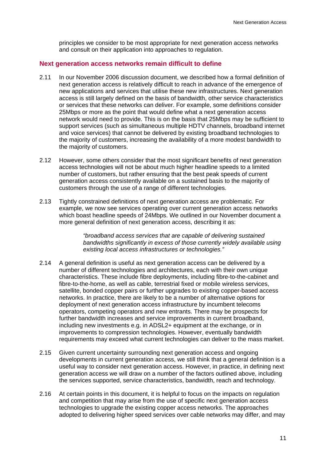principles we consider to be most appropriate for next generation access networks and consult on their application into approaches to regulation.

#### **Next generation access networks remain difficult to define**

- 2.11 In our November 2006 discussion document, we described how a formal definition of next generation access is relatively difficult to reach in advance of the emergence of new applications and services that utilise these new infrastructures. Next generation access is still largely defined on the basis of bandwidth, other service characteristics or services that these networks can deliver. For example, some definitions consider 25Mbps or more as the point that would define what a next generation access network would need to provide. This is on the basis that 25Mbps may be sufficient to support services (such as simultaneous multiple HDTV channels, broadband internet and voice services) that cannot be delivered by existing broadband technologies to the majority of customers, increasing the availability of a more modest bandwidth to the majority of customers.
- 2.12 However, some others consider that the most significant benefits of next generation access technologies will not be about much higher headline speeds to a limited number of customers, but rather ensuring that the best peak speeds of current generation access consistently available on a sustained basis to the majority of customers through the use of a range of different technologies.
- 2.13 Tightly constrained definitions of next generation access are problematic. For example, we now see services operating over current generation access networks which boast headline speeds of 24Mbps. We outlined in our November document a more general definition of next generation access, describing it as:

*"broadband access services that are capable of delivering sustained bandwidths significantly in excess of those currently widely available using existing local access infrastructures or technologies."* 

- 2.14 A general definition is useful as next generation access can be delivered by a number of different technologies and architectures, each with their own unique characteristics. These include fibre deployments, including fibre-to-the-cabinet and fibre-to-the-home, as well as cable, terrestrial fixed or mobile wireless services, satellite, bonded copper pairs or further upgrades to existing copper-based access networks. In practice, there are likely to be a number of alternative options for deployment of next generation access infrastructure by incumbent telecoms operators, competing operators and new entrants. There may be prospects for further bandwidth increases and service improvements in current broadband, including new investments e.g. in ADSL2+ equipment at the exchange, or in improvements to compression technologies. However, eventually bandwidth requirements may exceed what current technologies can deliver to the mass market.
- 2.15 Given current uncertainty surrounding next generation access and ongoing developments in current generation access, we still think that a general definition is a useful way to consider next generation access. However, in practice, in defining next generation access we will draw on a number of the factors outlined above, including the services supported, service characteristics, bandwidth, reach and technology.
- 2.16 At certain points in this document, it is helpful to focus on the impacts on regulation and competition that may arise from the use of specific next generation access technologies to upgrade the existing copper access networks. The approaches adopted to delivering higher speed services over cable networks may differ, and may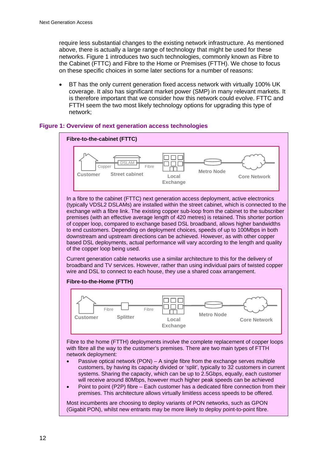require less substantial changes to the existing network infrastructure. As mentioned above, there is actually a large range of technology that might be used for these networks. Figure 1 introduces two such technologies, commonly known as Fibre to the Cabinet (FTTC) and Fibre to the Home or Premises (FTTH). We chose to focus on these specific choices in some later sections for a number of reasons:

• BT has the only current generation fixed access network with virtually 100% UK coverage. It also has significant market power (SMP) in many relevant markets. It is therefore important that we consider how this network could evolve. FTTC and FTTH seem the two most likely technology options for upgrading this type of network;





In a fibre to the cabinet (FTTC) next generation access deployment, active electronics (typically VDSL2 DSLAMs) are installed within the street cabinet, which is connected to the exchange with a fibre link. The existing copper sub-loop from the cabinet to the subscriber premises (with an effective average length of 420 metres) is retained. This shorter portion of copper loop, compared to exchange based DSL broadband, allows higher bandwidths to end customers. Depending on deployment choices, speeds of up to 100Mbps in both downstream and upstream directions can be achieved. However, as with other copper based DSL deployments, actual performance will vary according to the length and quality of the copper loop being used.

Current generation cable networks use a similar architecture to this for the delivery of broadband and TV services. However, rather than using individual pairs of twisted copper wire and DSL to connect to each house, they use a shared coax arrangement.





Fibre to the home (FTTH) deployments involve the complete replacement of copper loops with fibre all the way to the customer's premises. There are two main types of FTTH network deployment:

- Passive optical network  $(PON) A$  single fibre from the exchange serves multiple customers, by having its capacity divided or 'split', typically to 32 customers in current systems. Sharing the capacity, which can be up to 2.5Gbps, equally, each customer will receive around 80Mbps, however much higher peak speeds can be achieved
- Point to point (P2P) fibre Each customer has a dedicated fibre connection from their premises. This architecture allows virtually limitless access speeds to be offered.

Most incumbents are choosing to deploy variants of PON networks, such as GPON (Gigabit PON), whilst new entrants may be more likely to deploy point-to-point fibre.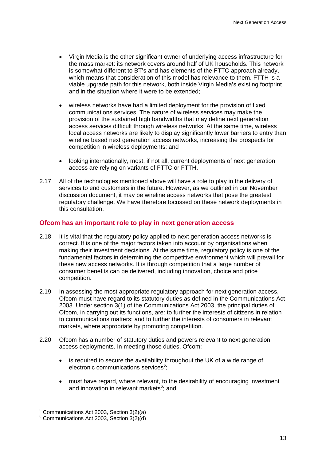- Virgin Media is the other significant owner of underlying access infrastructure for the mass market: its network covers around half of UK households. This network is somewhat different to BT's and has elements of the FTTC approach already, which means that consideration of this model has relevance to them. FTTH is a viable upgrade path for this network, both inside Virgin Media's existing footprint and in the situation where it were to be extended;
- wireless networks have had a limited deployment for the provision of fixed communications services. The nature of wireless services may make the provision of the sustained high bandwidths that may define next generation access services difficult through wireless networks. At the same time, wireless local access networks are likely to display significantly lower barriers to entry than wireline based next generation access networks, increasing the prospects for competition in wireless deployments; and
- looking internationally, most, if not all, current deployments of next generation access are relying on variants of FTTC or FTTH.
- 2.17 All of the technologies mentioned above will have a role to play in the delivery of services to end customers in the future. However, as we outlined in our November discussion document, it may be wireline access networks that pose the greatest regulatory challenge. We have therefore focussed on these network deployments in this consultation.

### **Ofcom has an important role to play in next generation access**

- 2.18 It is vital that the regulatory policy applied to next generation access networks is correct. It is one of the major factors taken into account by organisations when making their investment decisions. At the same time, regulatory policy is one of the fundamental factors in determining the competitive environment which will prevail for these new access networks. It is through competition that a large number of consumer benefits can be delivered, including innovation, choice and price competition.
- 2.19 In assessing the most appropriate regulatory approach for next generation access, Ofcom must have regard to its statutory duties as defined in the Communications Act 2003. Under section 3(1) of the Communications Act 2003, the principal duties of Ofcom, in carrying out its functions, are: to further the interests of citizens in relation to communications matters; and to further the interests of consumers in relevant markets, where appropriate by promoting competition.
- 2.20 Ofcom has a number of statutory duties and powers relevant to next generation access deployments. In meeting those duties, Ofcom:
	- is required to secure the availability throughout the UK of a wide range of electronic communications services<sup>5</sup>;
	- must have regard, where relevant, to the desirability of encouraging investment and innovation in relevant markets<sup>6</sup>; and

 5 Communications Act 2003, Section 3(2)(a)

 $6$  Communications Act 2003, Section 3(2)(d)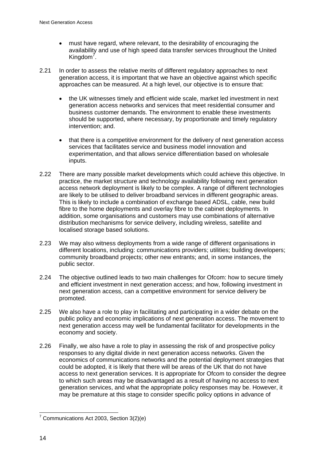- must have regard, where relevant, to the desirability of encouraging the availability and use of high speed data transfer services throughout the United Kingdom<sup>7</sup>.
- 2.21 In order to assess the relative merits of different regulatory approaches to next generation access, it is important that we have an objective against which specific approaches can be measured. At a high level, our objective is to ensure that:
	- the UK witnesses timely and efficient wide scale, market led investment in next generation access networks and services that meet residential consumer and business customer demands. The environment to enable these investments should be supported, where necessary, by proportionate and timely regulatory intervention; and.
	- that there is a competitive environment for the delivery of next generation access services that facilitates service and business model innovation and experimentation, and that allows service differentiation based on wholesale inputs.
- 2.22 There are many possible market developments which could achieve this objective. In practice, the market structure and technology availability following next generation access network deployment is likely to be complex. A range of different technologies are likely to be utilised to deliver broadband services in different geographic areas. This is likely to include a combination of exchange based ADSL, cable, new build fibre to the home deployments and overlay fibre to the cabinet deployments. In addition, some organisations and customers may use combinations of alternative distribution mechanisms for service delivery, including wireless, satellite and localised storage based solutions.
- 2.23 We may also witness deployments from a wide range of different organisations in different locations, including: communications providers; utilities; building developers; community broadband projects; other new entrants; and, in some instances, the public sector.
- 2.24 The objective outlined leads to two main challenges for Ofcom: how to secure timely and efficient investment in next generation access; and how, following investment in next generation access, can a competitive environment for service delivery be promoted.
- 2.25 We also have a role to play in facilitating and participating in a wider debate on the public policy and economic implications of next generation access. The movement to next generation access may well be fundamental facilitator for developments in the economy and society.
- 2.26 Finally, we also have a role to play in assessing the risk of and prospective policy responses to any digital divide in next generation access networks. Given the economics of communications networks and the potential deployment strategies that could be adopted, it is likely that there will be areas of the UK that do not have access to next generation services. It is appropriate for Ofcom to consider the degree to which such areas may be disadvantaged as a result of having no access to next generation services, and what the appropriate policy responses may be. However, it may be premature at this stage to consider specific policy options in advance of

 7 Communications Act 2003, Section 3(2)(e)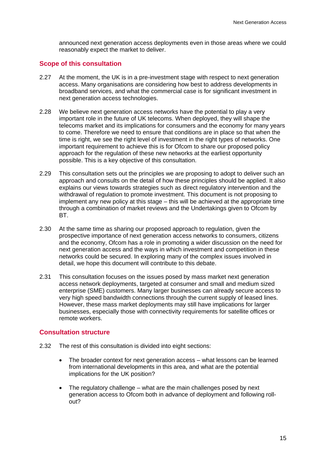announced next generation access deployments even in those areas where we could reasonably expect the market to deliver.

#### **Scope of this consultation**

- 2.27 At the moment, the UK is in a pre-investment stage with respect to next generation access. Many organisations are considering how best to address developments in broadband services, and what the commercial case is for significant investment in next generation access technologies.
- 2.28 We believe next generation access networks have the potential to play a very important role in the future of UK telecoms. When deployed, they will shape the telecoms market and its implications for consumers and the economy for many years to come. Therefore we need to ensure that conditions are in place so that when the time is right, we see the right level of investment in the right types of networks. One important requirement to achieve this is for Ofcom to share our proposed policy approach for the regulation of these new networks at the earliest opportunity possible. This is a key objective of this consultation.
- 2.29 This consultation sets out the principles we are proposing to adopt to deliver such an approach and consults on the detail of how these principles should be applied. It also explains our views towards strategies such as direct regulatory intervention and the withdrawal of regulation to promote investment. This document is not proposing to implement any new policy at this stage – this will be achieved at the appropriate time through a combination of market reviews and the Undertakings given to Ofcom by BT.
- 2.30 At the same time as sharing our proposed approach to regulation, given the prospective importance of next generation access networks to consumers, citizens and the economy, Ofcom has a role in promoting a wider discussion on the need for next generation access and the ways in which investment and competition in these networks could be secured. In exploring many of the complex issues involved in detail, we hope this document will contribute to this debate.
- 2.31 This consultation focuses on the issues posed by mass market next generation access network deployments, targeted at consumer and small and medium sized enterprise (SME) customers. Many larger businesses can already secure access to very high speed bandwidth connections through the current supply of leased lines. However, these mass market deployments may still have implications for larger businesses, especially those with connectivity requirements for satellite offices or remote workers.

#### **Consultation structure**

- 2.32 The rest of this consultation is divided into eight sections:
	- The broader context for next generation access what lessons can be learned from international developments in this area, and what are the potential implications for the UK position?
	- The regulatory challenge what are the main challenges posed by next generation access to Ofcom both in advance of deployment and following rollout?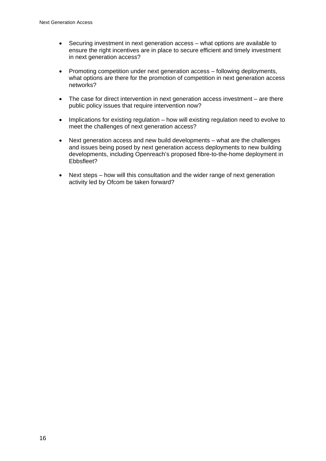- Securing investment in next generation access what options are available to ensure the right incentives are in place to secure efficient and timely investment in next generation access?
- Promoting competition under next generation access following deployments, what options are there for the promotion of competition in next generation access networks?
- The case for direct intervention in next generation access investment are there public policy issues that require intervention now?
- Implications for existing regulation how will existing regulation need to evolve to meet the challenges of next generation access?
- Next generation access and new build developments what are the challenges and issues being posed by next generation access deployments to new building developments, including Openreach's proposed fibre-to-the-home deployment in Ebbsfleet?
- Next steps how will this consultation and the wider range of next generation activity led by Ofcom be taken forward?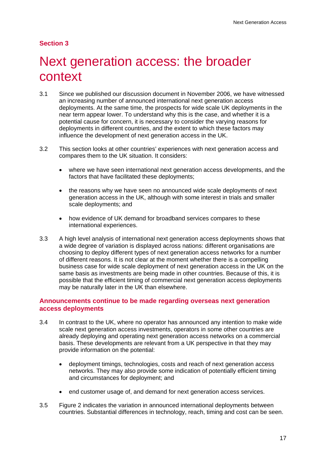# **Section 3**

# Next generation access: the broader context

- 3.1 Since we published our discussion document in November 2006, we have witnessed an increasing number of announced international next generation access deployments. At the same time, the prospects for wide scale UK deployments in the near term appear lower. To understand why this is the case, and whether it is a potential cause for concern, it is necessary to consider the varying reasons for deployments in different countries, and the extent to which these factors may influence the development of next generation access in the UK.
- 3.2 This section looks at other countries' experiences with next generation access and compares them to the UK situation. It considers:
	- where we have seen international next generation access developments, and the factors that have facilitated these deployments;
	- the reasons why we have seen no announced wide scale deployments of next generation access in the UK, although with some interest in trials and smaller scale deployments; and
	- how evidence of UK demand for broadband services compares to these international experiences.
- 3.3 A high level analysis of international next generation access deployments shows that a wide degree of variation is displayed across nations: different organisations are choosing to deploy different types of next generation access networks for a number of different reasons. It is not clear at the moment whether there is a compelling business case for wide scale deployment of next generation access in the UK on the same basis as investments are being made in other countries. Because of this, it is possible that the efficient timing of commercial next generation access deployments may be naturally later in the UK than elsewhere.

### **Announcements continue to be made regarding overseas next generation access deployments**

- 3.4 In contrast to the UK, where no operator has announced any intention to make wide scale next generation access investments, operators in some other countries are already deploying and operating next generation access networks on a commercial basis. These developments are relevant from a UK perspective in that they may provide information on the potential:
	- deployment timings, technologies, costs and reach of next generation access networks. They may also provide some indication of potentially efficient timing and circumstances for deployment; and
	- end customer usage of, and demand for next generation access services.
- 3.5 Figure 2 indicates the variation in announced international deployments between countries. Substantial differences in technology, reach, timing and cost can be seen.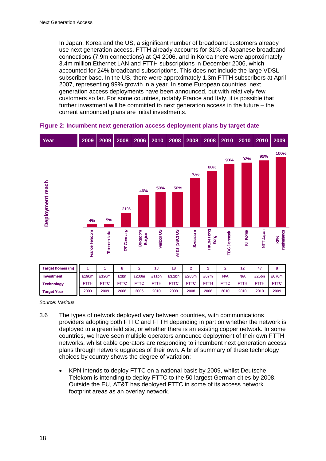In Japan, Korea and the US, a significant number of broadband customers already use next generation access. FTTH already accounts for 31% of Japanese broadband connections (7.9m connections) at Q4 2006, and in Korea there were approximately 3.4m million Ethernet LAN and FTTH subscriptions in December 2006, which accounted for 24% broadband subscriptions. This does not include the large VDSL subscriber base. In the US, there were approximately 1.3m FTTH subscribers at April 2007, representing 99% growth in a year. In some European countries, next generation access deployments have been announced, but with relatively few customers so far. For some countries, notably France and Italy, it is possible that further investment will be committed to next generation access in the future – the current announced plans are initial investments.



#### **Figure 2: Incumbent next generation access deployment plans by target date**

*Source: Various* 

- 3.6 The types of network deployed vary between countries, with communications providers adopting both FTTC and FTTH depending in part on whether the network is deployed to a greenfield site, or whether there is an existing copper network. In some countries, we have seen multiple operators announce deployment of their own FTTH networks, whilst cable operators are responding to incumbent next generation access plans through network upgrades of their own. A brief summary of these technology choices by country shows the degree of variation:
	- KPN intends to deploy FTTC on a national basis by 2009, whilst Deutsche Telekom is intending to deploy FTTC to the 50 largest German cities by 2008. Outside the EU, AT&T has deployed FTTC in some of its access network footprint areas as an overlay network.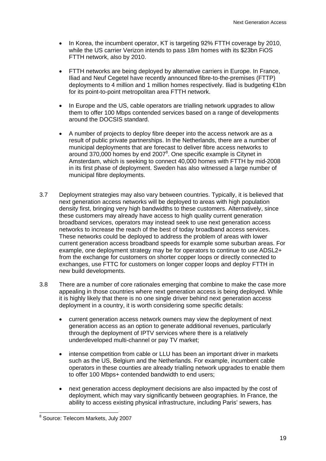- In Korea, the incumbent operator, KT is targeting 92% FTTH coverage by 2010, while the US carrier Verizon intends to pass 18m homes with its \$23bn FiOS FTTH network, also by 2010.
- FTTH networks are being deployed by alternative carriers in Europe. In France, Iliad and Neuf Cegetel have recently announced fibre-to-the-premises (FTTP) deployments to 4 million and 1 million homes respectively. Iliad is budgeting €1bn for its point-to-point metropolitan area FTTH network.
- In Europe and the US, cable operators are trialling network upgrades to allow them to offer 100 Mbps contended services based on a range of developments around the DOCSIS standard.
- A number of projects to deploy fibre deeper into the access network are as a result of public private partnerships. In the Netherlands, there are a number of municipal deployments that are forecast to deliver fibre access networks to around 370,000 homes by end 2007 $8$ . One specific example is Citynet in Amsterdam, which is seeking to connect 40,000 homes with FTTH by mid-2008 in its first phase of deployment. Sweden has also witnessed a large number of municipal fibre deployments.
- 3.7 Deployment strategies may also vary between countries. Typically, it is believed that next generation access networks will be deployed to areas with high population density first, bringing very high bandwidths to these customers. Alternatively, since these customers may already have access to high quality current generation broadband services, operators may instead seek to use next generation access networks to increase the reach of the best of today broadband access services. These networks could be deployed to address the problem of areas with lower current generation access broadband speeds for example some suburban areas. For example, one deployment strategy may be for operators to continue to use ADSL2+ from the exchange for customers on shorter copper loops or directly connected to exchanges, use FTTC for customers on longer copper loops and deploy FTTH in new build developments.
- 3.8 There are a number of core rationales emerging that combine to make the case more appealing in those countries where next generation access is being deployed. While it is highly likely that there is no one single driver behind next generation access deployment in a country, it is worth considering some specific details:
	- current generation access network owners may view the deployment of next generation access as an option to generate additional revenues, particularly through the deployment of IPTV services where there is a relatively underdeveloped multi-channel or pay TV market;
	- intense competition from cable or LLU has been an important driver in markets such as the US, Belgium and the Netherlands. For example, incumbent cable operators in these counties are already trialling network upgrades to enable them to offer 100 Mbps+ contended bandwidth to end users;
	- next generation access deployment decisions are also impacted by the cost of deployment, which may vary significantly between geographies. In France, the ability to access existing physical infrastructure, including Paris' sewers, has

 8 Source: Telecom Markets, July 2007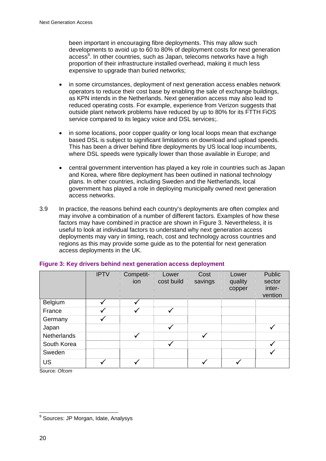been important in encouraging fibre deployments. This may allow such developments to avoid up to 60 to 80% of deployment costs for next generation access<sup>9</sup>. In other countries, such as Japan, telecoms networks have a high proportion of their infrastructure installed overhead, making it much less expensive to upgrade than buried networks:

- in some circumstances, deployment of next generation access enables network operators to reduce their cost base by enabling the sale of exchange buildings, as KPN intends in the Netherlands. Next generation access may also lead to reduced operating costs. For example, experience from Verizon suggests that outside plant network problems have reduced by up to 80% for its FTTH FiOS service compared to its legacy voice and DSL services:
- in some locations, poor copper quality or long local loops mean that exchange based DSL is subject to significant limitations on download and upload speeds. This has been a driver behind fibre deployments by US local loop incumbents, where DSL speeds were typically lower than those available in Europe; and
- central government intervention has played a key role in countries such as Japan and Korea, where fibre deployment has been outlined in national technology plans. In other countries, including Sweden and the Netherlands, local government has played a role in deploying municipally owned next generation access networks.
- 3.9 In practice, the reasons behind each country's deployments are often complex and may involve a combination of a number of different factors. Examples of how these factors may have combined in practice are shown in Figure 3. Nevertheless, it is useful to look at individual factors to understand why next generation access deployments may vary in timing, reach, cost and technology across countries and regions as this may provide some guide as to the potential for next generation access deployments in the UK.

|             | <b>IPTV</b>  | Competit-<br>ion | Lower<br>cost build | Cost<br>savings | Lower<br>quality<br>copper | Public<br>sector<br>inter-<br>vention |
|-------------|--------------|------------------|---------------------|-----------------|----------------------------|---------------------------------------|
| Belgium     |              |                  |                     |                 |                            |                                       |
| France      | √            | $\checkmark$     | $\checkmark$        |                 |                            |                                       |
| Germany     | ✓            |                  |                     |                 |                            |                                       |
| Japan       |              |                  |                     |                 |                            |                                       |
| Netherlands |              | $\checkmark$     |                     | $\checkmark$    |                            |                                       |
| South Korea |              |                  |                     |                 |                            |                                       |
| Sweden      |              |                  |                     |                 |                            |                                       |
| <b>US</b>   | $\checkmark$ | $\checkmark$     |                     |                 |                            |                                       |

#### **Figure 3: Key drivers behind next generation access deployment**

Source*: Ofcom* 

 9 Sources: JP Morgan, Idate, Analysys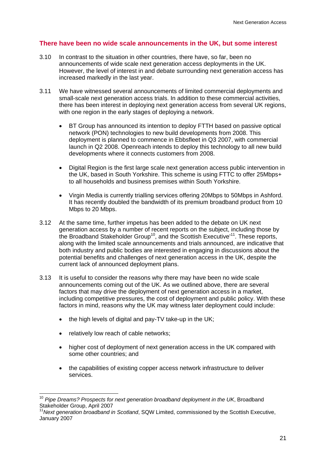## **There have been no wide scale announcements in the UK, but some interest**

- 3.10 In contrast to the situation in other countries, there have, so far, been no announcements of wide scale next generation access deployments in the UK. However, the level of interest in and debate surrounding next generation access has increased markedly in the last year.
- 3.11 We have witnessed several announcements of limited commercial deployments and small-scale next generation access trials. In addition to these commercial activities, there has been interest in deploying next generation access from several UK regions, with one region in the early stages of deploying a network.
	- BT Group has announced its intention to deploy FTTH based on passive optical network (PON) technologies to new build developments from 2008. This deployment is planned to commence in Ebbsfleet in Q3 2007, with commercial launch in Q2 2008. Openreach intends to deploy this technology to all new build developments where it connects customers from 2008.
	- Digital Region is the first large scale next generation access public intervention in the UK, based in South Yorkshire. This scheme is using FTTC to offer 25Mbps+ to all households and business premises within South Yorkshire.
	- Virgin Media is currently trialling services offering 20Mbps to 50Mbps in Ashford. It has recently doubled the bandwidth of its premium broadband product from 10 Mbps to 20 Mbps.
- 3.12 At the same time, further impetus has been added to the debate on UK next generation access by a number of recent reports on the subject, including those by the Broadband Stakeholder Group<sup>10</sup>, and the Scottish Executive<sup> $11$ </sup>. These reports, along with the limited scale announcements and trials announced, are indicative that both industry and public bodies are interested in engaging in discussions about the potential benefits and challenges of next generation access in the UK, despite the current lack of announced deployment plans.
- 3.13 It is useful to consider the reasons why there may have been no wide scale announcements coming out of the UK. As we outlined above, there are several factors that may drive the deployment of next generation access in a market. including competitive pressures, the cost of deployment and public policy. With these factors in mind, reasons why the UK may witness later deployment could include:
	- the high levels of digital and pay-TV take-up in the UK;
	- relatively low reach of cable networks;

 $\overline{a}$ 

- higher cost of deployment of next generation access in the UK compared with some other countries; and
- the capabilities of existing copper access network infrastructure to deliver services.

<sup>10</sup> *Pipe Dreams? Prospects for next generation broadband deployment in the UK*, Broadband Stakeholder Group, April 2007

<sup>&</sup>lt;sup>11</sup> Next generation broadband in Scotland, SQW Limited, commissioned by the Scottish Executive, January 2007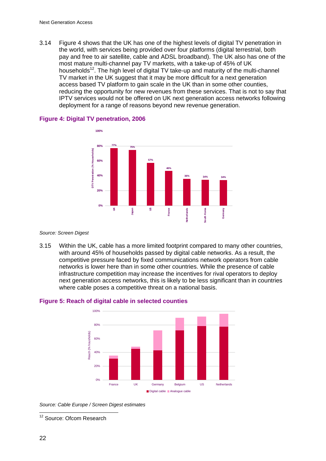3.14 Figure 4 shows that the UK has one of the highest levels of digital TV penetration in the world, with services being provided over four platforms (digital terrestrial, both pay and free to air satellite, cable and ADSL broadband). The UK also has one of the most mature multi-channel pay TV markets, with a take-up of 45% of UK households<sup>12</sup>. The high level of digital TV take-up and maturity of the multi-channel TV market in the UK suggest that it may be more difficult for a next generation access based TV platform to gain scale in the UK than in some other counties, reducing the opportunity for new revenues from these services. That is not to say that IPTV services would not be offered on UK next generation access networks following deployment for a range of reasons beyond new revenue generation.



#### **Figure 4: Digital TV penetration, 2006**

*Source: Screen Digest* 

3.15 Within the UK, cable has a more limited footprint compared to many other countries, with around 45% of households passed by digital cable networks. As a result, the competitive pressure faced by fixed communications network operators from cable networks is lower here than in some other countries. While the presence of cable infrastructure competition may increase the incentives for rival operators to deploy next generation access networks, this is likely to be less significant than in countries where cable poses a competitive threat on a national basis.



#### **Figure 5: Reach of digital cable in selected counties**

*Source: Cable Europe / Screen Digest estimates* 

 $\overline{a}$ 

<sup>&</sup>lt;sup>12</sup> Source: Ofcom Research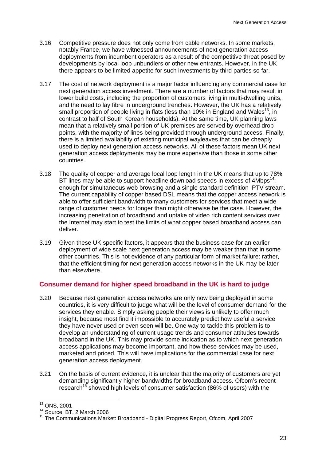- 3.16 Competitive pressure does not only come from cable networks. In some markets, notably France, we have witnessed announcements of next generation access deployments from incumbent operators as a result of the competitive threat posed by developments by local loop unbundlers or other new entrants. However, in the UK there appears to be limited appetite for such investments by third parties so far.
- 3.17 The cost of network deployment is a major factor influencing any commercial case for next generation access investment. There are a number of factors that may result in lower build costs, including the proportion of customers living in multi-dwelling units, and the need to lay fibre in underground trenches. However, the UK has a relatively small proportion of people living in flats (less than 10% in England and Wales<sup>13</sup>, in contrast to half of South Korean households). At the same time, UK planning laws mean that a relatively small portion of UK premises are served by overhead drop points, with the majority of lines being provided through underground access. Finally, there is a limited availability of existing municipal wayleaves that can be cheaply used to deploy next generation access networks. All of these factors mean UK next generation access deployments may be more expensive than those in some other countries.
- 3.18 The quality of copper and average local loop length in the UK means that up to 78% BT lines may be able to support headline download speeds in excess of 4Mbps<sup>14</sup>: enough for simultaneous web browsing and a single standard definition IPTV stream. The current capability of copper based DSL means that the copper access network is able to offer sufficient bandwidth to many customers for services that meet a wide range of customer needs for longer than might otherwise be the case. However, the increasing penetration of broadband and uptake of video rich content services over the Internet may start to test the limits of what copper based broadband access can deliver.
- 3.19 Given these UK specific factors, it appears that the business case for an earlier deployment of wide scale next generation access may be weaker than that in some other countries. This is not evidence of any particular form of market failure: rather, that the efficient timing for next generation access networks in the UK may be later than elsewhere.

### **Consumer demand for higher speed broadband in the UK is hard to judge**

- 3.20 Because next generation access networks are only now being deployed in some countries, it is very difficult to judge what will be the level of consumer demand for the services they enable. Simply asking people their views is unlikely to offer much insight, because most find it impossible to accurately predict how useful a service they have never used or even seen will be. One way to tackle this problem is to develop an understanding of current usage trends and consumer attitudes towards broadband in the UK. This may provide some indication as to which next generation access applications may become important, and how these services may be used, marketed and priced. This will have implications for the commercial case for next generation access deployment.
- 3.21 On the basis of current evidence, it is unclear that the majority of customers are yet demanding significantly higher bandwidths for broadband access. Ofcom's recent research<sup>15</sup> showed high levels of consumer satisfaction (86% of users) with the

1

<sup>13</sup> ONS, 2001

 $14$  Source: BT, 2 March 2006

<sup>15</sup> The Communications Market: Broadband - Digital Progress Report, Ofcom, April 2007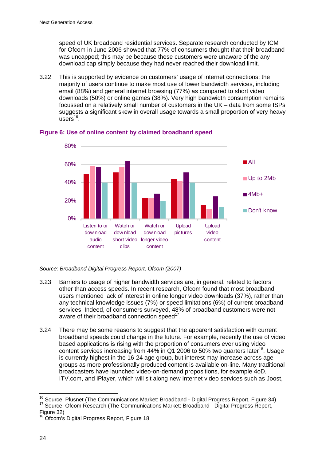speed of UK broadband residential services. Separate research conducted by ICM for Ofcom in June 2006 showed that 77% of consumers thought that their broadband was uncapped; this may be because these customers were unaware of the any download cap simply because they had never reached their download limit.

3.22 This is supported by evidence on customers' usage of internet connections: the majority of users continue to make most use of lower bandwidth services, including email (88%) and general internet browsing (77%) as compared to short video downloads (50%) or online games (38%). Very high bandwidth consumption remains focussed on a relatively small number of customers in the UK – data from some ISPs suggests a significant skew in overall usage towards a small proportion of very heavy  $usees<sup>16</sup>$ 



#### **Figure 6: Use of online content by claimed broadband speed**

*Source: Broadband Digital Progress Report, Ofcom (2007)* 

- 3.23 Barriers to usage of higher bandwidth services are, in general, related to factors other than access speeds. In recent research, Ofcom found that most broadband users mentioned lack of interest in online longer video downloads (37%), rather than any technical knowledge issues (7%) or speed limitations (6%) of current broadband services. Indeed, of consumers surveyed, 48% of broadband customers were not aware of their broadband connection speed<sup>17</sup>.
- 3.24 There may be some reasons to suggest that the apparent satisfaction with current broadband speeds could change in the future. For example, recently the use of video based applications is rising with the proportion of consumers ever using video content services increasing from  $44\%$  in Q1 2006 to 50% two quarters later<sup>18</sup>. Usage is currently highest in the 16-24 age group, but interest may increase across age groups as more professionally produced content is available on-line. Many traditional broadcasters have launched video-on-demand propositions, for example 4oD, ITV.com, and iPlayer, which will sit along new Internet video services such as Joost,

<sup>&</sup>lt;sup>16</sup> Source: Plusnet (The Communications Market: Broadband - Digital Progress Report, Figure 34) <sup>17</sup> Source: Ofcom Research (The Communications Market: Broadband - Digital Progress Report, Figure 32)

<sup>&</sup>lt;sup>18</sup> Ofcom's Digital Progress Report, Figure 18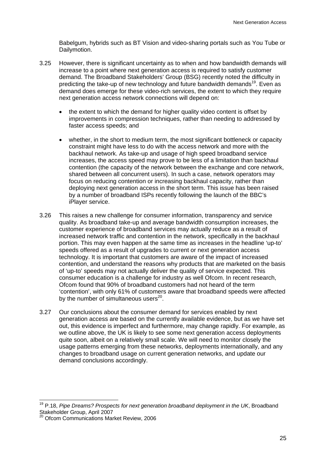Babelgum, hybrids such as BT Vision and video-sharing portals such as You Tube or Dailymotion.

- 3.25 However, there is significant uncertainty as to when and how bandwidth demands will increase to a point where next generation access is required to satisfy customer demand. The Broadband Stakeholders' Group (BSG) recently noted the difficulty in predicting the take-up of new technology and future bandwidth demands<sup>19</sup>. Even as demand does emerge for these video-rich services, the extent to which they require next generation access network connections will depend on:
	- the extent to which the demand for higher quality video content is offset by improvements in compression techniques, rather than needing to addressed by faster access speeds; and
	- whether, in the short to medium term, the most significant bottleneck or capacity constraint might have less to do with the access network and more with the backhaul network. As take-up and usage of high speed broadband service increases, the access speed may prove to be less of a limitation than backhaul contention (the capacity of the network between the exchange and core network, shared between all concurrent users). In such a case, network operators may focus on reducing contention or increasing backhaul capacity, rather than deploying next generation access in the short term. This issue has been raised by a number of broadband ISPs recently following the launch of the BBC's iPlayer service.
- 3.26 This raises a new challenge for consumer information, transparency and service quality. As broadband take-up and average bandwidth consumption increases, the customer experience of broadband services may actually reduce as a result of increased network traffic and contention in the network, specifically in the backhaul portion. This may even happen at the same time as increases in the headline 'up-to' speeds offered as a result of upgrades to current or next generation access technology. It is important that customers are aware of the impact of increased contention, and understand the reasons why products that are marketed on the basis of 'up-to' speeds may not actually deliver the quality of service expected. This consumer education is a challenge for industry as well Ofcom. In recent research, Ofcom found that 90% of broadband customers had not heard of the term 'contention', with only 61% of customers aware that broadband speeds were affected by the number of simultaneous users $^{20}$ .
- 3.27 Our conclusions about the consumer demand for services enabled by next generation access are based on the currently available evidence, but as we have set out, this evidence is imperfect and furthermore, may change rapidly. For example, as we outline above, the UK is likely to see some next generation access deployments quite soon, albeit on a relatively small scale. We will need to monitor closely the usage patterns emerging from these networks, deployments internationally, and any changes to broadband usage on current generation networks, and update our demand conclusions accordingly.

1

<sup>19</sup> P.18, *Pipe Dreams? Prospects for next generation broadband deployment in the UK*, Broadband Stakeholder Group, April 2007

<sup>20</sup> Ofcom Communications Market Review, 2006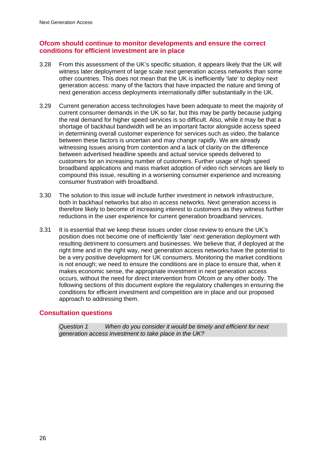### **Ofcom should continue to monitor developments and ensure the correct conditions for efficient investment are in place**

- 3.28 From this assessment of the UK's specific situation, it appears likely that the UK will witness later deployment of large scale next generation access networks than some other countries. This does not mean that the UK is inefficiently 'late' to deploy next generation access: many of the factors that have impacted the nature and timing of next generation access deployments internationally differ substantially in the UK.
- 3.29 Current generation access technologies have been adequate to meet the majority of current consumer demands in the UK so far, but this may be partly because judging the real demand for higher speed services is so difficult. Also, while it may be that a shortage of backhaul bandwidth will be an important factor alongside access speed in determining overall customer experience for services such as video, the balance between these factors is uncertain and may change rapidly. We are already witnessing issues arising from contention and a lack of clarity on the difference between advertised headline speeds and actual service speeds delivered to customers for an increasing number of customers. Further usage of high speed broadband applications and mass market adoption of video rich services are likely to compound this issue, resulting in a worsening consumer experience and increasing consumer frustration with broadband.
- 3.30 The solution to this issue will include further investment in network infrastructure, both in backhaul networks but also in access networks. Next generation access is therefore likely to become of increasing interest to customers as they witness further reductions in the user experience for current generation broadband services.
- 3.31 It is essential that we keep these issues under close review to ensure the UK's position does not become one of inefficiently 'late' next generation deployment with resulting detriment to consumers and businesses. We believe that, if deployed at the right time and in the right way, next generation access networks have the potential to be a very positive development for UK consumers. Monitoring the market conditions is not enough; we need to ensure the conditions are in place to ensure that, when it makes economic sense, the appropriate investment in next generation access occurs, without the need for direct intervention from Ofcom or any other body. The following sections of this document explore the regulatory challenges in ensuring the conditions for efficient investment and competition are in place and our proposed approach to addressing them.

### **Consultation questions**

*Question 1 When do you consider it would be timely and efficient for next generation access investment to take place in the UK?*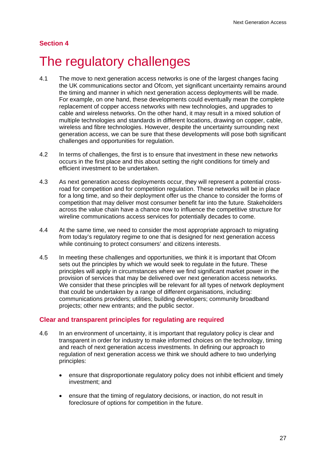# **Section 4**

# The regulatory challenges

- 4.1 The move to next generation access networks is one of the largest changes facing the UK communications sector and Ofcom, yet significant uncertainty remains around the timing and manner in which next generation access deployments will be made. For example, on one hand, these developments could eventually mean the complete replacement of copper access networks with new technologies, and upgrades to cable and wireless networks. On the other hand, it may result in a mixed solution of multiple technologies and standards in different locations, drawing on copper, cable, wireless and fibre technologies. However, despite the uncertainty surrounding next generation access, we can be sure that these developments will pose both significant challenges and opportunities for regulation.
- 4.2 In terms of challenges, the first is to ensure that investment in these new networks occurs in the first place and this about setting the right conditions for timely and efficient investment to be undertaken.
- 4.3 As next generation access deployments occur, they will represent a potential crossroad for competition and for competition regulation. These networks will be in place for a long time, and so their deployment offer us the chance to consider the forms of competition that may deliver most consumer benefit far into the future. Stakeholders across the value chain have a chance now to influence the competitive structure for wireline communications access services for potentially decades to come.
- 4.4 At the same time, we need to consider the most appropriate approach to migrating from today's regulatory regime to one that is designed for next generation access while continuing to protect consumers' and citizens interests.
- 4.5 In meeting these challenges and opportunities, we think it is important that Ofcom sets out the principles by which we would seek to regulate in the future. These principles will apply in circumstances where we find significant market power in the provision of services that may be delivered over next generation access networks. We consider that these principles will be relevant for all types of network deployment that could be undertaken by a range of different organisations, including: communications providers; utilities; building developers; community broadband projects; other new entrants; and the public sector.

### **Clear and transparent principles for regulating are required**

- 4.6 In an environment of uncertainty, it is important that regulatory policy is clear and transparent in order for industry to make informed choices on the technology, timing and reach of next generation access investments. In defining our approach to regulation of next generation access we think we should adhere to two underlying principles:
	- ensure that disproportionate regulatory policy does not inhibit efficient and timely investment; and
	- ensure that the timing of regulatory decisions, or inaction, do not result in foreclosure of options for competition in the future.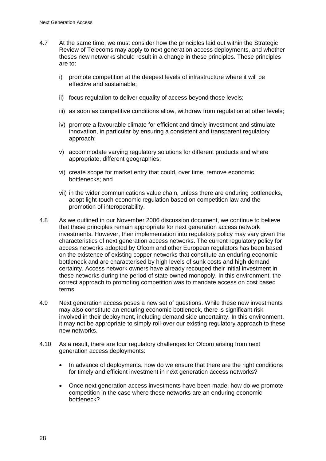- 4.7 At the same time, we must consider how the principles laid out within the Strategic Review of Telecoms may apply to next generation access deployments, and whether theses new networks should result in a change in these principles. These principles are to:
	- i) promote competition at the deepest levels of infrastructure where it will be effective and sustainable;
	- ii) focus regulation to deliver equality of access beyond those levels;
	- iii) as soon as competitive conditions allow, withdraw from regulation at other levels;
	- iv) promote a favourable climate for efficient and timely investment and stimulate innovation, in particular by ensuring a consistent and transparent regulatory approach;
	- v) accommodate varying regulatory solutions for different products and where appropriate, different geographies;
	- vi) create scope for market entry that could, over time, remove economic bottlenecks; and
	- vii) in the wider communications value chain, unless there are enduring bottlenecks, adopt light-touch economic regulation based on competition law and the promotion of interoperability.
- 4.8 As we outlined in our November 2006 discussion document, we continue to believe that these principles remain appropriate for next generation access network investments. However, their implementation into regulatory policy may vary given the characteristics of next generation access networks. The current regulatory policy for access networks adopted by Ofcom and other European regulators has been based on the existence of existing copper networks that constitute an enduring economic bottleneck and are characterised by high levels of sunk costs and high demand certainty. Access network owners have already recouped their initial investment in these networks during the period of state owned monopoly. In this environment, the correct approach to promoting competition was to mandate access on cost based terms.
- 4.9 Next generation access poses a new set of questions. While these new investments may also constitute an enduring economic bottleneck, there is significant risk involved in their deployment, including demand side uncertainty. In this environment, it may not be appropriate to simply roll-over our existing regulatory approach to these new networks.
- 4.10 As a result, there are four regulatory challenges for Ofcom arising from next generation access deployments:
	- In advance of deployments, how do we ensure that there are the right conditions for timely and efficient investment in next generation access networks?
	- Once next generation access investments have been made, how do we promote competition in the case where these networks are an enduring economic bottleneck?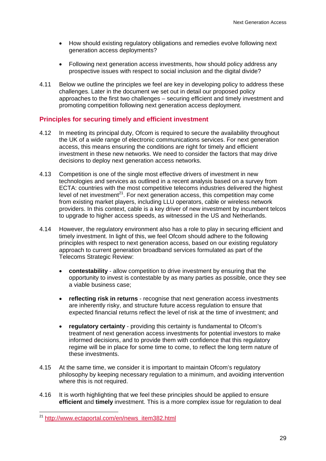- How should existing regulatory obligations and remedies evolve following next generation access deployments?
- Following next generation access investments, how should policy address any prospective issues with respect to social inclusion and the digital divide?
- 4.11 Below we outline the principles we feel are key in developing policy to address these challenges. Later in the document we set out in detail our proposed policy approaches to the first two challenges – securing efficient and timely investment and promoting competition following next generation access deployment.

### **Principles for securing timely and efficient investment**

- 4.12 In meeting its principal duty, Ofcom is required to secure the availability throughout the UK of a wide range of electronic communications services. For next generation access, this means ensuring the conditions are right for timely and efficient investment in these new networks. We need to consider the factors that may drive decisions to deploy next generation access networks.
- 4.13 Competition is one of the single most effective drivers of investment in new technologies and services as outlined in a recent analysis based on a survey from ECTA: countries with the most competitive telecoms industries delivered the highest level of net investment<sup>21</sup>. For next generation access, this competition may come from existing market players, including LLU operators, cable or wireless network providers. In this context, cable is a key driver of new investment by incumbent telcos to upgrade to higher access speeds, as witnessed in the US and Netherlands.
- 4.14 However, the regulatory environment also has a role to play in securing efficient and timely investment. In light of this, we feel Ofcom should adhere to the following principles with respect to next generation access, based on our existing regulatory approach to current generation broadband services formulated as part of the Telecoms Strategic Review:
	- **contestability**  allow competition to drive investment by ensuring that the opportunity to invest is contestable by as many parties as possible, once they see a viable business case;
	- **reflecting risk in returns**  recognise that next generation access investments are inherently risky, and structure future access regulation to ensure that expected financial returns reflect the level of risk at the time of investment; and
	- **regulatory certainty**  providing this certainty is fundamental to Ofcom's treatment of next generation access investments for potential investors to make informed decisions, and to provide them with confidence that this regulatory regime will be in place for some time to come, to reflect the long term nature of these investments.
- 4.15 At the same time, we consider it is important to maintain Ofcom's regulatory philosophy by keeping necessary regulation to a minimum, and avoiding intervention where this is not required.
- 4.16 It is worth highlighting that we feel these principles should be applied to ensure **efficient** and **timely** investment. This is a more complex issue for regulation to deal

 $\overline{a}$ 

<sup>&</sup>lt;sup>21</sup> http://www.ectaportal.com/en/news\_item382.html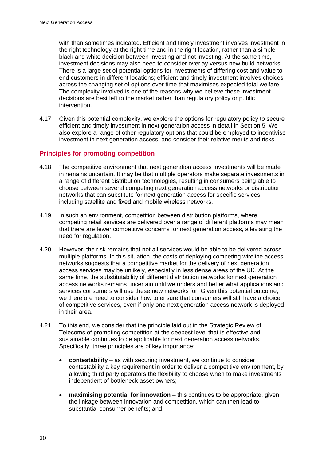with than sometimes indicated. Efficient and timely investment involves investment in the right technology at the right time and in the right location, rather than a simple black and white decision between investing and not investing. At the same time, investment decisions may also need to consider overlay versus new build networks. There is a large set of potential options for investments of differing cost and value to end customers in different locations; efficient and timely investment involves choices across the changing set of options over time that maximises expected total welfare. The complexity involved is one of the reasons why we believe these investment decisions are best left to the market rather than regulatory policy or public intervention.

4.17 Given this potential complexity, we explore the options for regulatory policy to secure efficient and timely investment in next generation access in detail in Section 5. We also explore a range of other regulatory options that could be employed to incentivise investment in next generation access, and consider their relative merits and risks.

### **Principles for promoting competition**

- 4.18 The competitive environment that next generation access investments will be made in remains uncertain. It may be that multiple operators make separate investments in a range of different distribution technologies, resulting in consumers being able to choose between several competing next generation access networks or distribution networks that can substitute for next generation access for specific services, including satellite and fixed and mobile wireless networks.
- 4.19 In such an environment, competition between distribution platforms, where competing retail services are delivered over a range of different platforms may mean that there are fewer competitive concerns for next generation access, alleviating the need for regulation.
- 4.20 However, the risk remains that not all services would be able to be delivered across multiple platforms. In this situation, the costs of deploying competing wireline access networks suggests that a competitive market for the delivery of next generation access services may be unlikely, especially in less dense areas of the UK. At the same time, the substitutability of different distribution networks for next generation access networks remains uncertain until we understand better what applications and services consumers will use these new networks for. Given this potential outcome, we therefore need to consider how to ensure that consumers will still have a choice of competitive services, even if only one next generation access network is deployed in their area.
- 4.21 To this end, we consider that the principle laid out in the Strategic Review of Telecoms of promoting competition at the deepest level that is effective and sustainable continues to be applicable for next generation access networks. Specifically, three principles are of key importance:
	- **contestability** as with securing investment, we continue to consider contestability a key requirement in order to deliver a competitive environment, by allowing third party operators the flexibility to choose when to make investments independent of bottleneck asset owners;
	- **maximising potential for innovation** this continues to be appropriate, given the linkage between innovation and competition, which can then lead to substantial consumer benefits; and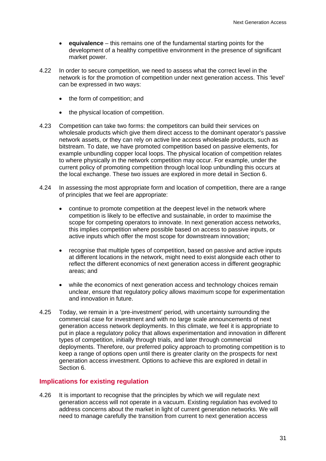- **equivalence** this remains one of the fundamental starting points for the development of a healthy competitive environment in the presence of significant market power.
- 4.22 In order to secure competition, we need to assess what the correct level in the network is for the promotion of competition under next generation access. This 'level' can be expressed in two ways:
	- the form of competition; and
	- the physical location of competition.
- 4.23 Competition can take two forms: the competitors can build their services on wholesale products which give them direct access to the dominant operator's passive network assets, or they can rely on active line access wholesale products, such as bitstream. To date, we have promoted competition based on passive elements, for example unbundling copper local loops. The physical location of competition relates to where physically in the network competition may occur. For example, under the current policy of promoting competition through local loop unbundling this occurs at the local exchange. These two issues are explored in more detail in Section 6.
- 4.24 In assessing the most appropriate form and location of competition, there are a range of principles that we feel are appropriate:
	- continue to promote competition at the deepest level in the network where competition is likely to be effective and sustainable, in order to maximise the scope for competing operators to innovate. In next generation access networks, this implies competition where possible based on access to passive inputs, or active inputs which offer the most scope for downstream innovation;
	- recognise that multiple types of competition, based on passive and active inputs at different locations in the network, might need to exist alongside each other to reflect the different economics of next generation access in different geographic areas; and
	- while the economics of next generation access and technology choices remain unclear, ensure that regulatory policy allows maximum scope for experimentation and innovation in future.
- 4.25 Today, we remain in a 'pre-investment' period, with uncertainty surrounding the commercial case for investment and with no large scale announcements of next generation access network deployments. In this climate, we feel it is appropriate to put in place a regulatory policy that allows experimentation and innovation in different types of competition, initially through trials, and later through commercial deployments. Therefore, our preferred policy approach to promoting competition is to keep a range of options open until there is greater clarity on the prospects for next generation access investment. Options to achieve this are explored in detail in Section 6.

#### **Implications for existing regulation**

4.26 It is important to recognise that the principles by which we will regulate next generation access will not operate in a vacuum. Existing regulation has evolved to address concerns about the market in light of current generation networks. We will need to manage carefully the transition from current to next generation access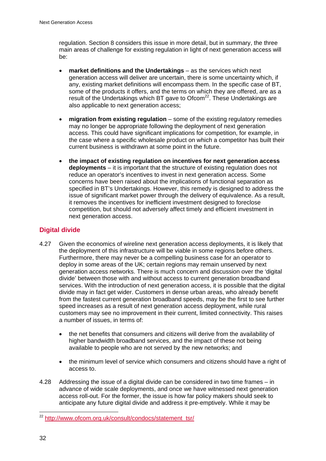regulation. Section 8 considers this issue in more detail, but in summary, the three main areas of challenge for existing regulation in light of next generation access will be:

- **market definitions and the Undertakings** as the services which next generation access will deliver are uncertain, there is some uncertainty which, if any, existing market definitions will encompass them. In the specific case of BT, some of the products it offers, and the terms on which they are offered, are as a result of the Undertakings which BT gave to Ofcom<sup>22</sup>. These Undertakings are also applicable to next generation access;
- **migration from existing regulation** some of the existing regulatory remedies may no longer be appropriate following the deployment of next generation access. This could have significant implications for competition, for example, in the case where a specific wholesale product on which a competitor has built their current business is withdrawn at some point in the future.
- **the impact of existing regulation on incentives for next generation access deployments** – it is important that the structure of existing regulation does not reduce an operator's incentives to invest in next generation access. Some concerns have been raised about the implications of functional separation as specified in BT's Undertakings. However, this remedy is designed to address the issue of significant market power through the delivery of equivalence. As a result, it removes the incentives for inefficient investment designed to foreclose competition, but should not adversely affect timely and efficient investment in next generation access.

## **Digital divide**

- 4.27 Given the economics of wireline next generation access deployments, it is likely that the deployment of this infrastructure will be viable in some regions before others. Furthermore, there may never be a compelling business case for an operator to deploy in some areas of the UK; certain regions may remain unserved by next generation access networks. There is much concern and discussion over the 'digital divide' between those with and without access to current generation broadband services. With the introduction of next generation access, it is possible that the digital divide may in fact get wider. Customers in dense urban areas, who already benefit from the fastest current generation broadband speeds, may be the first to see further speed increases as a result of next generation access deployment, while rural customers may see no improvement in their current, limited connectivity. This raises a number of issues, in terms of:
	- the net benefits that consumers and citizens will derive from the availability of higher bandwidth broadband services, and the impact of these not being available to people who are not served by the new networks; and
	- the minimum level of service which consumers and citizens should have a right of access to.
- 4.28 Addressing the issue of a digital divide can be considered in two time frames in advance of wide scale deployments, and once we have witnessed next generation access roll-out. For the former, the issue is how far policy makers should seek to anticipate any future digital divide and address it pre-emptively. While it may be

 $\overline{a}$ 

<sup>&</sup>lt;sup>22</sup> http://www.ofcom.org.uk/consult/condocs/statement\_tsr/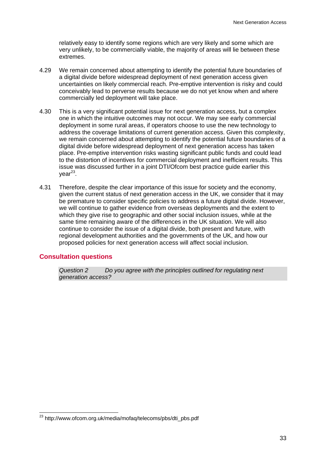relatively easy to identify some regions which are very likely and some which are very unlikely, to be commercially viable, the majority of areas will lie between these extremes.

- 4.29 We remain concerned about attempting to identify the potential future boundaries of a digital divide before widespread deployment of next generation access given uncertainties on likely commercial reach. Pre-emptive intervention is risky and could conceivably lead to perverse results because we do not yet know when and where commercially led deployment will take place.
- 4.30 This is a very significant potential issue for next generation access, but a complex one in which the intuitive outcomes may not occur. We may see early commercial deployment in some rural areas, if operators choose to use the new technology to address the coverage limitations of current generation access. Given this complexity, we remain concerned about attempting to identify the potential future boundaries of a digital divide before widespread deployment of next generation access has taken place. Pre-emptive intervention risks wasting significant public funds and could lead to the distortion of incentives for commercial deployment and inefficient results. This issue was discussed further in a joint DTI/Ofcom best practice guide earlier this  $vear<sup>23</sup>$ .
- 4.31 Therefore, despite the clear importance of this issue for society and the economy, given the current status of next generation access in the UK, we consider that it may be premature to consider specific policies to address a future digital divide. However, we will continue to gather evidence from overseas deployments and the extent to which they give rise to geographic and other social inclusion issues, while at the same time remaining aware of the differences in the UK situation. We will also continue to consider the issue of a digital divide, both present and future, with regional development authorities and the governments of the UK, and how our proposed policies for next generation access will affect social inclusion.

#### **Consultation questions**

 $\overline{a}$ 

*Question 2 Do you agree with the principles outlined for regulating next generation access?* 

<sup>&</sup>lt;sup>23</sup> http://www.ofcom.org.uk/media/mofaq/telecoms/pbs/dti\_pbs.pdf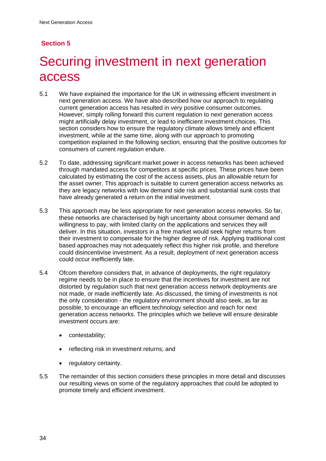# **Section 5**

# 5 Securing investment in next generation access

- 5.1 We have explained the importance for the UK in witnessing efficient investment in next generation access. We have also described how our approach to regulating current generation access has resulted in very positive consumer outcomes. However, simply rolling forward this current regulation to next generation access might artificially delay investment, or lead to inefficient investment choices. This section considers how to ensure the regulatory climate allows timely and efficient investment, while at the same time, along with our approach to promoting competition explained in the following section, ensuring that the positive outcomes for consumers of current regulation endure.
- 5.2 To date, addressing significant market power in access networks has been achieved through mandated access for competitors at specific prices. These prices have been calculated by estimating the cost of the access assets, plus an allowable return for the asset owner. This approach is suitable to current generation access networks as they are legacy networks with low demand side risk and substantial sunk costs that have already generated a return on the initial investment.
- 5.3 This approach may be less appropriate for next generation access networks. So far, these networks are characterised by high uncertainty about consumer demand and willingness to pay, with limited clarity on the applications and services they will deliver. In this situation, investors in a free market would seek higher returns from their investment to compensate for the higher degree of risk. Applying traditional cost based approaches may not adequately reflect this higher risk profile, and therefore could disincentivise investment. As a result, deployment of next generation access could occur inefficiently late.
- 5.4 Ofcom therefore considers that, in advance of deployments, the right regulatory regime needs to be in place to ensure that the incentives for investment are not distorted by regulation such that next generation access network deployments are not made, or made inefficiently late. As discussed, the timing of investments is not the only consideration - the regulatory environment should also seek, as far as possible, to encourage an efficient technology selection and reach for next generation access networks. The principles which we believe will ensure desirable investment occurs are:
	- contestability;
	- reflecting risk in investment returns; and
	- regulatory certainty.
- 5.5 The remainder of this section considers these principles in more detail and discusses our resulting views on some of the regulatory approaches that could be adopted to promote timely and efficient investment.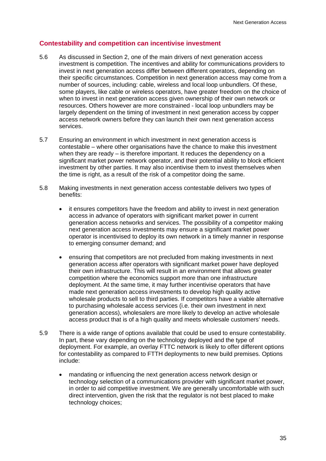## **Contestability and competition can incentivise investment**

- 5.6 As discussed in Section 2, one of the main drivers of next generation access investment is competition. The incentives and ability for communications providers to invest in next generation access differ between different operators, depending on their specific circumstances. Competition in next generation access may come from a number of sources, including: cable, wireless and local loop unbundlers. Of these, some players, like cable or wireless operators, have greater freedom on the choice of when to invest in next generation access given ownership of their own network or resources. Others however are more constrained - local loop unbundlers may be largely dependent on the timing of investment in next generation access by copper access network owners before they can launch their own next generation access services.
- 5.7 Ensuring an environment in which investment in next generation access is contestable – where other organisations have the chance to make this investment when they are ready – is therefore important. It reduces the dependency on a significant market power network operator, and their potential ability to block efficient investment by other parties. It may also incentivise them to invest themselves when the time is right, as a result of the risk of a competitor doing the same.
- 5.8 Making investments in next generation access contestable delivers two types of benefits:
	- it ensures competitors have the freedom and ability to invest in next generation access in advance of operators with significant market power in current generation access networks and services. The possibility of a competitor making next generation access investments may ensure a significant market power operator is incentivised to deploy its own network in a timely manner in response to emerging consumer demand; and
	- ensuring that competitors are not precluded from making investments in next generation access after operators with significant market power have deployed their own infrastructure. This will result in an environment that allows greater competition where the economics support more than one infrastructure deployment. At the same time, it may further incentivise operators that have made next generation access investments to develop high quality active wholesale products to sell to third parties. If competitors have a viable alternative to purchasing wholesale access services (i.e. their own investment in next generation access), wholesalers are more likely to develop an active wholesale access product that is of a high quality and meets wholesale customers' needs.
- 5.9 There is a wide range of options available that could be used to ensure contestability. In part, these vary depending on the technology deployed and the type of deployment. For example, an overlay FTTC network is likely to offer different options for contestability as compared to FTTH deployments to new build premises. Options include:
	- mandating or influencing the next generation access network design or technology selection of a communications provider with significant market power, in order to aid competitive investment. We are generally uncomfortable with such direct intervention, given the risk that the regulator is not best placed to make technology choices;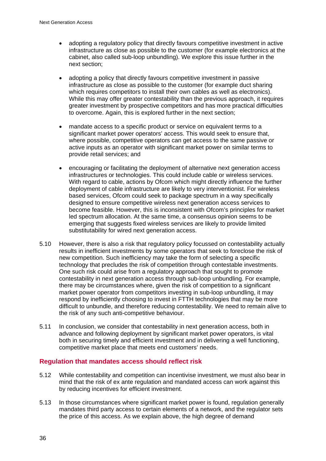- adopting a regulatory policy that directly favours competitive investment in active infrastructure as close as possible to the customer (for example electronics at the cabinet, also called sub-loop unbundling). We explore this issue further in the next section;
- adopting a policy that directly favours competitive investment in passive infrastructure as close as possible to the customer (for example duct sharing which requires competitors to install their own cables as well as electronics). While this may offer greater contestability than the previous approach, it requires greater investment by prospective competitors and has more practical difficulties to overcome. Again, this is explored further in the next section;
- mandate access to a specific product or service on equivalent terms to a significant market power operators' access. This would seek to ensure that, where possible, competitive operators can get access to the same passive or active inputs as an operator with significant market power on similar terms to provide retail services; and
- encouraging or facilitating the deployment of alternative next generation access infrastructures or technologies. This could include cable or wireless services. With regard to cable, actions by Ofcom which might directly influence the further deployment of cable infrastructure are likely to very interventionist. For wireless based services, Ofcom could seek to package spectrum in a way specifically designed to ensure competitive wireless next generation access services to become feasible. However, this is inconsistent with Ofcom's principles for market led spectrum allocation. At the same time, a consensus opinion seems to be emerging that suggests fixed wireless services are likely to provide limited substitutability for wired next generation access.
- 5.10 However, there is also a risk that regulatory policy focussed on contestability actually results in inefficient investments by some operators that seek to foreclose the risk of new competition. Such inefficiency may take the form of selecting a specific technology that precludes the risk of competition through contestable investments. One such risk could arise from a regulatory approach that sought to promote contestability in next generation access through sub-loop unbundling. For example, there may be circumstances where, given the risk of competition to a significant market power operator from competitors investing in sub-loop unbundling, it may respond by inefficiently choosing to invest in FTTH technologies that may be more difficult to unbundle, and therefore reducing contestability. We need to remain alive to the risk of any such anti-competitive behaviour.
- 5.11 In conclusion, we consider that contestability in next generation access, both in advance and following deployment by significant market power operators, is vital both in securing timely and efficient investment and in delivering a well functioning, competitive market place that meets end customers' needs.

## **Regulation that mandates access should reflect risk**

- 5.12 While contestability and competition can incentivise investment, we must also bear in mind that the risk of ex ante regulation and mandated access can work against this by reducing incentives for efficient investment.
- 5.13 In those circumstances where significant market power is found, regulation generally mandates third party access to certain elements of a network, and the regulator sets the price of this access. As we explain above, the high degree of demand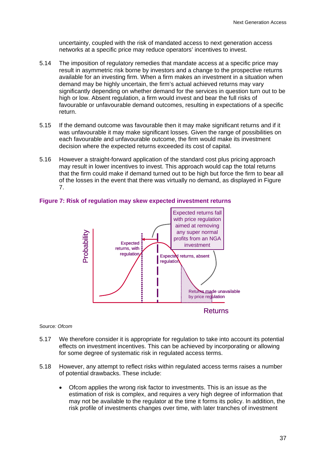uncertainty, coupled with the risk of mandated access to next generation access networks at a specific price may reduce operators' incentives to invest.

- 5.14 The imposition of regulatory remedies that mandate access at a specific price may result in asymmetric risk borne by investors and a change to the prospective returns available for an investing firm. When a firm makes an investment in a situation when demand may be highly uncertain, the firm's actual achieved returns may vary significantly depending on whether demand for the services in question turn out to be high or low. Absent regulation, a firm would invest and bear the full risks of favourable or unfavourable demand outcomes, resulting in expectations of a specific return.
- 5.15 If the demand outcome was favourable then it may make significant returns and if it was unfavourable it may make significant losses. Given the range of possibilities on each favourable and unfavourable outcome, the firm would make its investment decision where the expected returns exceeded its cost of capital.
- 5.16 However a straight-forward application of the standard cost plus pricing approach may result in lower incentives to invest. This approach would cap the total returns that the firm could make if demand turned out to be high but force the firm to bear all of the losses in the event that there was virtually no demand, as displayed in Figure 7.



#### **Figure 7: Risk of regulation may skew expected investment returns**

#### Source*: Ofcom*

- 5.17 We therefore consider it is appropriate for regulation to take into account its potential effects on investment incentives. This can be achieved by incorporating or allowing for some degree of systematic risk in regulated access terms.
- 5.18 However, any attempt to reflect risks within regulated access terms raises a number of potential drawbacks. These include:
	- Ofcom applies the wrong risk factor to investments. This is an issue as the estimation of risk is complex, and requires a very high degree of information that may not be available to the regulator at the time it forms its policy. In addition, the risk profile of investments changes over time, with later tranches of investment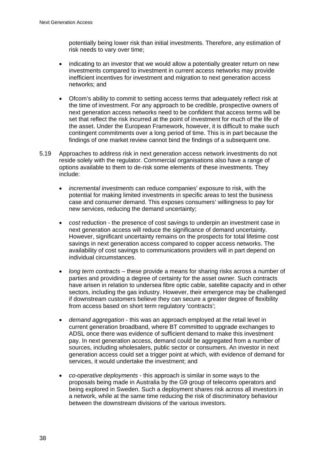potentially being lower risk than initial investments. Therefore, any estimation of risk needs to vary over time;

- indicating to an investor that we would allow a potentially greater return on new investments compared to investment in current access networks may provide inefficient incentives for investment and migration to next generation access networks; and
- Ofcom's ability to commit to setting access terms that adequately reflect risk at the time of investment. For any approach to be credible, prospective owners of next generation access networks need to be confident that access terms will be set that reflect the risk incurred at the point of investment for much of the life of the asset. Under the European Framework, however, it is difficult to make such contingent commitments over a long period of time. This is in part because the findings of one market review cannot bind the findings of a subsequent one.
- 5.19 Approaches to address risk in next generation access network investments do not reside solely with the regulator. Commercial organisations also have a range of options available to them to de-risk some elements of these investments. They include:
	- *incremental investments* can reduce companies' exposure to risk, with the potential for making limited investments in specific areas to test the business case and consumer demand. This exposes consumers' willingness to pay for new services, reducing the demand uncertainty;
	- *cost* reduction the presence of cost savings to underpin an investment case in next generation access will reduce the significance of demand uncertainty. However, significant uncertainty remains on the prospects for total lifetime cost savings in next generation access compared to copper access networks. The availability of cost savings to communications providers will in part depend on individual circumstances.
	- *long term contracts*  these provide a means for sharing risks across a number of parties and providing a degree of certainty for the asset owner. Such contracts have arisen in relation to undersea fibre optic cable, satellite capacity and in other sectors, including the gas industry. However, their emergence may be challenged if downstream customers believe they can secure a greater degree of flexibility from access based on short term regulatory 'contracts';
	- *demand aggregation* this was an approach employed at the retail level in current generation broadband, where BT committed to upgrade exchanges to ADSL once there was evidence of sufficient demand to make this investment pay. In next generation access, demand could be aggregated from a number of sources, including wholesalers, public sector or consumers. An investor in next generation access could set a trigger point at which, with evidence of demand for services, it would undertake the investment; and
	- *co-operative deployments*  this approach is similar in some ways to the proposals being made in Australia by the G9 group of telecoms operators and being explored in Sweden. Such a deployment shares risk across all investors in a network, while at the same time reducing the risk of discriminatory behaviour between the downstream divisions of the various investors.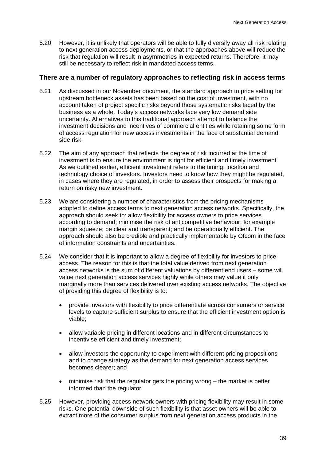5.20 However, it is unlikely that operators will be able to fully diversify away all risk relating to next generation access deployments, or that the approaches above will reduce the risk that regulation will result in asymmetries in expected returns. Therefore, it may still be necessary to reflect risk in mandated access terms.

#### **There are a number of regulatory approaches to reflecting risk in access terms**

- 5.21 As discussed in our November document, the standard approach to price setting for upstream bottleneck assets has been based on the cost of investment, with no account taken of project specific risks beyond those systematic risks faced by the business as a whole. Today's access networks face very low demand side uncertainty. Alternatives to this traditional approach attempt to balance the investment decisions and incentives of commercial entities while retaining some form of access regulation for new access investments in the face of substantial demand side risk.
- 5.22 The aim of any approach that reflects the degree of risk incurred at the time of investment is to ensure the environment is right for efficient and timely investment. As we outlined earlier, efficient investment refers to the timing, location and technology choice of investors. Investors need to know how they might be regulated, in cases where they are regulated, in order to assess their prospects for making a return on risky new investment.
- 5.23 We are considering a number of characteristics from the pricing mechanisms adopted to define access terms to next generation access networks. Specifically, the approach should seek to: allow flexibility for access owners to price services according to demand; minimise the risk of anticompetitive behaviour, for example margin squeeze; be clear and transparent; and be operationally efficient. The approach should also be credible and practically implementable by Ofcom in the face of information constraints and uncertainties.
- 5.24 We consider that it is important to allow a degree of flexibility for investors to price access. The reason for this is that the total value derived from next generation access networks is the sum of different valuations by different end users – some will value next generation access services highly while others may value it only marginally more than services delivered over existing access networks. The objective of providing this degree of flexibility is to:
	- provide investors with flexibility to price differentiate across consumers or service levels to capture sufficient surplus to ensure that the efficient investment option is viable;
	- allow variable pricing in different locations and in different circumstances to incentivise efficient and timely investment;
	- allow investors the opportunity to experiment with different pricing propositions and to change strategy as the demand for next generation access services becomes clearer; and
	- minimise risk that the regulator gets the pricing wrong the market is better informed than the regulator.
- 5.25 However, providing access network owners with pricing flexibility may result in some risks. One potential downside of such flexibility is that asset owners will be able to extract more of the consumer surplus from next generation access products in the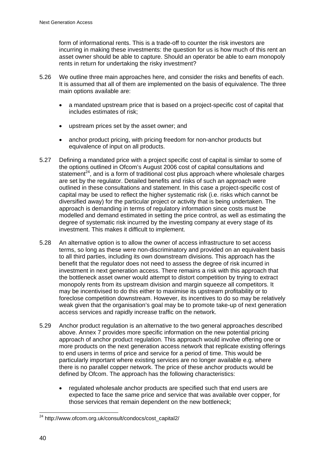form of informational rents. This is a trade-off to counter the risk investors are incurring in making these investments: the question for us is how much of this rent an asset owner should be able to capture. Should an operator be able to earn monopoly rents in return for undertaking the risky investment?

- 5.26 We outline three main approaches here, and consider the risks and benefits of each. It is assumed that all of them are implemented on the basis of equivalence. The three main options available are:
	- a mandated upstream price that is based on a project-specific cost of capital that includes estimates of risk;
	- upstream prices set by the asset owner; and
	- anchor product pricing, with pricing freedom for non-anchor products but equivalence of input on all products.
- 5.27 Defining a mandated price with a project specific cost of capital is similar to some of the options outlined in Ofcom's August 2006 cost of capital consultations and statement<sup>24</sup>, and is a form of traditional cost plus approach where wholesale charges are set by the regulator. Detailed benefits and risks of such an approach were outlined in these consultations and statement. In this case a project-specific cost of capital may be used to reflect the higher systematic risk (i.e. risks which cannot be diversified away) for the particular project or activity that is being undertaken. The approach is demanding in terms of regulatory information since costs must be modelled and demand estimated in setting the price control, as well as estimating the degree of systematic risk incurred by the investing company at every stage of its investment. This makes it difficult to implement.
- 5.28 An alternative option is to allow the owner of access infrastructure to set access terms, so long as these were non-discriminatory and provided on an equivalent basis to all third parties, including its own downstream divisions. This approach has the benefit that the regulator does not need to assess the degree of risk incurred in investment in next generation access. There remains a risk with this approach that the bottleneck asset owner would attempt to distort competition by trying to extract monopoly rents from its upstream division and margin squeeze all competitors. It may be incentivised to do this either to maximise its upstream profitability or to foreclose competition downstream. However, its incentives to do so may be relatively weak given that the organisation's goal may be to promote take-up of next generation access services and rapidly increase traffic on the network.
- 5.29 Anchor product regulation is an alternative to the two general approaches described above. Annex 7 provides more specific information on the new potential pricing approach of anchor product regulation. This approach would involve offering one or more products on the next generation access network that replicate existing offerings to end users in terms of price and service for a period of time. This would be particularly important where existing services are no longer available e.g. where there is no parallel copper network. The price of these anchor products would be defined by Ofcom. The approach has the following characteristics:
	- regulated wholesale anchor products are specified such that end users are expected to face the same price and service that was available over copper, for those services that remain dependent on the new bottleneck;

 $\overline{a}$ <sup>24</sup> http://www.ofcom.org.uk/consult/condocs/cost\_capital2/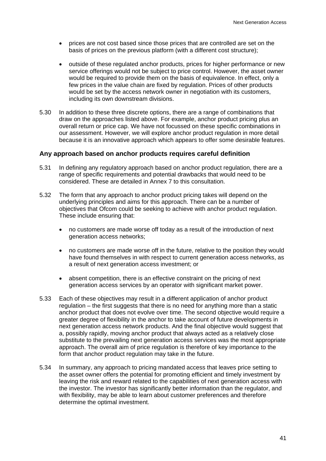- prices are not cost based since those prices that are controlled are set on the basis of prices on the previous platform (with a different cost structure);
- outside of these regulated anchor products, prices for higher performance or new service offerings would not be subject to price control. However, the asset owner would be required to provide them on the basis of equivalence. In effect, only a few prices in the value chain are fixed by regulation. Prices of other products would be set by the access network owner in negotiation with its customers, including its own downstream divisions.
- 5.30 In addition to these three discrete options, there are a range of combinations that draw on the approaches listed above. For example, anchor product pricing plus an overall return or price cap. We have not focussed on these specific combinations in our assessment. However, we will explore anchor product regulation in more detail because it is an innovative approach which appears to offer some desirable features.

#### **Any approach based on anchor products requires careful definition**

- 5.31 In defining any regulatory approach based on anchor product regulation, there are a range of specific requirements and potential drawbacks that would need to be considered. These are detailed in Annex 7 to this consultation.
- 5.32 The form that any approach to anchor product pricing takes will depend on the underlying principles and aims for this approach. There can be a number of objectives that Ofcom could be seeking to achieve with anchor product regulation. These include ensuring that:
	- no customers are made worse off today as a result of the introduction of next generation access networks;
	- no customers are made worse off in the future, relative to the position they would have found themselves in with respect to current generation access networks, as a result of next generation access investment; or
	- absent competition, there is an effective constraint on the pricing of next generation access services by an operator with significant market power.
- 5.33 Each of these objectives may result in a different application of anchor product regulation – the first suggests that there is no need for anything more than a static anchor product that does not evolve over time. The second objective would require a greater degree of flexibility in the anchor to take account of future developments in next generation access network products. And the final objective would suggest that a, possibly rapidly, moving anchor product that always acted as a relatively close substitute to the prevailing next generation access services was the most appropriate approach. The overall aim of price regulation is therefore of key importance to the form that anchor product regulation may take in the future.
- 5.34 In summary, any approach to pricing mandated access that leaves price setting to the asset owner offers the potential for promoting efficient and timely investment by leaving the risk and reward related to the capabilities of next generation access with the investor. The investor has significantly better information than the regulator, and with flexibility, may be able to learn about customer preferences and therefore determine the optimal investment.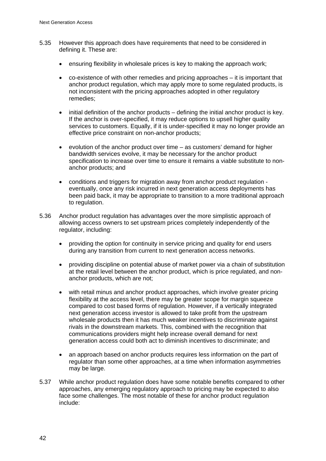- 5.35 However this approach does have requirements that need to be considered in defining it. These are:
	- ensuring flexibility in wholesale prices is key to making the approach work;
	- co-existence of with other remedies and pricing approaches it is important that anchor product regulation, which may apply more to some regulated products, is not inconsistent with the pricing approaches adopted in other regulatory remedies;
	- initial definition of the anchor products defining the initial anchor product is key. If the anchor is over-specified, it may reduce options to upsell higher quality services to customers. Equally, if it is under-specified it may no longer provide an effective price constraint on non-anchor products;
	- evolution of the anchor product over time as customers' demand for higher bandwidth services evolve, it may be necessary for the anchor product specification to increase over time to ensure it remains a viable substitute to nonanchor products; and
	- conditions and triggers for migration away from anchor product regulation eventually, once any risk incurred in next generation access deployments has been paid back, it may be appropriate to transition to a more traditional approach to regulation.
- 5.36 Anchor product regulation has advantages over the more simplistic approach of allowing access owners to set upstream prices completely independently of the regulator, including:
	- providing the option for continuity in service pricing and quality for end users during any transition from current to next generation access networks.
	- providing discipline on potential abuse of market power via a chain of substitution at the retail level between the anchor product, which is price regulated, and nonanchor products, which are not;
	- with retail minus and anchor product approaches, which involve greater pricing flexibility at the access level, there may be greater scope for margin squeeze compared to cost based forms of regulation. However, if a vertically integrated next generation access investor is allowed to take profit from the upstream wholesale products then it has much weaker incentives to discriminate against rivals in the downstream markets. This, combined with the recognition that communications providers might help increase overall demand for next generation access could both act to diminish incentives to discriminate; and
	- an approach based on anchor products requires less information on the part of regulator than some other approaches, at a time when information asymmetries may be large.
- 5.37 While anchor product regulation does have some notable benefits compared to other approaches, any emerging regulatory approach to pricing may be expected to also face some challenges. The most notable of these for anchor product regulation include: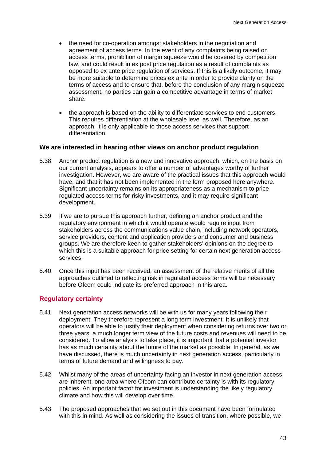- the need for co-operation amongst stakeholders in the negotiation and agreement of access terms. In the event of any complaints being raised on access terms, prohibition of margin squeeze would be covered by competition law, and could result in ex post price regulation as a result of complaints as opposed to ex ante price regulation of services. If this is a likely outcome, it may be more suitable to determine prices ex ante in order to provide clarity on the terms of access and to ensure that, before the conclusion of any margin squeeze assessment, no parties can gain a competitive advantage in terms of market share.
- the approach is based on the ability to differentiate services to end customers. This requires differentiation at the wholesale level as well. Therefore, as an approach, it is only applicable to those access services that support differentiation.

#### **We are interested in hearing other views on anchor product regulation**

- 5.38 Anchor product regulation is a new and innovative approach, which, on the basis on our current analysis, appears to offer a number of advantages worthy of further investigation. However, we are aware of the practical issues that this approach would have, and that it has not been implemented in the form proposed here anywhere. Significant uncertainty remains on its appropriateness as a mechanism to price regulated access terms for risky investments, and it may require significant development.
- 5.39 If we are to pursue this approach further, defining an anchor product and the regulatory environment in which it would operate would require input from stakeholders across the communications value chain, including network operators, service providers, content and application providers and consumer and business groups. We are therefore keen to gather stakeholders' opinions on the degree to which this is a suitable approach for price setting for certain next generation access services.
- 5.40 Once this input has been received, an assessment of the relative merits of all the approaches outlined to reflecting risk in regulated access terms will be necessary before Ofcom could indicate its preferred approach in this area.

#### **Regulatory certainty**

- 5.41 Next generation access networks will be with us for many years following their deployment. They therefore represent a long term investment. It is unlikely that operators will be able to justify their deployment when considering returns over two or three years; a much longer term view of the future costs and revenues will need to be considered. To allow analysis to take place, it is important that a potential investor has as much certainty about the future of the market as possible. In general, as we have discussed, there is much uncertainty in next generation access, particularly in terms of future demand and willingness to pay.
- 5.42 Whilst many of the areas of uncertainty facing an investor in next generation access are inherent, one area where Ofcom can contribute certainty is with its regulatory policies. An important factor for investment is understanding the likely regulatory climate and how this will develop over time.
- 5.43 The proposed approaches that we set out in this document have been formulated with this in mind. As well as considering the issues of transition, where possible, we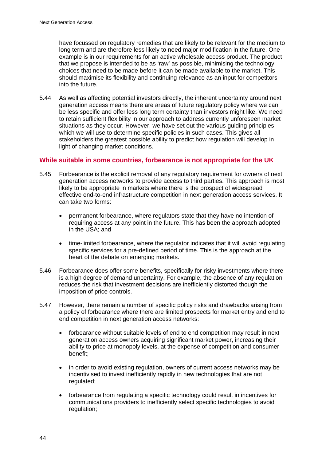have focussed on regulatory remedies that are likely to be relevant for the medium to long term and are therefore less likely to need major modification in the future. One example is in our requirements for an active wholesale access product. The product that we propose is intended to be as 'raw' as possible, minimising the technology choices that need to be made before it can be made available to the market. This should maximise its flexibility and continuing relevance as an input for competitors into the future.

5.44 As well as affecting potential investors directly, the inherent uncertainty around next generation access means there are areas of future regulatory policy where we can be less specific and offer less long term certainty than investors might like. We need to retain sufficient flexibility in our approach to address currently unforeseen market situations as they occur. However, we have set out the various guiding principles which we will use to determine specific policies in such cases. This gives all stakeholders the greatest possible ability to predict how regulation will develop in light of changing market conditions.

## **While suitable in some countries, forbearance is not appropriate for the UK**

- 5.45 Forbearance is the explicit removal of any regulatory requirement for owners of next generation access networks to provide access to third parties. This approach is most likely to be appropriate in markets where there is the prospect of widespread effective end-to-end infrastructure competition in next generation access services. It can take two forms:
	- permanent forbearance, where regulators state that they have no intention of requiring access at any point in the future. This has been the approach adopted in the USA; and
	- time-limited forbearance, where the regulator indicates that it will avoid regulating specific services for a pre-defined period of time. This is the approach at the heart of the debate on emerging markets.
- 5.46 Forbearance does offer some benefits, specifically for risky investments where there is a high degree of demand uncertainty. For example, the absence of any regulation reduces the risk that investment decisions are inefficiently distorted though the imposition of price controls.
- 5.47 However, there remain a number of specific policy risks and drawbacks arising from a policy of forbearance where there are limited prospects for market entry and end to end competition in next generation access networks:
	- forbearance without suitable levels of end to end competition may result in next generation access owners acquiring significant market power, increasing their ability to price at monopoly levels, at the expense of competition and consumer benefit;
	- in order to avoid existing regulation, owners of current access networks may be incentivised to invest inefficiently rapidly in new technologies that are not regulated;
	- forbearance from regulating a specific technology could result in incentives for communications providers to inefficiently select specific technologies to avoid regulation;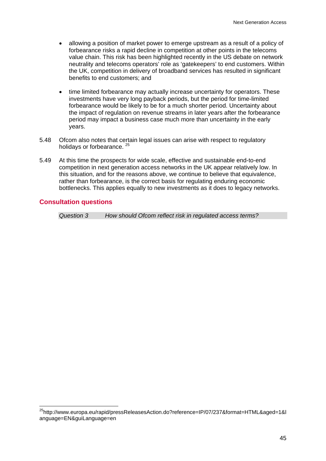- allowing a position of market power to emerge upstream as a result of a policy of forbearance risks a rapid decline in competition at other points in the telecoms value chain. This risk has been highlighted recently in the US debate on network neutrality and telecoms operators' role as 'gatekeepers' to end customers. Within the UK, competition in delivery of broadband services has resulted in significant benefits to end customers; and
- time limited forbearance may actually increase uncertainty for operators. These investments have very long payback periods, but the period for time-limited forbearance would be likely to be for a much shorter period. Uncertainty about the impact of regulation on revenue streams in later years after the forbearance period may impact a business case much more than uncertainty in the early years.
- 5.48 Ofcom also notes that certain legal issues can arise with respect to regulatory holidays or forbearance. <sup>25</sup>
- 5.49 At this time the prospects for wide scale, effective and sustainable end-to-end competition in next generation access networks in the UK appear relatively low. In this situation, and for the reasons above, we continue to believe that equivalence, rather than forbearance, is the correct basis for regulating enduring economic bottlenecks. This applies equally to new investments as it does to legacy networks.

#### **Consultation questions**

1

*Question 3 How should Ofcom reflect risk in regulated access terms?* 

<sup>&</sup>lt;sup>25</sup>http://www.europa.eu/rapid/pressReleasesAction.do?reference=IP/07/237&format=HTML&aged=1&l anguage=EN&guiLanguage=en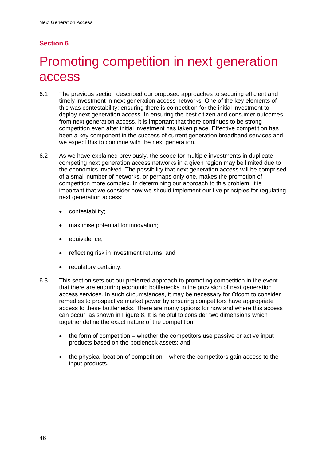# **Section 6**

# 6 Promoting competition in next generation access

- 6.1 The previous section described our proposed approaches to securing efficient and timely investment in next generation access networks. One of the key elements of this was contestability: ensuring there is competition for the initial investment to deploy next generation access. In ensuring the best citizen and consumer outcomes from next generation access, it is important that there continues to be strong competition even after initial investment has taken place. Effective competition has been a key component in the success of current generation broadband services and we expect this to continue with the next generation.
- 6.2 As we have explained previously, the scope for multiple investments in duplicate competing next generation access networks in a given region may be limited due to the economics involved. The possibility that next generation access will be comprised of a small number of networks, or perhaps only one, makes the promotion of competition more complex. In determining our approach to this problem, it is important that we consider how we should implement our five principles for regulating next generation access:
	- contestability;
	- maximise potential for innovation;
	- equivalence:
	- reflecting risk in investment returns; and
	- regulatory certainty.
- 6.3 This section sets out our preferred approach to promoting competition in the event that there are enduring economic bottlenecks in the provision of next generation access services. In such circumstances, it may be necessary for Ofcom to consider remedies to prospective market power by ensuring competitors have appropriate access to these bottlenecks. There are many options for how and where this access can occur, as shown in Figure 8. It is helpful to consider two dimensions which together define the exact nature of the competition:
	- the form of competition whether the competitors use passive or active input products based on the bottleneck assets; and
	- the physical location of competition where the competitors gain access to the input products.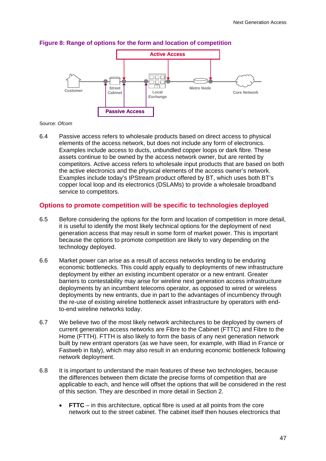

#### **Figure 8: Range of options for the form and location of competition**

#### Source: *Ofcom*

6.4 Passive access refers to wholesale products based on direct access to physical elements of the access network, but does not include any form of electronics. Examples include access to ducts, unbundled copper loops or dark fibre. These assets continue to be owned by the access network owner, but are rented by competitors. Active access refers to wholesale input products that are based on both the active electronics and the physical elements of the access owner's network. Examples include today's IPStream product offered by BT, which uses both BT's copper local loop and its electronics (DSLAMs) to provide a wholesale broadband service to competitors.

#### **Options to promote competition will be specific to technologies deployed**

- 6.5 Before considering the options for the form and location of competition in more detail, it is useful to identify the most likely technical options for the deployment of next generation access that may result in some form of market power. This is important because the options to promote competition are likely to vary depending on the technology deployed.
- 6.6 Market power can arise as a result of access networks tending to be enduring economic bottlenecks. This could apply equally to deployments of new infrastructure deployment by either an existing incumbent operator or a new entrant. Greater barriers to contestability may arise for wireline next generation access infrastructure deployments by an incumbent telecoms operator, as opposed to wired or wireless deployments by new entrants, due in part to the advantages of incumbency through the re-use of existing wireline bottleneck asset infrastructure by operators with endto-end wireline networks today.
- 6.7 We believe two of the most likely network architectures to be deployed by owners of current generation access networks are Fibre to the Cabinet (FTTC) and Fibre to the Home (FTTH). FTTH is also likely to form the basis of any next generation network built by new entrant operators (as we have seen, for example, with Illiad in France or Fastweb in Italy), which may also result in an enduring economic bottleneck following network deployment.
- 6.8 It is important to understand the main features of these two technologies, because the differences between them dictate the precise forms of competition that are applicable to each, and hence will offset the options that will be considered in the rest of this section. They are described in more detail in Section 2.
	- **FTTC** in this architecture, optical fibre is used at all points from the core network out to the street cabinet. The cabinet itself then houses electronics that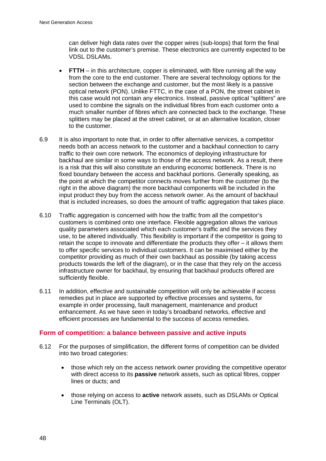can deliver high data rates over the copper wires (sub-loops) that form the final link out to the customer's premise. These electronics are currently expected to be VDSL DSLAMs.

- **FTTH** in this architecture, copper is eliminated, with fibre running all the way from the core to the end customer. There are several technology options for the section between the exchange and customer, but the most likely is a passive optical network (PON). Unlike FTTC, in the case of a PON, the street cabinet in this case would not contain any electronics. Instead, passive optical "splitters" are used to combine the signals on the individual fibres from each customer onto a much smaller number of fibres which are connected back to the exchange. These splitters may be placed at the street cabinet, or at an alternative location, closer to the customer.
- 6.9 It is also important to note that, in order to offer alternative services, a competitor needs both an access network to the customer and a backhaul connection to carry traffic to their own core network. The economics of deploying infrastructure for backhaul are similar in some ways to those of the access network. As a result, there is a risk that this will also constitute an enduring economic bottleneck. There is no fixed boundary between the access and backhaul portions. Generally speaking, as the point at which the competitor connects moves further from the customer (to the right in the above diagram) the more backhaul components will be included in the input product they buy from the access network owner. As the amount of backhaul that is included increases, so does the amount of traffic aggregation that takes place.
- 6.10 Traffic aggregation is concerned with how the traffic from all the competitor's customers is combined onto one interface. Flexible aggregation allows the various quality parameters associated which each customer's traffic and the services they use, to be altered individually. This flexibility is important if the competitor is going to retain the scope to innovate and differentiate the products they offer – it allows them to offer specific services to individual customers. It can be maximised either by the competitor providing as much of their own backhaul as possible (by taking access products towards the left of the diagram), or in the case that they rely on the access infrastructure owner for backhaul, by ensuring that backhaul products offered are sufficiently flexible.
- 6.11 In addition, effective and sustainable competition will only be achievable if access remedies put in place are supported by effective processes and systems, for example in order processing, fault management, maintenance and product enhancement. As we have seen in today's broadband networks, effective and efficient processes are fundamental to the success of access remedies.

## **Form of competition: a balance between passive and active inputs**

- 6.12 For the purposes of simplification, the different forms of competition can be divided into two broad categories:
	- those which rely on the access network owner providing the competitive operator with direct access to its **passive** network assets, such as optical fibres, copper lines or ducts; and
	- those relying on access to **active** network assets, such as DSLAMs or Optical Line Terminals (OLT).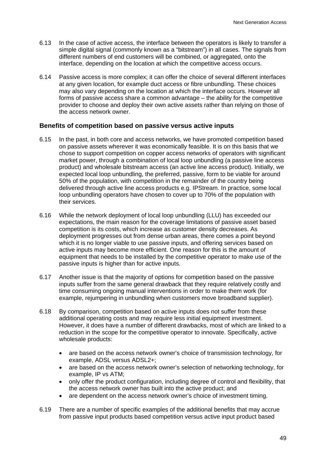- 6.13 In the case of active access, the interface between the operators is likely to transfer a simple digital signal (commonly known as a "bitstream") in all cases. The signals from different numbers of end customers will be combined, or aggregated, onto the interface, depending on the location at which the competitive access occurs.
- 6.14 Passive access is more complex; it can offer the choice of several different interfaces at any given location, for example duct access or fibre unbundling. These choices may also vary depending on the location at which the interface occurs. However all forms of passive access share a common advantage – the ability for the competitive provider to choose and deploy their own active assets rather than relying on those of the access network owner.

#### **Benefits of competition based on passive versus active inputs**

- 6.15 In the past, in both core and access networks, we have promoted competition based on passive assets wherever it was economically feasible. It is on this basis that we chose to support competition on copper access networks of operators with significant market power, through a combination of local loop unbundling (a passive line access product) and wholesale bitstream access (an active line access product). Initially, we expected local loop unbundling, the preferred, passive, form to be viable for around 50% of the population, with competition in the remainder of the country being delivered through active line access products e.g. IPStream. In practice, some local loop unbundling operators have chosen to cover up to 70% of the population with their services.
- 6.16 While the network deployment of local loop unbundling (LLU) has exceeded our expectations, the main reason for the coverage limitations of passive asset based competition is its costs, which increase as customer density decreases. As deployment progresses out from dense urban areas, there comes a point beyond which it is no longer viable to use passive inputs, and offering services based on active inputs may become more efficient. One reason for this is the amount of equipment that needs to be installed by the competitive operator to make use of the passive inputs is higher than for active inputs.
- 6.17 Another issue is that the majority of options for competition based on the passive inputs suffer from the same general drawback that they require relatively costly and time consuming ongoing manual interventions in order to make them work (for example, rejumpering in unbundling when customers move broadband supplier).
- 6.18 By comparison, competition based on active inputs does not suffer from these additional operating costs and may require less initial equipment investment. However, it does have a number of different drawbacks, most of which are linked to a reduction in the scope for the competitive operator to innovate. Specifically, active wholesale products:
	- are based on the access network owner's choice of transmission technology, for example, ADSL versus ADSL2+;
	- are based on the access network owner's selection of networking technology, for example, IP vs ATM;
	- only offer the product configuration, including degree of control and flexibility, that the access network owner has built into the active product; and
	- are dependent on the access network owner's choice of investment timing.
- 6.19 There are a number of specific examples of the additional benefits that may accrue from passive input products based competition versus active input product based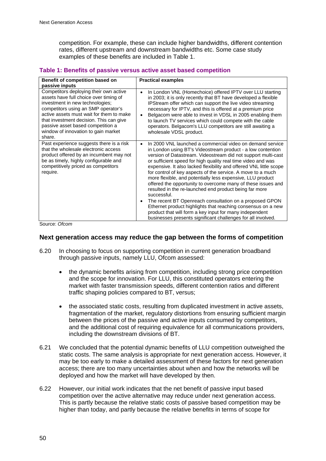competition. For example, these can include higher bandwidths, different contention rates, different upstream and downstream bandwidths etc. Some case study examples of these benefits are included in Table 1.

#### **Table 1: Benefits of passive versus active asset based competition**

| Benefit of competition based on                                                                                                                                                                                                                                                                                                         | <b>Practical examples</b>                                                                                                                                                                                                                                                                                                                                                                                                                                                                                                                                                                                                                                                                                                                                                                                                                                                |
|-----------------------------------------------------------------------------------------------------------------------------------------------------------------------------------------------------------------------------------------------------------------------------------------------------------------------------------------|--------------------------------------------------------------------------------------------------------------------------------------------------------------------------------------------------------------------------------------------------------------------------------------------------------------------------------------------------------------------------------------------------------------------------------------------------------------------------------------------------------------------------------------------------------------------------------------------------------------------------------------------------------------------------------------------------------------------------------------------------------------------------------------------------------------------------------------------------------------------------|
| passive inputs                                                                                                                                                                                                                                                                                                                          |                                                                                                                                                                                                                                                                                                                                                                                                                                                                                                                                                                                                                                                                                                                                                                                                                                                                          |
| Competitors deploying their own active<br>assets have full choice over timing of<br>investment in new technologies;<br>competitors using an SMP operator's<br>active assets must wait for them to make<br>that investment decision. This can give<br>passive asset based competition a<br>window of innovation to gain market<br>share. | In London VNL (Homechoice) offered IPTV over LLU starting<br>$\bullet$<br>in 2003; it is only recently that BT have developed a flexible<br>IPStream offer which can support the live video streaming<br>necessary for IPTV, and this is offered at a premium price<br>Belgacom were able to invest in VDSL in 2005 enabling them<br>to launch TV services which could compete with the cable<br>operators. Belgacom's LLU competitors are still awaiting a<br>wholesale VDSL product.                                                                                                                                                                                                                                                                                                                                                                                   |
| Past experience suggests there is a risk<br>that the wholesale electronic access<br>product offered by an incumbent may not<br>be as timely, highly configurable and<br>competitively priced as competitors<br>require.<br>$\sim$ $\sim$                                                                                                | In 2000 VNL launched a commercial video on demand service<br>$\bullet$<br>in London using BT's Videostream product - a low contention<br>version of Datastream. Videostream did not support multi-cast<br>or sufficient speed for high quality real time video and was<br>expensive. It also lacked flexibility and offered VNL little scope<br>for control of key aspects of the service. A move to a much<br>more flexible, and potentially less expensive, LLU product<br>offered the opportunity to overcome many of these issues and<br>resulted in the re-launched end product being far more<br>successful.<br>The recent BT Openreach consultation on a proposed GPON<br>Ethernet product highlights that reaching consensus on a new<br>product that will form a key input for many independent<br>businesses presents significant challenges for all involved. |

Source: *Ofcom* 

#### **Next generation access may reduce the gap between the forms of competition**

- 6.20 In choosing to focus on supporting competition in current generation broadband through passive inputs, namely LLU, Ofcom assessed:
	- the dynamic benefits arising from competition, including strong price competition and the scope for innovation. For LLU, this constituted operators entering the market with faster transmission speeds, different contention ratios and different traffic shaping policies compared to BT, versus;
	- the associated static costs, resulting from duplicated investment in active assets, fragmentation of the market, regulatory distortions from ensuring sufficient margin between the prices of the passive and active inputs consumed by competitors, and the additional cost of requiring equivalence for all communications providers, including the downstream divisions of BT.
- 6.21 We concluded that the potential dynamic benefits of LLU competition outweighed the static costs. The same analysis is appropriate for next generation access. However, it may be too early to make a detailed assessment of these factors for next generation access; there are too many uncertainties about when and how the networks will be deployed and how the market will have developed by then.
- 6.22 However, our initial work indicates that the net benefit of passive input based competition over the active alternative may reduce under next generation access. This is partly because the relative static costs of passive based competition may be higher than today, and partly because the relative benefits in terms of scope for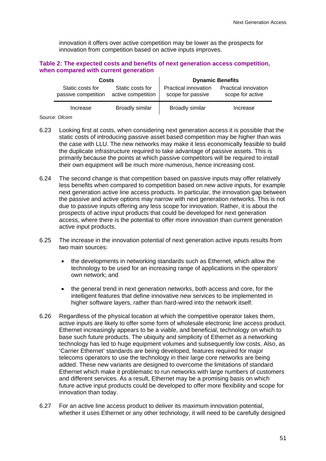innovation it offers over active competition may be lower as the prospects for innovation from competition based on active inputs improves.

#### **Table 2: The expected costs and benefits of next generation access competition, when compared with current generation**

| <b>Costs</b>                            |                                        | <b>Dynamic Benefits</b>                   |                                                 |
|-----------------------------------------|----------------------------------------|-------------------------------------------|-------------------------------------------------|
| Static costs for<br>passive competition | Static costs for<br>active competition | Practical innovation<br>scope for passive | <b>Practical innovation</b><br>scope for active |
| Increase                                | <b>Broadly similar</b>                 | <b>Broadly similar</b>                    | Increase                                        |

#### Source: *Ofcom*

- 6.23 Looking first at costs, when considering next generation access it is possible that the static costs of introducing passive asset based competition may be higher than was the case with LLU. The new networks may make it less economically feasible to build the duplicate infrastructure required to take advantage of passive assets. This is primarily because the points at which passive competitors will be required to install their own equipment will be much more numerous, hence increasing cost.
- 6.24 The second change is that competition based on passive inputs may offer relatively less benefits when compared to competition based on new active inputs, for example next generation active line access products. In particular, the innovation gap between the passive and active options may narrow with next generation networks. This is not due to passive inputs offering any less scope for innovation. Rather, it is about the prospects of active input products that could be developed for next generation access, where there is the potential to offer more innovation than current generation active input products.
- 6.25 The increase in the innovation potential of next generation active inputs results from two main sources:
	- the developments in networking standards such as Ethernet, which allow the technology to be used for an increasing range of applications in the operators' own network; and
	- the general trend in next generation networks, both access and core, for the intelligent features that define innovative new services to be implemented in higher software layers, rather than hard-wired into the network itself.
- 6.26 Regardless of the physical location at which the competitive operator takes them, active inputs are likely to offer some form of wholesale electronic line access product. Ethernet increasingly appears to be a viable, and beneficial, technology on which to base such future products. The ubiquity and simplicity of Ethernet as a networking technology has led to huge equipment volumes and subsequently low costs. Also, as 'Carrier Ethernet' standards are being developed, features required for major telecoms operators to use the technology in their large core networks are being added. These new variants are designed to overcome the limitations of standard Ethernet which make it problematic to run networks with large numbers of customers and different services. As a result, Ethernet may be a promising basis on which future active input products could be developed to offer more flexibility and scope for innovation than today.
- 6.27 For an active line access product to deliver its maximum innovation potential, whether it uses Ethernet or any other technology, it will need to be carefully designed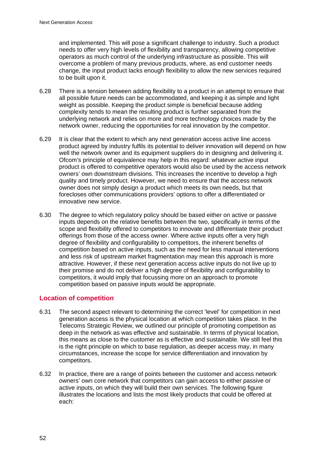and implemented. This will pose a significant challenge to industry. Such a product needs to offer very high levels of flexibility and transparency, allowing competitive operators as much control of the underlying infrastructure as possible. This will overcome a problem of many previous products, where, as end customer needs change, the input product lacks enough flexibility to allow the new services required to be built upon it.

- 6.28 There is a tension between adding flexibility to a product in an attempt to ensure that all possible future needs can be accommodated, and keeping it as simple and light weight as possible. Keeping the product simple is beneficial because adding complexity tends to mean the resulting product is further separated from the underlying network and relies on more and more technology choices made by the network owner, reducing the opportunities for real innovation by the competitor.
- 6.29 It is clear that the extent to which any next generation access active line access product agreed by industry fulfils its potential to deliver innovation will depend on how well the network owner and its equipment suppliers do in designing and delivering it. Ofcom's principle of equivalence may help in this regard: whatever active input product is offered to competitive operators would also be used by the access network owners' own downstream divisions. This increases the incentive to develop a high quality and timely product. However, we need to ensure that the access network owner does not simply design a product which meets its own needs, but that forecloses other communications providers' options to offer a differentiated or innovative new service.
- 6.30 The degree to which regulatory policy should be based either on active or passive inputs depends on the relative benefits between the two, specifically in terms of the scope and flexibility offered to competitors to innovate and differentiate their product offerings from those of the access owner. Where active inputs offer a very high degree of flexibility and configurability to competitors, the inherent benefits of competition based on active inputs, such as the need for less manual interventions and less risk of upstream market fragmentation may mean this approach is more attractive. However, if these next generation access active inputs do not live up to their promise and do not deliver a high degree of flexibility and configurability to competitors, it would imply that focussing more on an approach to promote competition based on passive inputs would be appropriate.

## **Location of competition**

- 6.31 The second aspect relevant to determining the correct 'level' for competition in next generation access is the physical location at which competition takes place. In the Telecoms Strategic Review, we outlined our principle of promoting competition as deep in the network as was effective and sustainable. In terms of physical location, this means as close to the customer as is effective and sustainable. We still feel this is the right principle on which to base regulation, as deeper access may, in many circumstances, increase the scope for service differentiation and innovation by competitors.
- 6.32 In practice, there are a range of points between the customer and access network owners' own core network that competitors can gain access to either passive or active inputs, on which they will build their own services. The following figure illustrates the locations and lists the most likely products that could be offered at each: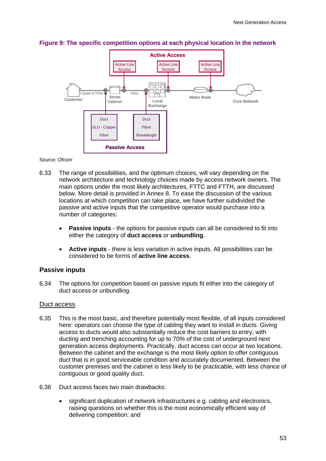

## **Figure 9: The specific competition options at each physical location in the network**

Source*: Ofcom* 

- 6.33 The range of possibilities, and the optimum choices, will vary depending on the network architecture and technology choices made by access network owners. The main options under the most likely architectures, FTTC and FTTH, are discussed below. More detail is provided in Annex 8. To ease the discussion of the various locations at which competition can take place, we have further subdivided the passive and active inputs that the competitive operator would purchase into a number of categories:
	- **Passive inputs** the options for passive inputs can all be considered to fit into either the category of **duct access** or **unbundling**.
	- **Active inputs** there is less variation in active inputs. All possibilities can be considered to be forms of **active line access**.

#### **Passive inputs**

6.34 The options for competition based on passive inputs fit either into the category of duct access or unbundling.

#### Duct access

- 6.35 This is the most basic, and therefore potentially most flexible, of all inputs considered here: operators can choose the type of cabling they want to install in ducts. Giving access to ducts would also substantially reduce the cost barriers to entry, with ducting and trenching accounting for up to 70% of the cost of underground next generation access deployments. Practically, duct access can occur at two locations. Between the cabinet and the exchange is the most likely option to offer contiguous duct that is in good serviceable condition and accurately documented. Between the customer premises and the cabinet is less likely to be practicable, with less chance of contiguous or good quality duct.
- 6.36 Duct access faces two main drawbacks:
	- significant duplication of network infrastructures e.g. cabling and electronics, raising questions on whether this is the most economically efficient way of delivering competition; and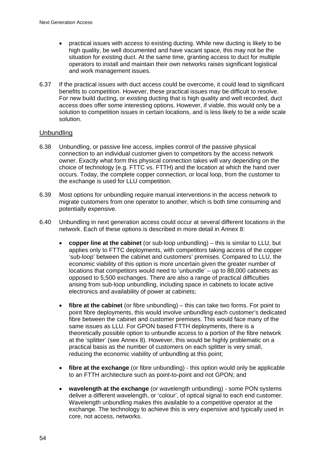- practical issues with access to existing ducting. While new ducting is likely to be high quality, be well documented and have vacant space, this may not be the situation for existing duct. At the same time, granting access to duct for multiple operators to install and maintain their own networks raises significant logistical and work management issues.
- 6.37 If the practical issues with duct access could be overcome, it could lead to significant benefits to competition. However, these practical issues may be difficult to resolve. For new build ducting, or existing ducting that is high quality and well recorded, duct access does offer some interesting options. However, if viable, this would only be a solution to competition issues in certain locations, and is less likely to be a wide scale solution.

## Unbundling

- 6.38 Unbundling, or passive line access, implies control of the passive physical connection to an individual customer given to competitors by the access network owner. Exactly what form this physical connection takes will vary depending on the choice of technology (e.g. FTTC vs. FTTH) and the location at which the hand over occurs. Today, the complete copper connection, or local loop, from the customer to the exchange is used for LLU competition.
- 6.39 Most options for unbundling require manual interventions in the access network to migrate customers from one operator to another, which is both time consuming and potentially expensive.
- 6.40 Unbundling in next generation access could occur at several different locations in the network. Each of these options is described in more detail in Annex 8:
	- **copper line at the cabinet** (or sub-loop unbundling) this is similar to LLU, but applies only to FTTC deployments, with competitors taking access of the copper 'sub-loop' between the cabinet and customers' premises. Compared to LLU, the economic viability of this option is more uncertain given the greater number of locations that competitors would need to 'unbundle' – up to 88,000 cabinets as opposed to 5,500 exchanges. There are also a range of practical difficulties arising from sub-loop unbundling, including space in cabinets to locate active electronics and availability of power at cabinets;
	- **fibre at the cabinet** (or fibre unbundling) this can take two forms. For point to point fibre deployments, this would involve unbundling each customer's dedicated fibre between the cabinet and customer premises. This would face many of the same issues as LLU. For GPON based FTTH deployments, there is a theoretically possible option to unbundle access to a portion of the fibre network at the 'splitter' (see Annex 8). However, this would be highly problematic on a practical basis as the number of customers on each splitter is very small, reducing the economic viability of unbundling at this point;
	- **fibre at the exchange** (or fibre unbundling) this option would only be applicable to an FTTH architecture such as point-to-point and not GPON; and
	- **wavelength at the exchange** (or wavelength unbundling) some PON systems deliver a different wavelength, or 'colour', of optical signal to each end customer. Wavelength unbundling makes this available to a competitive operator at the exchange. The technology to achieve this is very expensive and typically used in core, not access, networks.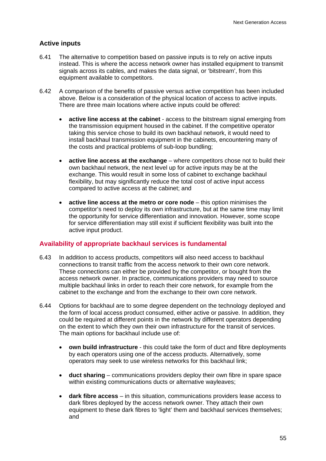## **Active inputs**

- 6.41 The alternative to competition based on passive inputs is to rely on active inputs instead. This is where the access network owner has installed equipment to transmit signals across its cables, and makes the data signal, or 'bitstream', from this equipment available to competitors.
- 6.42 A comparison of the benefits of passive versus active competition has been included above. Below is a consideration of the physical location of access to active inputs. There are three main locations where active inputs could be offered:
	- **active line access at the cabinet**  access to the bitstream signal emerging from the transmission equipment housed in the cabinet. If the competitive operator taking this service chose to build its own backhaul network, it would need to install backhaul transmission equipment in the cabinets, encountering many of the costs and practical problems of sub-loop bundling;
	- **active line access at the exchange**  where competitors chose not to build their own backhaul network, the next level up for active inputs may be at the exchange. This would result in some loss of cabinet to exchange backhaul flexibility, but may significantly reduce the total cost of active input access compared to active access at the cabinet; and
	- **active line access at the metro or core node**  this option minimises the competitor's need to deploy its own infrastructure, but at the same time may limit the opportunity for service differentiation and innovation. However, some scope for service differentiation may still exist if sufficient flexibility was built into the active input product.

#### **Availability of appropriate backhaul services is fundamental**

- 6.43 In addition to access products, competitors will also need access to backhaul connections to transit traffic from the access network to their own core network. These connections can either be provided by the competitor, or bought from the access network owner. In practice, communications providers may need to source multiple backhaul links in order to reach their core network, for example from the cabinet to the exchange and from the exchange to their own core network.
- 6.44 Options for backhaul are to some degree dependent on the technology deployed and the form of local access product consumed, either active or passive. In addition, they could be required at different points in the network by different operators depending on the extent to which they own their own infrastructure for the transit of services. The main options for backhaul include use of:
	- **own build infrastructure**  this could take the form of duct and fibre deployments by each operators using one of the access products. Alternatively, some operators may seek to use wireless networks for this backhaul link;
	- **duct sharing** communications providers deploy their own fibre in spare space within existing communications ducts or alternative wayleaves;
	- **dark fibre access**  in this situation, communications providers lease access to dark fibres deployed by the access network owner. They attach their own equipment to these dark fibres to 'light' them and backhaul services themselves; and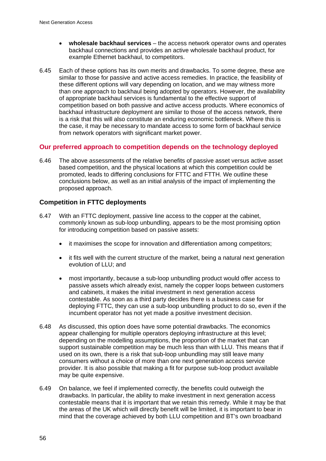- **wholesale backhaul services**  the access network operator owns and operates backhaul connections and provides an active wholesale backhaul product, for example Ethernet backhaul, to competitors.
- 6.45 Each of these options has its own merits and drawbacks. To some degree, these are similar to those for passive and active access remedies. In practice, the feasibility of these different options will vary depending on location, and we may witness more than one approach to backhaul being adopted by operators. However, the availability of appropriate backhaul services is fundamental to the effective support of competition based on both passive and active access products. Where economics of backhaul infrastructure deployment are similar to those of the access network, there is a risk that this will also constitute an enduring economic bottleneck. Where this is the case, it may be necessary to mandate access to some form of backhaul service from network operators with significant market power.

## **Our preferred approach to competition depends on the technology deployed**

6.46 The above assessments of the relative benefits of passive asset versus active asset based competition, and the physical locations at which this competition could be promoted, leads to differing conclusions for FTTC and FTTH. We outline these conclusions below, as well as an initial analysis of the impact of implementing the proposed approach.

## **Competition in FTTC deployments**

- 6.47 With an FTTC deployment, passive line access to the copper at the cabinet, commonly known as sub-loop unbundling, appears to be the most promising option for introducing competition based on passive assets:
	- it maximises the scope for innovation and differentiation among competitors;
	- it fits well with the current structure of the market, being a natural next generation evolution of LLU; and
	- most importantly, because a sub-loop unbundling product would offer access to passive assets which already exist, namely the copper loops between customers and cabinets, it makes the initial investment in next generation access contestable. As soon as a third party decides there is a business case for deploying FTTC, they can use a sub-loop unbundling product to do so, even if the incumbent operator has not yet made a positive investment decision.
- 6.48 As discussed, this option does have some potential drawbacks. The economics appear challenging for multiple operators deploying infrastructure at this level; depending on the modelling assumptions, the proportion of the market that can support sustainable competition may be much less than with LLU. This means that if used on its own, there is a risk that sub-loop unbundling may still leave many consumers without a choice of more than one next generation access service provider. It is also possible that making a fit for purpose sub-loop product available may be quite expensive.
- 6.49 On balance, we feel if implemented correctly, the benefits could outweigh the drawbacks. In particular, the ability to make investment in next generation access contestable means that it is important that we retain this remedy. While it may be that the areas of the UK which will directly benefit will be limited, it is important to bear in mind that the coverage achieved by both LLU competition and BT's own broadband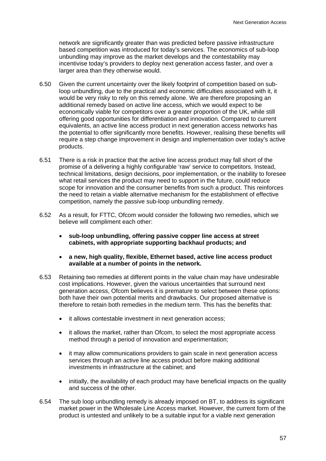network are significantly greater than was predicted before passive infrastructure based competition was introduced for today's services. The economics of sub-loop unbundling may improve as the market develops and the contestability may incentivise today's providers to deploy next generation access faster, and over a larger area than they otherwise would.

- 6.50 Given the current uncertainty over the likely footprint of competition based on subloop unbundling, due to the practical and economic difficulties associated with it, it would be very risky to rely on this remedy alone. We are therefore proposing an additional remedy based on active line access, which we would expect to be economically viable for competitors over a greater proportion of the UK, while still offering good opportunities for differentiation and innovation. Compared to current equivalents, an active line access product in next generation access networks has the potential to offer significantly more benefits. However, realising these benefits will require a step change improvement in design and implementation over today's active products.
- 6.51 There is a risk in practice that the active line access product may fall short of the promise of a delivering a highly configurable 'raw' service to competitors. Instead, technical limitations, design decisions, poor implementation, or the inability to foresee what retail services the product may need to support in the future, could reduce scope for innovation and the consumer benefits from such a product. This reinforces the need to retain a viable alternative mechanism for the establishment of effective competition, namely the passive sub-loop unbundling remedy.
- 6.52 As a result, for FTTC, Ofcom would consider the following two remedies, which we believe will compliment each other:
	- **sub-loop unbundling, offering passive copper line access at street cabinets, with appropriate supporting backhaul products; and**
	- **a new, high quality, flexible, Ethernet based, active line access product available at a number of points in the network.**
- 6.53 Retaining two remedies at different points in the value chain may have undesirable cost implications. However, given the various uncertainties that surround next generation access, Ofcom believes it is premature to select between these options: both have their own potential merits and drawbacks. Our proposed alternative is therefore to retain both remedies in the medium term. This has the benefits that:
	- it allows contestable investment in next generation access;
	- it allows the market, rather than Ofcom, to select the most appropriate access method through a period of innovation and experimentation;
	- it may allow communications providers to gain scale in next generation access services through an active line access product before making additional investments in infrastructure at the cabinet; and
	- initially, the availability of each product may have beneficial impacts on the quality and success of the other.
- 6.54 The sub loop unbundling remedy is already imposed on BT, to address its significant market power in the Wholesale Line Access market. However, the current form of the product is untested and unlikely to be a suitable input for a viable next generation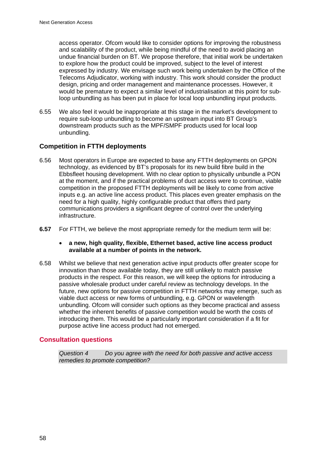access operator. Ofcom would like to consider options for improving the robustness and scalability of the product, while being mindful of the need to avoid placing an undue financial burden on BT. We propose therefore, that initial work be undertaken to explore how the product could be improved, subject to the level of interest expressed by industry. We envisage such work being undertaken by the Office of the Telecoms Adjudicator, working with industry. This work should consider the product design, pricing and order management and maintenance processes. However, it would be premature to expect a similar level of industrialisation at this point for subloop unbundling as has been put in place for local loop unbundling input products.

6.55 We also feel it would be inappropriate at this stage in the market's development to require sub-loop unbundling to become an upstream input into BT Group's downstream products such as the MPF/SMPF products used for local loop unbundling.

## **Competition in FTTH deployments**

- 6.56 Most operators in Europe are expected to base any FTTH deployments on GPON technology, as evidenced by BT's proposals for its new build fibre build in the Ebbsfleet housing development. With no clear option to physically unbundle a PON at the moment, and if the practical problems of duct access were to continue, viable competition in the proposed FTTH deployments will be likely to come from active inputs e.g. an active line access product. This places even greater emphasis on the need for a high quality, highly configurable product that offers third party communications providers a significant degree of control over the underlying infrastructure.
- **6.57** For FTTH, we believe the most appropriate remedy for the medium term will be:
	- **a new, high quality, flexible, Ethernet based, active line access product available at a number of points in the network.**
- 6.58 Whilst we believe that next generation active input products offer greater scope for innovation than those available today, they are still unlikely to match passive products in the respect. For this reason, we will keep the options for introducing a passive wholesale product under careful review as technology develops. In the future, new options for passive competition in FTTH networks may emerge, such as viable duct access or new forms of unbundling, e.g. GPON or wavelength unbundling. Ofcom will consider such options as they become practical and assess whether the inherent benefits of passive competition would be worth the costs of introducing them. This would be a particularly important consideration if a fit for purpose active line access product had not emerged.

## **Consultation questions**

*Question 4 Do you agree with the need for both passive and active access remedies to promote competition?*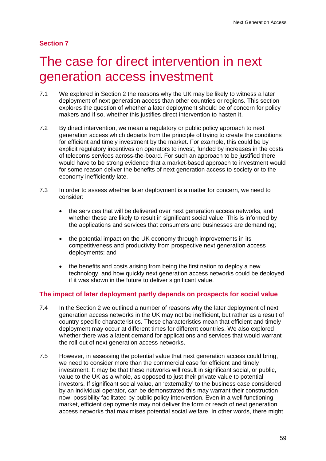## **Section 7**

# The case for direct intervention in next generation access investment

- 7.1 We explored in Section 2 the reasons why the UK may be likely to witness a later deployment of next generation access than other countries or regions. This section explores the question of whether a later deployment should be of concern for policy makers and if so, whether this justifies direct intervention to hasten it.
- 7.2 By direct intervention, we mean a regulatory or public policy approach to next generation access which departs from the principle of trying to create the conditions for efficient and timely investment by the market. For example, this could be by explicit regulatory incentives on operators to invest, funded by increases in the costs of telecoms services across-the-board. For such an approach to be justified there would have to be strong evidence that a market-based approach to investment would for some reason deliver the benefits of next generation access to society or to the economy inefficiently late.
- 7.3 In order to assess whether later deployment is a matter for concern, we need to consider:
	- the services that will be delivered over next generation access networks, and whether these are likely to result in significant social value. This is informed by the applications and services that consumers and businesses are demanding;
	- the potential impact on the UK economy through improvements in its competitiveness and productivity from prospective next generation access deployments; and
	- the benefits and costs arising from being the first nation to deploy a new technology, and how quickly next generation access networks could be deployed if it was shown in the future to deliver significant value.

## **The impact of later deployment partly depends on prospects for social value**

- 7.4 In the Section 2 we outlined a number of reasons why the later deployment of next generation access networks in the UK may not be inefficient, but rather as a result of country specific characteristics. These characteristics mean that efficient and timely deployment may occur at different times for different countries. We also explored whether there was a latent demand for applications and services that would warrant the roll-out of next generation access networks.
- 7.5 However, in assessing the potential value that next generation access could bring, we need to consider more than the commercial case for efficient and timely investment. It may be that these networks will result in significant social, or public, value to the UK as a whole, as opposed to just their private value to potential investors. If significant social value, an 'externality' to the business case considered by an individual operator, can be demonstrated this may warrant their construction now, possibility facilitated by public policy intervention. Even in a well functioning market, efficient deployments may not deliver the form or reach of next generation access networks that maximises potential social welfare. In other words, there might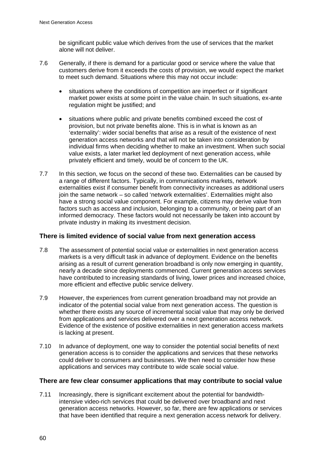be significant public value which derives from the use of services that the market alone will not deliver.

- 7.6 Generally, if there is demand for a particular good or service where the value that customers derive from it exceeds the costs of provision, we would expect the market to meet such demand. Situations where this may not occur include:
	- situations where the conditions of competition are imperfect or if significant market power exists at some point in the value chain. In such situations, ex-ante regulation might be justified; and
	- situations where public and private benefits combined exceed the cost of provision, but not private benefits alone. This is in what is known as an 'externality': wider social benefits that arise as a result of the existence of next generation access networks and that will not be taken into consideration by individual firms when deciding whether to make an investment. When such social value exists, a later market led deployment of next generation access, while privately efficient and timely, would be of concern to the UK.
- 7.7 In this section, we focus on the second of these two. Externalities can be caused by a range of different factors. Typically, in communications markets, network externalities exist if consumer benefit from connectivity increases as additional users join the same network – so called 'network externalities'. Externalities might also have a strong social value component. For example, citizens may derive value from factors such as access and inclusion, belonging to a community, or being part of an informed democracy. These factors would not necessarily be taken into account by private industry in making its investment decision.

#### **There is limited evidence of social value from next generation access**

- 7.8 The assessment of potential social value or externalities in next generation access markets is a very difficult task in advance of deployment. Evidence on the benefits arising as a result of current generation broadband is only now emerging in quantity, nearly a decade since deployments commenced. Current generation access services have contributed to increasing standards of living, lower prices and increased choice, more efficient and effective public service delivery.
- 7.9 However, the experiences from current generation broadband may not provide an indicator of the potential social value from next generation access. The question is whether there exists any source of incremental social value that may only be derived from applications and services delivered over a next generation access network. Evidence of the existence of positive externalities in next generation access markets is lacking at present.
- 7.10 In advance of deployment, one way to consider the potential social benefits of next generation access is to consider the applications and services that these networks could deliver to consumers and businesses. We then need to consider how these applications and services may contribute to wide scale social value.

#### **There are few clear consumer applications that may contribute to social value**

7.11 Increasingly, there is significant excitement about the potential for bandwidthintensive video-rich services that could be delivered over broadband and next generation access networks. However, so far, there are few applications or services that have been identified that require a next generation access network for delivery.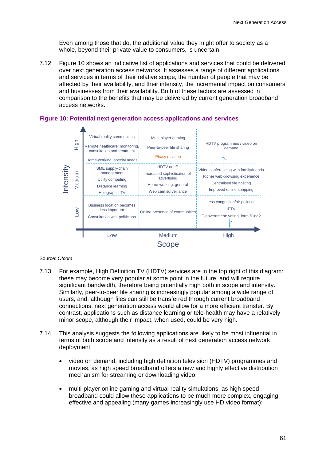Even among those that do, the additional value they might offer to society as a whole, beyond their private value to consumers, is uncertain.

7.12 Figure 10 shows an indicative list of applications and services that could be delivered over next generation access networks. It assesses a range of different applications and services in terms of their relative scope, the number of people that may be affected by their availability, and their intensity, the incremental impact on consumers and businesses from their availability. Both of these factors are assessed in comparison to the benefits that may be delivered by current generation broadband access networks.



#### **Figure 10: Potential next generation access applications and services**

#### Source: *Ofcom*

- 7.13 For example, High Definition TV (HDTV) services are in the top right of this diagram: these may become very popular at some point in the future, and will require significant bandwidth, therefore being potentially high both in scope and intensity. Similarly, peer-to-peer file sharing is increasingly popular among a wide range of users, and, although files can still be transferred through current broadband connections, next generation access would allow for a more efficient transfer. By contrast, applications such as distance learning or tele-health may have a relatively minor scope, although their impact, when used, could be very high.
- 7.14 This analysis suggests the following applications are likely to be most influential in terms of both scope and intensity as a result of next generation access network deployment:
	- video on demand, including high definition television (HDTV) programmes and movies, as high speed broadband offers a new and highly effective distribution mechanism for streaming or downloading video;
	- multi-player online gaming and virtual reality simulations, as high speed broadband could allow these applications to be much more complex, engaging, effective and appealing (many games increasingly use HD video format);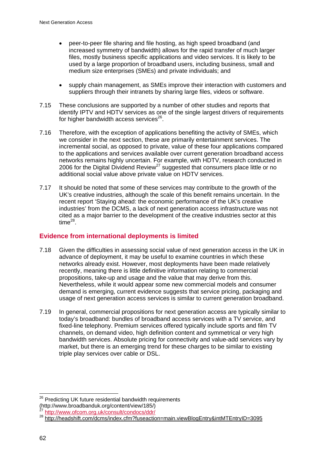- peer-to-peer file sharing and file hosting, as high speed broadband (and increased symmetry of bandwidth) allows for the rapid transfer of much larger files, mostly business specific applications and video services. It is likely to be used by a large proportion of broadband users, including business, small and medium size enterprises (SMEs) and private individuals; and
- supply chain management, as SMEs improve their interaction with customers and suppliers through their intranets by sharing large files, videos or software.
- 7.15 These conclusions are supported by a number of other studies and reports that identify IPTV and HDTV services as one of the single largest drivers of requirements for higher bandwidth access services $^{26}$ .
- 7.16 Therefore, with the exception of applications benefiting the activity of SMEs, which we consider in the next section, these are primarily entertainment services. The incremental social, as opposed to private, value of these four applications compared to the applications and services available over current generation broadband access networks remains highly uncertain. For example, with HDTV, research conducted in 2006 for the Digital Dividend Review<sup>27</sup> suggested that consumers place little or no additional social value above private value on HDTV services.
- 7.17 It should be noted that some of these services may contribute to the growth of the UK's creative industries, although the scale of this benefit remains uncertain. In the recent report 'Staying ahead: the economic performance of the UK's creative industries' from the DCMS, a lack of next generation access infrastructure was not cited as a major barrier to the development of the creative industries sector at this  $time^{28}$ .

## **Evidence from international deployments is limited**

- 7.18 Given the difficulties in assessing social value of next generation access in the UK in advance of deployment, it may be useful to examine countries in which these networks already exist. However, most deployments have been made relatively recently, meaning there is little definitive information relating to commercial propositions, take-up and usage and the value that may derive from this. Nevertheless, while it would appear some new commercial models and consumer demand is emerging, current evidence suggests that service pricing, packaging and usage of next generation access services is similar to current generation broadband.
- 7.19 In general, commercial propositions for next generation access are typically similar to today's broadband: bundles of broadband access services with a TV service, and fixed-line telephony. Premium services offered typically include sports and film TV channels, on demand video, high definition content and symmetrical or very high bandwidth services. Absolute pricing for connectivity and value-add services vary by market, but there is an emerging trend for these charges to be similar to existing triple play services over cable or DSL.

 $\overline{a}$  $26$  Predicting UK future residential bandwidth requirements

<sup>(</sup>http://www.broadbanduk.org/content/view/185/)<br><sup>27</sup> http://www.ofcom.org.uk/consult/condocs/ddr/<br><sup>28</sup> http://headshift.com/dcms/index.cfm?fuseaction=main.viewBlogEntry&intMTEntryID=3095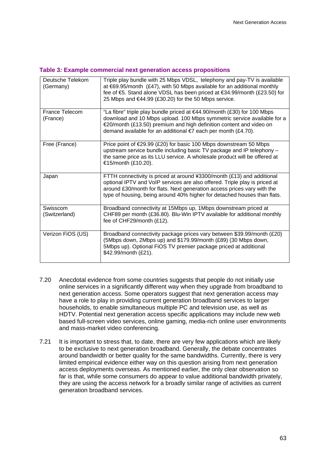#### **Table 3***:* **Example commercial next generation access propositions**

| Deutsche Telekom<br>(Germany) | Triple play bundle with 25 Mbps VDSL, telephony and pay-TV is available<br>at $69.95/m$ onth (£47), with 50 Mbps available for an additional monthly<br>fee of €5. Stand alone VDSL has been priced at €34.99/month (£23.50) for<br>25 Mbps and €44.99 (£30.20) for the 50 Mbps service.                    |
|-------------------------------|-------------------------------------------------------------------------------------------------------------------------------------------------------------------------------------------------------------------------------------------------------------------------------------------------------------|
| France Telecom<br>(France)    | "La fibre" triple play bundle priced at $€44.90/month$ (£30) for 100 Mbps<br>download and 10 Mbps upload. 100 Mbps symmetric service available for a<br>€20/month (£13.50) premium and high definition content and video on<br>demand available for an additional €7 each per month (£4.70).                |
| Free (France)                 | Price point of $\epsilon$ 29.99 (£20) for basic 100 Mbps downstream 50 Mbps<br>upstream service bundle including basic TV package and IP telephony -<br>the same price as its LLU service. A wholesale product will be offered at<br>€15/month (£10.20).                                                    |
| Japan                         | FTTH connectivity is priced at around ¥3300/month (£13) and additional<br>optional IPTV and VoIP services are also offered. Triple play is priced at<br>around £30/month for flats. Next generation access prices vary with the<br>type of housing, being around 40% higher for detached houses than flats. |
| Swisscom<br>(Switzerland)     | Broadband connectivity at 15Mbps up, 1Mbps downstream priced at<br>CHF89 per month (£36.80). Blu-Win IPTV available for additional monthly<br>fee of CHF29/month (£12).                                                                                                                                     |
| Verizon FiOS (US)             | Broadband connectivity package prices vary between \$39.99/month (£20)<br>(5Mbps down, 2Mbps up) and \$179.99/month (£89) (30 Mbps down,<br>5Mbps up). Optional FiOS TV premier package priced at additional<br>\$42.99/month (£21).                                                                        |

- 7.20 Anecdotal evidence from some countries suggests that people do not initially use online services in a significantly different way when they upgrade from broadband to next generation access. Some operators suggest that next generation access may have a role to play in providing current generation broadband services to larger households, to enable simultaneous multiple PC and television use, as well as HDTV. Potential next generation access specific applications may include new web based full-screen video services, online gaming, media-rich online user environments and mass-market video conferencing.
- 7.21 It is important to stress that, to date, there are very few applications which are likely to be exclusive to next generation broadband. Generally, the debate concentrates around bandwidth or better quality for the same bandwidths. Currently, there is very limited empirical evidence either way on this question arising from next generation access deployments overseas. As mentioned earlier, the only clear observation so far is that, while some consumers do appear to value additional bandwidth privately, they are using the access network for a broadly similar range of activities as current generation broadband services.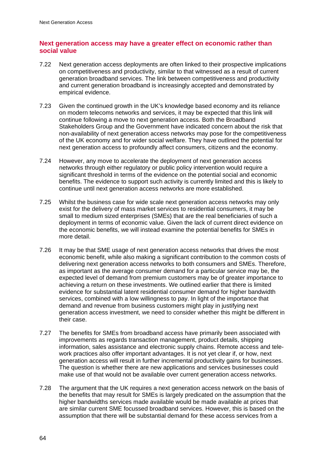## **Next generation access may have a greater effect on economic rather than social value**

- 7.22 Next generation access deployments are often linked to their prospective implications on competitiveness and productivity, similar to that witnessed as a result of current generation broadband services. The link between competitiveness and productivity and current generation broadband is increasingly accepted and demonstrated by empirical evidence.
- 7.23 Given the continued growth in the UK's knowledge based economy and its reliance on modern telecoms networks and services, it may be expected that this link will continue following a move to next generation access. Both the Broadband Stakeholders Group and the Government have indicated concern about the risk that non-availability of next generation access networks may pose for the competitiveness of the UK economy and for wider social welfare. They have outlined the potential for next generation access to profoundly affect consumers, citizens and the economy.
- 7.24 However, any move to accelerate the deployment of next generation access networks through either regulatory or public policy intervention would require a significant threshold in terms of the evidence on the potential social and economic benefits. The evidence to support such activity is currently limited and this is likely to continue until next generation access networks are more established.
- 7.25 Whilst the business case for wide scale next generation access networks may only exist for the delivery of mass market services to residential consumers, it may be small to medium sized enterprises (SMEs) that are the real beneficiaries of such a deployment in terms of economic value. Given the lack of current direct evidence on the economic benefits, we will instead examine the potential benefits for SMEs in more detail.
- 7.26 It may be that SME usage of next generation access networks that drives the most economic benefit, while also making a significant contribution to the common costs of delivering next generation access networks to both consumers and SMEs. Therefore, as important as the average consumer demand for a particular service may be, the expected level of demand from premium customers may be of greater importance to achieving a return on these investments. We outlined earlier that there is limited evidence for substantial latent residential consumer demand for higher bandwidth services, combined with a low willingness to pay. In light of the importance that demand and revenue from business customers might play in justifying next generation access investment, we need to consider whether this might be different in their case.
- 7.27 The benefits for SMEs from broadband access have primarily been associated with improvements as regards transaction management, product details, shipping information, sales assistance and electronic supply chains. Remote access and telework practices also offer important advantages. It is not yet clear if, or how, next generation access will result in further incremental productivity gains for businesses. The question is whether there are new applications and services businesses could make use of that would not be available over current generation access networks.
- 7.28 The argument that the UK requires a next generation access network on the basis of the benefits that may result for SMEs is largely predicated on the assumption that the higher bandwidths services made available would be made available at prices that are similar current SME focussed broadband services. However, this is based on the assumption that there will be substantial demand for these access services from a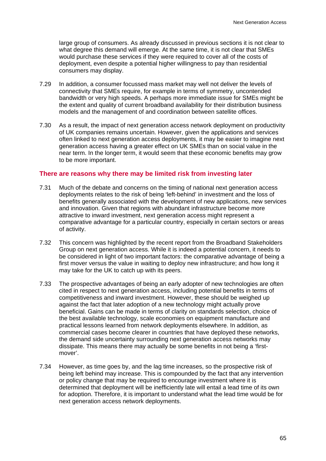large group of consumers. As already discussed in previous sections it is not clear to what degree this demand will emerge. At the same time, it is not clear that SMEs would purchase these services if they were required to cover all of the costs of deployment, even despite a potential higher willingness to pay than residential consumers may display.

- 7.29 In addition, a consumer focussed mass market may well not deliver the levels of connectivity that SMEs require, for example in terms of symmetry, uncontended bandwidth or very high speeds. A perhaps more immediate issue for SMEs might be the extent and quality of current broadband availability for their distribution business models and the management of and coordination between satellite offices.
- 7.30 As a result, the impact of next generation access network deployment on productivity of UK companies remains uncertain. However, given the applications and services often linked to next generation access deployments, it may be easier to imagine next generation access having a greater effect on UK SMEs than on social value in the near term. In the longer term, it would seem that these economic benefits may grow to be more important.

#### **There are reasons why there may be limited risk from investing later**

- 7.31 Much of the debate and concerns on the timing of national next generation access deployments relates to the risk of being 'left-behind' in investment and the loss of benefits generally associated with the development of new applications, new services and innovation. Given that regions with abundant infrastructure become more attractive to inward investment, next generation access might represent a comparative advantage for a particular country, especially in certain sectors or areas of activity.
- 7.32 This concern was highlighted by the recent report from the Broadband Stakeholders Group on next generation access. While it is indeed a potential concern, it needs to be considered in light of two important factors: the comparative advantage of being a first mover versus the value in waiting to deploy new infrastructure; and how long it may take for the UK to catch up with its peers.
- 7.33 The prospective advantages of being an early adopter of new technologies are often cited in respect to next generation access, including potential benefits in terms of competitiveness and inward investment. However, these should be weighed up against the fact that later adoption of a new technology might actually prove beneficial. Gains can be made in terms of clarity on standards selection, choice of the best available technology, scale economies on equipment manufacture and practical lessons learned from network deployments elsewhere. In addition, as commercial cases become clearer in countries that have deployed these networks, the demand side uncertainty surrounding next generation access networks may dissipate. This means there may actually be some benefits in not being a 'firstmover'.
- 7.34 However, as time goes by, and the lag time increases, so the prospective risk of being left behind may increase. This is compounded by the fact that any intervention or policy change that may be required to encourage investment where it is determined that deployment will be inefficiently late will entail a lead time of its own for adoption. Therefore, it is important to understand what the lead time would be for next generation access network deployments.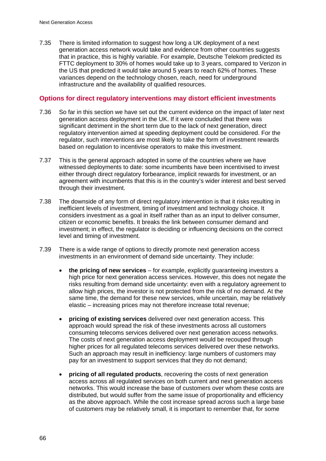7.35 There is limited information to suggest how long a UK deployment of a next generation access network would take and evidence from other countries suggests that in practice, this is highly variable. For example, Deutsche Telekom predicted its FTTC deployment to 30% of homes would take up to 3 years, compared to Verizon in the US that predicted it would take around 5 years to reach 62% of homes. These variances depend on the technology chosen, reach, need for underground infrastructure and the availability of qualified resources.

#### **Options for direct regulatory interventions may distort efficient investments**

- 7.36 So far in this section we have set out the current evidence on the impact of later next generation access deployment in the UK. If it were concluded that there was significant detriment in the short term due to the lack of next generation, direct regulatory intervention aimed at speeding deployment could be considered. For the regulator, such interventions are most likely to take the form of investment rewards based on regulation to incentivise operators to make this investment.
- 7.37 This is the general approach adopted in some of the countries where we have witnessed deployments to date: some incumbents have been incentivised to invest either through direct regulatory forbearance, implicit rewards for investment, or an agreement with incumbents that this is in the country's wider interest and best served through their investment.
- 7.38 The downside of any form of direct regulatory intervention is that it risks resulting in inefficient levels of investment, timing of investment and technology choice. It considers investment as a goal in itself rather than as an input to deliver consumer, citizen or economic benefits. It breaks the link between consumer demand and investment; in effect, the regulator is deciding or influencing decisions on the correct level and timing of investment.
- 7.39 There is a wide range of options to directly promote next generation access investments in an environment of demand side uncertainty. They include:
	- **the pricing of new services**  for example, explicitly guaranteeing investors a high price for next generation access services. However, this does not negate the risks resulting from demand side uncertainty: even with a regulatory agreement to allow high prices, the investor is not protected from the risk of no demand. At the same time, the demand for these new services, while uncertain, may be relatively elastic – increasing prices may not therefore increase total revenue;
	- **pricing of existing services** delivered over next generation access. This approach would spread the risk of these investments across all customers consuming telecoms services delivered over next generation access networks. The costs of next generation access deployment would be recouped through higher prices for all regulated telecoms services delivered over these networks. Such an approach may result in inefficiency: large numbers of customers may pay for an investment to support services that they do not demand;
	- **pricing of all regulated products**, recovering the costs of next generation access across all regulated services on both current and next generation access networks. This would increase the base of customers over whom these costs are distributed, but would suffer from the same issue of proportionality and efficiency as the above approach. While the cost increase spread across such a large base of customers may be relatively small, it is important to remember that, for some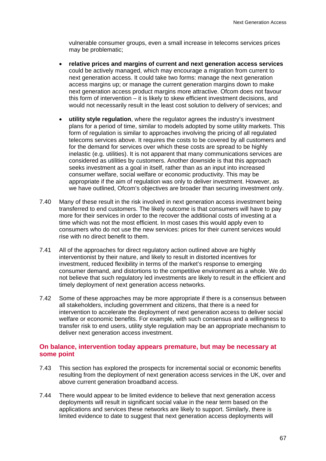vulnerable consumer groups, even a small increase in telecoms services prices may be problematic;

- **relative prices and margins of current and next generation access services** could be actively managed, which may encourage a migration from current to next generation access. It could take two forms: manage the next generation access margins up; or manage the current generation margins down to make next generation access product margins more attractive. Ofcom does not favour this form of intervention – it is likely to skew efficient investment decisions, and would not necessarily result in the least cost solution to delivery of services; and
- **utility style regulation**, where the regulator agrees the industry's investment plans for a period of time, similar to models adopted by some utility markets. This form of regulation is similar to approaches involving the pricing of all regulated telecoms services above. It requires the costs to be covered by all customers and for the demand for services over which these costs are spread to be highly inelastic (e.g. utilities). It is not apparent that many communications services are considered as utilities by customers. Another downside is that this approach seeks investment as a goal in itself, rather than as an input into increased consumer welfare, social welfare or economic productivity. This may be appropriate if the aim of regulation was only to deliver investment. However, as we have outlined, Ofcom's objectives are broader than securing investment only.
- 7.40 Many of these result in the risk involved in next generation access investment being transferred to end customers. The likely outcome is that consumers will have to pay more for their services in order to the recover the additional costs of investing at a time which was not the most efficient. In most cases this would apply even to consumers who do not use the new services: prices for their current services would rise with no direct benefit to them.
- 7.41 All of the approaches for direct regulatory action outlined above are highly interventionist by their nature, and likely to result in distorted incentives for investment, reduced flexibility in terms of the market's response to emerging consumer demand, and distortions to the competitive environment as a whole. We do not believe that such regulatory led investments are likely to result in the efficient and timely deployment of next generation access networks.
- 7.42 Some of these approaches may be more appropriate if there is a consensus between all stakeholders, including government and citizens, that there is a need for intervention to accelerate the deployment of next generation access to deliver social welfare or economic benefits. For example, with such consensus and a willingness to transfer risk to end users, utility style regulation may be an appropriate mechanism to deliver next generation access investment.

#### **On balance, intervention today appears premature, but may be necessary at some point**

- 7.43 This section has explored the prospects for incremental social or economic benefits resulting from the deployment of next generation access services in the UK, over and above current generation broadband access.
- 7.44 There would appear to be limited evidence to believe that next generation access deployments will result in significant social value in the near term based on the applications and services these networks are likely to support. Similarly, there is limited evidence to date to suggest that next generation access deployments will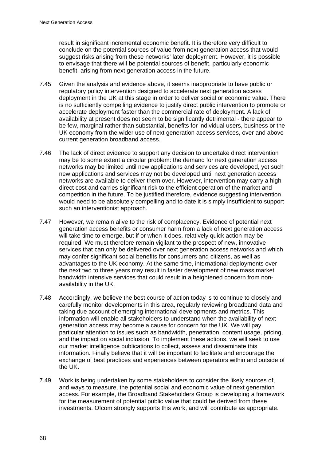result in significant incremental economic benefit. It is therefore very difficult to conclude on the potential sources of value from next generation access that would suggest risks arising from these networks' later deployment. However, it is possible to envisage that there will be potential sources of benefit, particularly economic benefit, arising from next generation access in the future.

- 7.45 Given the analysis and evidence above, it seems inappropriate to have public or regulatory policy intervention designed to accelerate next generation access deployment in the UK at this stage in order to deliver social or economic value. There is no sufficiently compelling evidence to justify direct public intervention to promote or accelerate deployment faster than the commercial rate of deployment. A lack of availability at present does not seem to be significantly detrimental - there appear to be few, marginal rather than substantial, benefits for individual users, business or the UK economy from the wider use of next generation access services, over and above current generation broadband access.
- 7.46 The lack of direct evidence to support any decision to undertake direct intervention may be to some extent a circular problem: the demand for next generation access networks may be limited until new applications and services are developed, yet such new applications and services may not be developed until next generation access networks are available to deliver them over. However, intervention may carry a high direct cost and carries significant risk to the efficient operation of the market and competition in the future. To be justified therefore, evidence suggesting intervention would need to be absolutely compelling and to date it is simply insufficient to support such an interventionist approach.
- 7.47 However, we remain alive to the risk of complacency. Evidence of potential next generation access benefits or consumer harm from a lack of next generation access will take time to emerge, but if or when it does, relatively quick action may be required. We must therefore remain vigilant to the prospect of new, innovative services that can only be delivered over next generation access networks and which may confer significant social benefits for consumers and citizens, as well as advantages to the UK economy. At the same time, international deployments over the next two to three years may result in faster development of new mass market bandwidth intensive services that could result in a heightened concern from nonavailability in the UK.
- 7.48 Accordingly, we believe the best course of action today is to continue to closely and carefully monitor developments in this area, regularly reviewing broadband data and taking due account of emerging international developments and metrics. This information will enable all stakeholders to understand when the availability of next generation access may become a cause for concern for the UK. We will pay particular attention to issues such as bandwidth, penetration, content usage, pricing, and the impact on social inclusion. To implement these actions, we will seek to use our market intelligence publications to collect, assess and disseminate this information. Finally believe that it will be important to facilitate and encourage the exchange of best practices and experiences between operators within and outside of the UK.
- 7.49 Work is being undertaken by some stakeholders to consider the likely sources of, and ways to measure, the potential social and economic value of next generation access. For example, the Broadband Stakeholders Group is developing a framework for the measurement of potential public value that could be derived from these investments. Ofcom strongly supports this work, and will contribute as appropriate.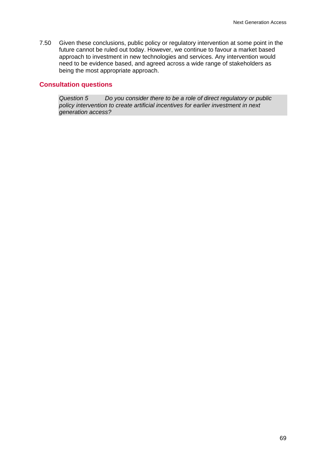7.50 Given these conclusions, public policy or regulatory intervention at some point in the future cannot be ruled out today. However, we continue to favour a market based approach to investment in new technologies and services. Any intervention would need to be evidence based, and agreed across a wide range of stakeholders as being the most appropriate approach.

## **Consultation questions**

*Question 5 Do you consider there to be a role of direct regulatory or public policy intervention to create artificial incentives for earlier investment in next generation access?*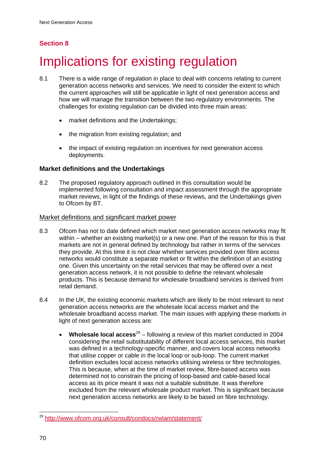# **Section 8**

# Implications for existing regulation

- 8.1 There is a wide range of regulation in place to deal with concerns relating to current generation access networks and services. We need to consider the extent to which the current approaches will still be applicable in light of next generation access and how we will manage the transition between the two regulatory environments. The challenges for existing regulation can be divided into three main areas:
	- market definitions and the Undertakings;
	- the migration from existing regulation; and
	- the impact of existing regulation on incentives for next generation access deployments.

## **Market definitions and the Undertakings**

8.2 The proposed regulatory approach outlined in this consultation would be implemented following consultation and impact assessment through the appropriate market reviews, in light of the findings of these reviews, and the Undertakings given to Ofcom by BT.

#### Market definitions and significant market power

- 8.3 Ofcom has not to date defined which market next generation access networks may fit within – whether an existing market(s) or a new one. Part of the reason for this is that markets are not in general defined by technology but rather in terms of the services they provide. At this time it is not clear whether services provided over fibre access networks would constitute a separate market or fit within the definition of an existing one. Given this uncertainty on the retail services that may be offered over a next generation access network, it is not possible to define the relevant wholesale products. This is because demand for wholesale broadband services is derived from retail demand.
- 8.4 In the UK, the existing economic markets which are likely to be most relevant to next generation access networks are the wholesale local access market and the wholesale broadband access market. The main issues with applying these markets in light of next generation access are:
	- **Wholesale local access**29 following a review of this market conducted in 2004 considering the retail substitutability of different local access services, this market was defined in a technology-specific manner, and covers local access networks that utilise copper or cable in the local loop or sub-loop. The current market definition excludes local access networks utilising wireless or fibre technologies. This is because, when at the time of market review, fibre-based access was determined not to constrain the pricing of loop-based and cable-based local access as its price meant it was not a suitable substitute. It was therefore excluded from the relevant wholesale product market. This is significant because next generation access networks are likely to be based on fibre technology.

 $\overline{a}$ 

<sup>&</sup>lt;sup>29</sup> http://www.ofcom.org.uk/consult/condocs/rwlam/statement/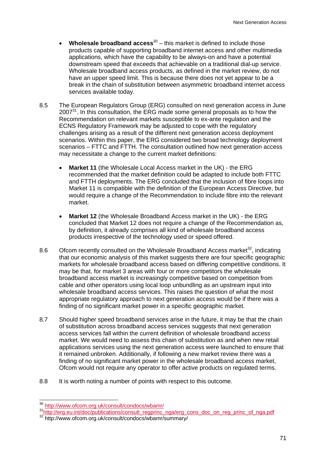- **Wholesale broadband access**<sup>30</sup> this market is defined to include those products capable of supporting broadband internet access and other multimedia applications, which have the capability to be always-on and have a potential downstream speed that exceeds that achievable on a traditional dial-up service. Wholesale broadband access products, as defined in the market review, do not have an upper speed limit. This is because there does not yet appear to be a break in the chain of substitution between asymmetric broadband internet access services available today.
- 8.5 The European Regulators Group (ERG) consulted on next generation access in June  $2007<sup>31</sup>$ . In this consultation, the ERG made some general proposals as to how the Recommendation on relevant markets susceptible to ex-ante regulation and the ECNS Regulatory Framework may be adjusted to cope with the regulatory challenges arising as a result of the different next generation access deployment scenarios. Within this paper, the ERG considered two broad technology deployment scenarios – FTTC and FTTH. The consultation outlined how next generation access may necessitate a change to the current market definitions:
	- **Market 11** (the Wholesale Local Access market in the UK) the ERG recommended that the market definition could be adapted to include both FTTC and FTTH deployments. The ERG concluded that the inclusion of fibre loops into Market 11 is compatible with the definition of the European Access Directive, but would require a change of the Recommendation to include fibre into the relevant market.
	- **Market 12** (the Wholesale Broadband Access market in the UK) the ERG concluded that Market 12 does not require a change of the Recommendation as, by definition, it already comprises all kind of wholesale broadband access products irrespective of the technology used or speed offered.
- 8.6 Ofcom recently consulted on the Wholesale Broadband Access market $32$ , indicating that our economic analysis of this market suggests there are four specific geographic markets for wholesale broadband access based on differing competitive conditions. It may be that, for market 3 areas with four or more competitors the wholesale broadband access market is increasingly competitive based on competition from cable and other operators using local loop unbundling as an upstream input into wholesale broadband access services. This raises the question of what the most appropriate regulatory approach to next generation access would be if there was a finding of no significant market power in a specific geographic market.
- 8.7 Should higher speed broadband services arise in the future, it may be that the chain of substitution across broadband access services suggests that next generation access services fall within the current definition of wholesale broadband access market. We would need to assess this chain of substitution as and when new retail applications services using the next generation access were launched to ensure that it remained unbroken. Additionally, if following a new market review there was a finding of no significant market power in the wholesale broadband access market, Ofcom would not require any operator to offer active products on regulated terms.
- 8.8 It is worth noting a number of points with respect to this outcome.

<sup>&</sup>lt;sup>30</sup> http://www.ofcom.org.uk/consult/condocs/wbamr/

<sup>31</sup> http://erg.eu.int/doc/publications/consult\_regprinc\_nga/erg\_cons\_doc\_on\_reg\_princ\_of\_nga.pdf<br>32 http://www.ofcom.org.uk/consult/condocs/wbamr/summary/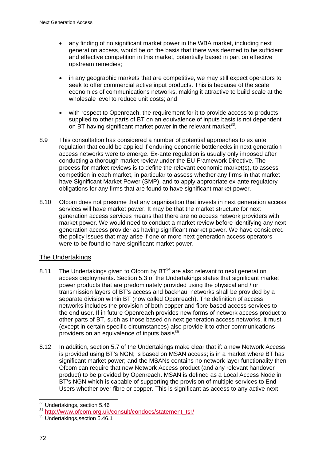- any finding of no significant market power in the WBA market, including next generation access, would be on the basis that there was deemed to be sufficient and effective competition in this market, potentially based in part on effective upstream remedies;
- in any geographic markets that are competitive, we may still expect operators to seek to offer commercial active input products. This is because of the scale economics of communications networks, making it attractive to build scale at the wholesale level to reduce unit costs; and
- with respect to Openreach, the requirement for it to provide access to products supplied to other parts of BT on an equivalence of inputs basis is not dependent on BT having significant market power in the relevant market  $33$ .
- 8.9 This consultation has considered a number of potential approaches to ex ante regulation that could be applied if enduring economic bottlenecks in next generation access networks were to emerge. Ex-ante regulation is usually only imposed after conducting a thorough market review under the EU Framework Directive. The process for market reviews is to define the relevant economic market(s), to assess competition in each market, in particular to assess whether any firms in that market have Significant Market Power (SMP), and to apply appropriate ex-ante regulatory obligations for any firms that are found to have significant market power.
- 8.10 Ofcom does not presume that any organisation that invests in next generation access services will have market power. It may be that the market structure for next generation access services means that there are no access network providers with market power. We would need to conduct a market review before identifying any next generation access provider as having significant market power. We have considered the policy issues that may arise if one or more next generation access operators were to be found to have significant market power.

## The Undertakings

- 8.11 The Undertakings given to Ofcom by  $BT^{34}$  are also relevant to next generation access deployments. Section 5.3 of the Undertakings states that significant market power products that are predominately provided using the physical and / or transmission layers of BT's access and backhaul networks shall be provided by a separate division within BT (now called Openreach). The definition of access networks includes the provision of both copper and fibre based access services to the end user. If in future Openreach provides new forms of network access product to other parts of BT, such as those based on next generation access networks, it must (except in certain specific circumstances) also provide it to other communications providers on an equivalence of inputs basis<sup>35</sup>.
- 8.12 In addition, section 5.7 of the Undertakings make clear that if: a new Network Access is provided using BT's NGN; is based on MSAN access; is in a market where BT has significant market power; and the MSANs contains no network layer functionality then Ofcom can require that new Network Access product (and any relevant handover product) to be provided by Openreach. MSAN is defined as a Local Access Node in BT's NGN which is capable of supporting the provision of multiple services to End-Users whether over fibre or copper. This is significant as access to any active next

<sup>1</sup> <sup>33</sup> Undertakings, section 5.46

<sup>&</sup>lt;sup>34</sup> http://www.ofcom.org.uk/consult/condocs/statement\_tsr/<br><sup>35</sup> Undertakings.section 5.46.1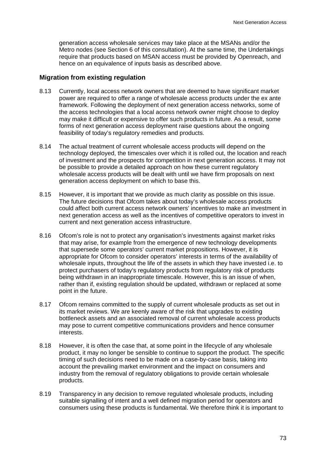generation access wholesale services may take place at the MSANs and/or the Metro nodes (see Section 6 of this consultation). At the same time, the Undertakings require that products based on MSAN access must be provided by Openreach, and hence on an equivalence of inputs basis as described above.

### **Migration from existing regulation**

- 8.13 Currently, local access network owners that are deemed to have significant market power are required to offer a range of wholesale access products under the ex ante framework. Following the deployment of next generation access networks, some of the access technologies that a local access network owner might choose to deploy may make it difficult or expensive to offer such products in future. As a result, some forms of next generation access deployment raise questions about the ongoing feasibility of today's regulatory remedies and products.
- 8.14 The actual treatment of current wholesale access products will depend on the technology deployed, the timescales over which it is rolled out, the location and reach of investment and the prospects for competition in next generation access. It may not be possible to provide a detailed approach on how these current regulatory wholesale access products will be dealt with until we have firm proposals on next generation access deployment on which to base this.
- 8.15 However, it is important that we provide as much clarity as possible on this issue. The future decisions that Ofcom takes about today's wholesale access products could affect both current access network owners' incentives to make an investment in next generation access as well as the incentives of competitive operators to invest in current and next generation access infrastructure.
- 8.16 Ofcom's role is not to protect any organisation's investments against market risks that may arise, for example from the emergence of new technology developments that supersede some operators' current market propositions. However, it is appropriate for Ofcom to consider operators' interests in terms of the availability of wholesale inputs, throughout the life of the assets in which they have invested i.e. to protect purchasers of today's regulatory products from regulatory risk of products being withdrawn in an inappropriate timescale. However, this is an issue of when, rather than if, existing regulation should be updated, withdrawn or replaced at some point in the future.
- 8.17 Ofcom remains committed to the supply of current wholesale products as set out in its market reviews. We are keenly aware of the risk that upgrades to existing bottleneck assets and an associated removal of current wholesale access products may pose to current competitive communications providers and hence consumer interests.
- 8.18 However, it is often the case that, at some point in the lifecycle of any wholesale product, it may no longer be sensible to continue to support the product. The specific timing of such decisions need to be made on a case-by-case basis, taking into account the prevailing market environment and the impact on consumers and industry from the removal of regulatory obligations to provide certain wholesale products.
- 8.19 Transparency in any decision to remove regulated wholesale products, including suitable signalling of intent and a well defined migration period for operators and consumers using these products is fundamental. We therefore think it is important to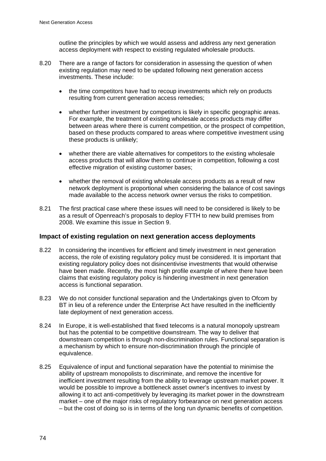outline the principles by which we would assess and address any next generation access deployment with respect to existing regulated wholesale products.

- 8.20 There are a range of factors for consideration in assessing the question of when existing regulation may need to be updated following next generation access investments. These include:
	- the time competitors have had to recoup investments which rely on products resulting from current generation access remedies;
	- whether further investment by competitors is likely in specific geographic areas. For example, the treatment of existing wholesale access products may differ between areas where there is current competition, or the prospect of competition, based on these products compared to areas where competitive investment using these products is unlikely;
	- whether there are viable alternatives for competitors to the existing wholesale access products that will allow them to continue in competition, following a cost effective migration of existing customer bases;
	- whether the removal of existing wholesale access products as a result of new network deployment is proportional when considering the balance of cost savings made available to the access network owner versus the risks to competition.
- 8.21 The first practical case where these issues will need to be considered is likely to be as a result of Openreach's proposals to deploy FTTH to new build premises from 2008. We examine this issue in Section 9.

## **Impact of existing regulation on next generation access deployments**

- 8.22 In considering the incentives for efficient and timely investment in next generation access, the role of existing regulatory policy must be considered. It is important that existing regulatory policy does not disincentivise investments that would otherwise have been made. Recently, the most high profile example of where there have been claims that existing regulatory policy is hindering investment in next generation access is functional separation.
- 8.23 We do not consider functional separation and the Undertakings given to Ofcom by BT in lieu of a reference under the Enterprise Act have resulted in the inefficiently late deployment of next generation access.
- 8.24 In Europe, it is well-established that fixed telecoms is a natural monopoly upstream but has the potential to be competitive downstream. The way to deliver that downstream competition is through non-discrimination rules. Functional separation is a mechanism by which to ensure non-discrimination through the principle of equivalence.
- 8.25 Equivalence of input and functional separation have the potential to minimise the ability of upstream monopolists to discriminate, and remove the incentive for inefficient investment resulting from the ability to leverage upstream market power. It would be possible to improve a bottleneck asset owner's incentives to invest by allowing it to act anti-competitively by leveraging its market power in the downstream market – one of the major risks of regulatory forbearance on next generation access – but the cost of doing so is in terms of the long run dynamic benefits of competition.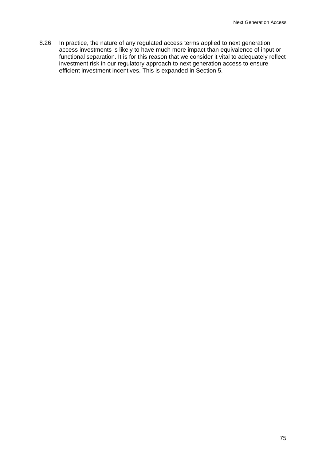8.26 In practice, the nature of any regulated access terms applied to next generation access investments is likely to have much more impact than equivalence of input or functional separation. It is for this reason that we consider it vital to adequately reflect investment risk in our regulatory approach to next generation access to ensure efficient investment incentives. This is expanded in Section 5.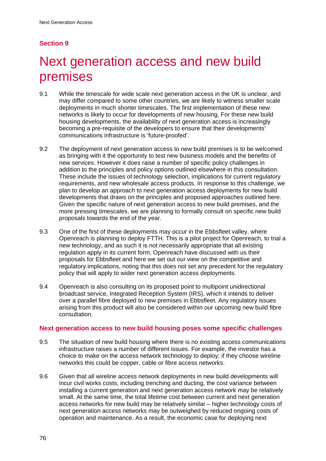# **Section 9**

# Next generation access and new build premises

- 9.1 While the timescale for wide scale next generation access in the UK is unclear, and may differ compared to some other countries, we are likely to witness smaller scale deployments in much shorter timescales. The first implementation of these new networks is likely to occur for developments of new housing. For these new build housing developments, the availability of next generation access is increasingly becoming a pre-requisite of the developers to ensure that their developments' communications infrastructure is 'future-proofed'.
- 9.2 The deployment of next generation access to new build premises is to be welcomed as bringing with it the opportunity to test new business models and the benefits of new services. However it does raise a number of specific policy challenges in addition to the principles and policy options outlined elsewhere in this consultation. These include the issues of technology selection, implications for current regulatory requirements, and new wholesale access products. In response to this challenge, we plan to develop an approach to next generation access deployments for new build developments that draws on the principles and proposed approaches outlined here. Given the specific nature of next generation access to new build premises, and the more pressing timescales, we are planning to formally consult on specific new build proposals towards the end of the year.
- 9.3 One of the first of these deployments may occur in the Ebbsfleet valley, where Openreach is planning to deploy FTTH. This is a pilot project for Openreach, to trial a new technology, and as such it is not necessarily appropriate that all existing regulation apply in its current form. Openreach have discussed with us their proposals for Ebbsfleet and here we set out our view on the competitive and regulatory implications, noting that this does not set any precedent for the regulatory policy that will apply to wider next generation access deployments.
- 9.4 Openreach is also consulting on its proposed point to multipoint unidirectional broadcast service, Integrated Reception System (IRS), which it intends to deliver over a parallel fibre deployed to new premises in Ebbsfleet. Any regulatory issues arising from this product will also be considered within our upcoming new build fibre consultation.

## **Next generation access to new build housing poses some specific challenges**

- 9.5 The situation of new build housing where there is no existing access communications infrastructure raises a number of different issues. For example, the investor has a choice to make on the access network technology to deploy; if they choose wireline networks this could be copper, cable or fibre access networks.
- 9.6 Given that all wireline access network deployments in new build developments will incur civil works costs, including trenching and ducting, the cost variance between installing a current generation and next generation access network may be relatively small. At the same time, the total lifetime cost between current and next generation access networks for new build may be relatively similar – higher technology costs of next generation access networks may be outweighed by reduced ongoing costs of operation and maintenance. As a result, the economic case for deploying next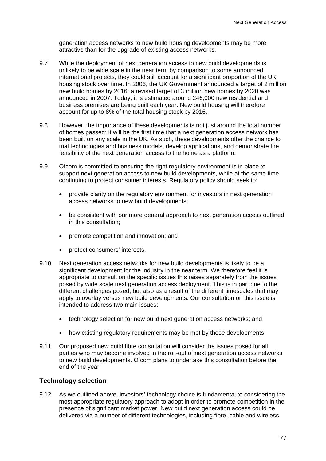generation access networks to new build housing developments may be more attractive than for the upgrade of existing access networks.

- 9.7 While the deployment of next generation access to new build developments is unlikely to be wide scale in the near term by comparison to some announced international projects, they could still account for a significant proportion of the UK housing stock over time. In 2006, the UK Government announced a target of 2 million new build homes by 2016: a revised target of 3 million new homes by 2020 was announced in 2007. Today, it is estimated around 246,000 new residential and business premises are being built each year. New build housing will therefore account for up to 8% of the total housing stock by 2016.
- 9.8 However, the importance of these developments is not just around the total number of homes passed: it will be the first time that a next generation access network has been built on any scale in the UK. As such, these developments offer the chance to trial technologies and business models, develop applications, and demonstrate the feasibility of the next generation access to the home as a platform.
- 9.9 Ofcom is committed to ensuring the right regulatory environment is in place to support next generation access to new build developments, while at the same time continuing to protect consumer interests. Regulatory policy should seek to:
	- provide clarity on the regulatory environment for investors in next generation access networks to new build developments;
	- be consistent with our more general approach to next generation access outlined in this consultation;
	- promote competition and innovation; and
	- protect consumers' interests.
- 9.10 Next generation access networks for new build developments is likely to be a significant development for the industry in the near term. We therefore feel it is appropriate to consult on the specific issues this raises separately from the issues posed by wide scale next generation access deployment. This is in part due to the different challenges posed, but also as a result of the different timescales that may apply to overlay versus new build developments. Our consultation on this issue is intended to address two main issues:
	- technology selection for new build next generation access networks; and
	- how existing regulatory requirements may be met by these developments.
- 9.11 Our proposed new build fibre consultation will consider the issues posed for all parties who may become involved in the roll-out of next generation access networks to new build developments. Ofcom plans to undertake this consultation before the end of the year.

## **Technology selection**

9.12 As we outlined above, investors' technology choice is fundamental to considering the most appropriate regulatory approach to adopt in order to promote competition in the presence of significant market power. New build next generation access could be delivered via a number of different technologies, including fibre, cable and wireless.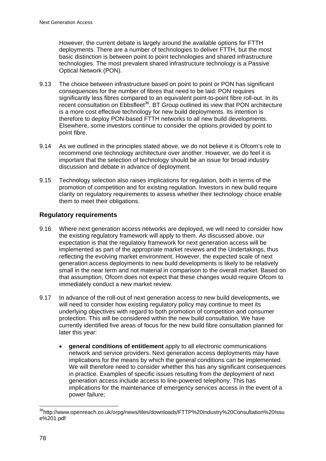However, the current debate is largely around the available options for FTTH deployments. There are a number of technologies to deliver FTTH, but the most basic distinction is between point to point technologies and shared infrastructure technologies. The most prevalent shared infrastructure technology is a Passive Optical Network (PON).

- 9.13 The choice between infrastructure based on point to point or PON has significant consequences for the number of fibres that need to be laid: PON requires significantly less fibres compared to an equivalent point-to-point fibre roll-out. In its recent consultation on Ebbsfleet<sup>36</sup>, BT Group outlined its view that PON architecture is a more cost effective technology for new build deployments. Its intention is therefore to deploy PON-based FTTH networks to all new build developments. Elsewhere, some investors continue to consider the options provided by point to point fibre.
- 9.14 As we outlined in the principles stated above, we do not believe it is Ofcom's role to recommend one technology architecture over another. However, we do feel it is important that the selection of technology should be an issue for broad industry discussion and debate in advance of deployment.
- 9.15 Technology selection also raises implications for regulation, both in terms of the promotion of competition and for existing regulation. Investors in new build require clarity on regulatory requirements to assess whether their technology choice enable them to meet their obligations.

## **Regulatory requirements**

- 9.16 Where next generation access networks are deployed, we will need to consider how the existing regulatory framework will apply to them. As discussed above, our expectation is that the regulatory framework for next generation access will be implemented as part of the appropriate market reviews and the Undertakings, thus reflecting the evolving market environment. However, the expected scale of next generation access deployments to new build developments is likely to be relatively small in the near term and not material in comparison to the overall market. Based on that assumption, Ofcom does not expect that these changes would require Ofcom to immediately conduct a new market review.
- 9.17 In advance of the roll-out of next generation access to new build developments, we will need to consider how existing regulatory policy may continue to meet its underlying objectives with regard to both promotion of competition and consumer protection. This will be considered within the new build consultation. We have currently identified five areas of focus for the new build fibre consultation planned for later this year:
	- **general conditions of entitlement** apply to all electronic communications network and service providers. Next generation access deployments may have implications for the means by which the general conditions can be implemented. We will therefore need to consider whether this has any significant consequences in practice. Examples of specific issues resulting from the deployment of next generation access include access to line-powered telephony. This has implications for the maintenance of emergency services access in the event of a power failure;

<sup>1</sup> <sup>36</sup>http://www.openreach.co.uk/orpg/news/tiles/downloads/FTTP%20Industry%20Consultation%20Issu e%201.pdf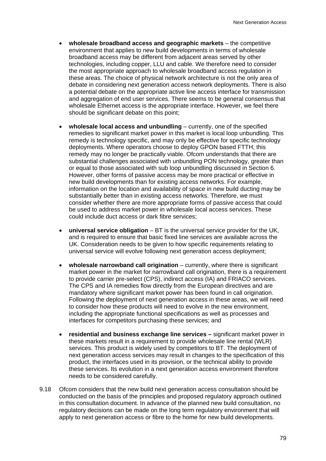- **wholesale broadband access and geographic markets**  the competitive environment that applies to new build developments in terms of wholesale broadband access may be different from adjacent areas served by other technologies, including copper, LLU and cable. We therefore need to consider the most appropriate approach to wholesale broadband access regulation in these areas. The choice of physical network architecture is not the only area of debate in considering next generation access network deployments. There is also a potential debate on the appropriate active line access interface for transmission and aggregation of end user services. There seems to be general consensus that wholesale Ethernet access is the appropriate interface. However, we feel there should be significant debate on this point:
- **wholesale local access and unbundling** currently, one of the specified remedies to significant market power in this market is local loop unbundling. This remedy is technology specific, and may only be effective for specific technology deployments. Where operators choose to deploy GPON based FTTH, this remedy may no longer be practically viable. Ofcom understands that there are substantial challenges associated with unbundling PON technology, greater than or equal to those associated with sub loop unbundling discussed in Section 6. However, other forms of passive access may be more practical or effective in new build developments than for existing access networks. For example, information on the location and availability of space in new build ducting may be substantially better than in existing access networks. Therefore, we must consider whether there are more appropriate forms of passive access that could be used to address market power in wholesale local access services. These could include duct access or dark fibre services;
- **universal service obligation** BT is the universal service provider for the UK, and is required to ensure that basic fixed line services are available across the UK. Consideration needs to be given to how specific requirements relating to universal service will evolve following next generation access deployment;
- **wholesale narrowband call origination**  currently, where there is significant market power in the market for narrowband call origination, there is a requirement to provide carrier pre-select (CPS), indirect access (IA) and FRIACO services. The CPS and IA remedies flow directly from the European directives and are mandatory where significant market power has been found in call origination. Following the deployment of next generation access in these areas, we will need to consider how these products will need to evolve in the new environment, including the appropriate functional specifications as well as processes and interfaces for competitors purchasing these services; and
- **residential and business exchange line services** significant market power in these markets result in a requirement to provide wholesale line rental (WLR) services. This product is widely used by competitors to BT. The deployment of next generation access services may result in changes to the specification of this product, the interfaces used in its provision, or the technical ability to provide these services. Its evolution in a next generation access environment therefore needs to be considered carefully.
- 9.18 Ofcom considers that the new build next generation access consultation should be conducted on the basis of the principles and proposed regulatory approach outlined in this consultation document. In advance of the planned new build consultation, no regulatory decisions can be made on the long term regulatory environment that will apply to next generation access or fibre to the home for new build developments.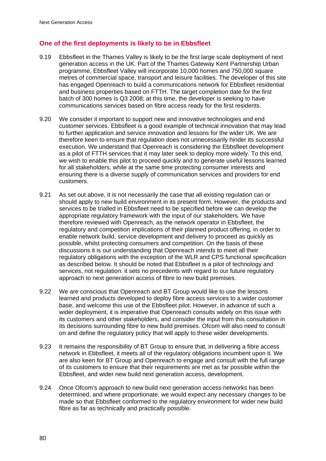## **One of the first deployments is likely to be in Ebbsfleet**

- 9.19 Ebbsfleet in the Thames Valley is likely to be the first large scale deployment of next generation access in the UK. Part of the Thames Gateway Kent Partnership Urban programme, Ebbsfleet Valley will incorporate 10,000 homes and 750,000 square metres of commercial space, transport and leisure facilities. The developer of this site has engaged Openreach to build a communications network for Ebbsfleet residential and business properties based on FTTH. The target completion date for the first batch of 300 homes is Q3 2008; at this time, the developer is seeking to have communications services based on fibre access ready for the first residents.
- 9.20 We consider it important to support new and innovative technologies and end customer services. Ebbsfleet is a good example of technical innovation that may lead to further application and service innovation and lessons for the wider UK. We are therefore keen to ensure that regulation does not unnecessarily hinder its successful execution. We understand that Openreach is considering the Ebbsfleet development as a pilot of FTTH services that it may later seek to deploy more widely. To this end, we wish to enable this pilot to proceed quickly and to generate useful lessons learned for all stakeholders, while at the same time protecting consumer interests and ensuring there is a diverse supply of communication services and providers for end customers.
- 9.21 As set out above, it is not necessarily the case that all existing regulation can or should apply to new build environment in its present form. However, the products and services to be trialled in Ebbsfleet need to be specified before we can develop the appropriate regulatory framework with the input of our stakeholders. We have therefore reviewed with Openreach, as the network operator in Ebbsfleet, the regulatory and competition implications of their planned product offering, in order to enable network build, service development and delivery to proceed as quickly as possible, whilst protecting consumers and competition. On the basis of these discussions it is our understanding that Openreach intends to meet all their regulatory obligations with the exception of the WLR and CPS functional specification as described below. It should be noted that Ebbsfleet is a pilot of technology and services, not regulation: it sets no precedents with regard to our future regulatory approach to next generation access of fibre to new build premises.
- 9.22 We are conscious that Openreach and BT Group would like to use the lessons learned and products developed to deploy fibre access services to a wider customer base, and welcome this use of the Ebbsfleet pilot. However, in advance of such a wider deployment, it is imperative that Openreach consults widely on this issue with its customers and other stakeholders, and consider the input from this consultation in its decisions surrounding fibre to new build premises. Ofcom will also need to consult on and define the regulatory policy that will apply to these wider developments.
- 9.23 It remains the responsibility of BT Group to ensure that, in delivering a fibre access network in Ebbsfleet, it meets all of the regulatory obligations incumbent upon it. We are also keen for BT Group and Openreach to engage and consult with the full range of its customers to ensure that their requirements are met as far possible within the Ebbsfleet, and wider new build next generation access, development.
- 9.24 Once Ofcom's approach to new build next generation access networks has been determined, and where proportionate, we would expect any necessary changes to be made so that Ebbsfleet conformed to the regulatory environment for wider new build fibre as far as technically and practically possible.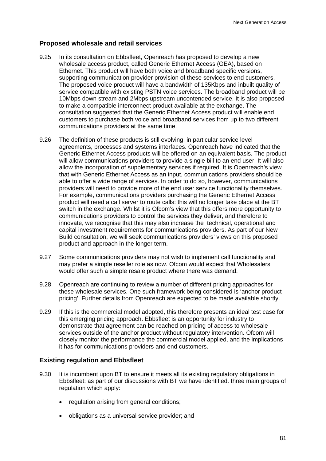## **Proposed wholesale and retail services**

- 9.25 In its consultation on Ebbsfleet, Openreach has proposed to develop a new wholesale access product, called Generic Ethernet Access (GEA), based on Ethernet. This product will have both voice and broadband specific versions, supporting communication provider provision of these services to end customers. The proposed voice product will have a bandwidth of 135Kbps and inbuilt quality of service compatible with existing PSTN voice services. The broadband product will be 10Mbps down stream and 2Mbps upstream uncontended service. It is also proposed to make a compatible interconnect product available at the exchange. The consultation suggested that the Generic Ethernet Access product will enable end customers to purchase both voice and broadband services from up to two different communications providers at the same time.
- 9.26 The definition of these products is still evolving, in particular service level agreements, processes and systems interfaces. Openreach have indicated that the Generic Ethernet Access products will be offered on an equivalent basis. The product will allow communications providers to provide a single bill to an end user. It will also allow the incorporation of supplementary services if required. It is Openreach's view that with Generic Ethernet Access as an input, communications providers should be able to offer a wide range of services. In order to do so, however, communications providers will need to provide more of the end user service functionality themselves. For example, communications providers purchasing the Generic Ethernet Access product will need a call server to route calls: this will no longer take place at the BT switch in the exchange. Whilst it is Ofcom's view that this offers more opportunity to communications providers to control the services they deliver, and therefore to innovate, we recognise that this may also increase the technical, operational and capital investment requirements for communications providers. As part of our New Build consultation, we will seek communications providers' views on this proposed product and approach in the longer term.
- 9.27 Some communications providers may not wish to implement call functionality and may prefer a simple reseller role as now. Ofcom would expect that Wholesalers would offer such a simple resale product where there was demand.
- 9.28 Openreach are continuing to review a number of different pricing approaches for these wholesale services. One such framework being considered is 'anchor product pricing'. Further details from Openreach are expected to be made available shortly.
- 9.29 If this is the commercial model adopted, this therefore presents an ideal test case for this emerging pricing approach. Ebbsfleet is an opportunity for industry to demonstrate that agreement can be reached on pricing of access to wholesale services outside of the anchor product without regulatory intervention. Ofcom will closely monitor the performance the commercial model applied, and the implications it has for communications providers and end customers.

## **Existing regulation and Ebbsfleet**

- 9.30 It is incumbent upon BT to ensure it meets all its existing regulatory obligations in Ebbsfleet: as part of our discussions with BT we have identified. three main groups of regulation which apply:
	- regulation arising from general conditions;
	- obligations as a universal service provider; and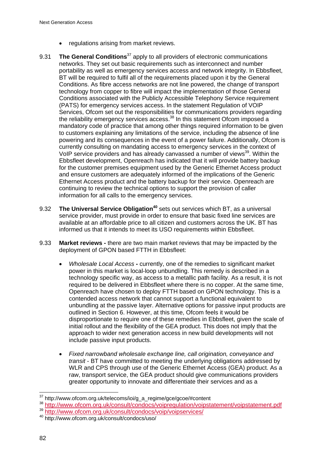- regulations arising from market reviews.
- 9.31 **The General Conditions**37 apply to all providers of electronic communications networks. They set out basic requirements such as interconnect and number portability as well as emergency services access and network integrity. In Ebbsfleet, BT will be required to fulfil all of the requirements placed upon it by the General Conditions. As fibre access networks are not line powered, the change of transport technology from copper to fibre will impact the implementation of those General Conditions associated with the Publicly Accessible Telephony Service requirement (PATS) for emergency services access. In the statement Regulation of VOIP Services, Ofcom set out the responsibilities for communications providers regarding the reliability emergency services access.<sup>38</sup> In this statement Ofcom imposed a mandatory code of practice that among other things required information to be given to customers explaining any limitations of the service, including the absence of line powering and its consequences in the event of a power failure. Additionally, Ofcom is currently consulting on mandating access to emergency services in the context of VoIP service providers and has already canvassed a number of views<sup>39</sup>. Within the Ebbsfleet development, Openreach has indicated that it will provide battery backup for the customer premises equipment used by the Generic Ethernet Access product and ensure customers are adequately informed of the implications of the Generic Ethernet Access product and the battery backup for their service. Openreach are continuing to review the technical options to support the provision of caller information for all calls to the emergency services.
- 9.32 **The Universal Service Obligation<sup>40</sup>** sets out services which BT, as a universal service provider, must provide in order to ensure that basic fixed line services are available at an affordable price to all citizen and customers across the UK. BT has informed us that it intends to meet its USO requirements within Ebbsfleet.
- 9.33 **Market reviews** there are two main market reviews that may be impacted by the deployment of GPON based FTTH in Ebbsfleet:
	- *Wholesale Local Access*currently, one of the remedies to significant market power in this market is local-loop unbundling. This remedy is described in a technology specific way, as access to a metallic path facility. As a result, it is not required to be delivered in Ebbsfleet where there is no copper. At the same time, Openreach have chosen to deploy FTTH based on GPON technology. This is a contended access network that cannot support a functional equivalent to unbundling at the passive layer. Alternative options for passive input products are outlined in Section 6. However, at this time, Ofcom feels it would be disproportionate to require one of these remedies in Ebbsfleet, given the scale of initial rollout and the flexibility of the GEA product. This does not imply that the approach to wider next generation access in new build developments will not include passive input products.
	- *Fixed narrowband wholesale exchange line, call origination, conveyance and transit* - BT have committed to meeting the underlying obligations addressed by WLR and CPS through use of the Generic Ethernet Access (GEA) product. As a raw, transport service, the GEA product should give communications providers greater opportunity to innovate and differentiate their services and as a

 $\overline{a}$ 

http://www.ofcom.org.uk/telecoms/ioi/g\_a\_regime/gce/gcoe/#content

<sup>&</sup>lt;sup>38</sup> http://www.ofcom.org.uk/consult/condocs/voipregulation/voipstatement/voipstatement.pdf<br><sup>39</sup> http://www.ofcom.org.uk/consult/condocs/voip/voipservices/<br><sup>40</sup> http://www.ofcom.org.uk/consult/condocs/uso/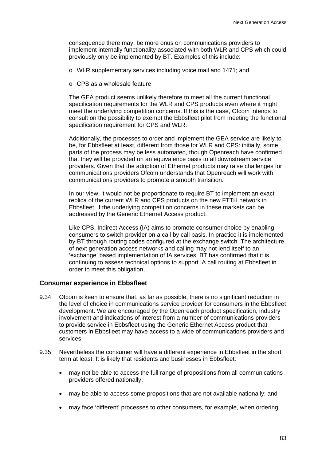consequence there may. be more onus on communications providers to implement internally functionality associated with both WLR and CPS which could previously only be implemented by BT. Examples of this include:

- o WLR supplementary services including voice mail and 1471; and
- o CPS as a wholesale feature

The GEA product seems unlikely therefore to meet all the current functional specification requirements for the WLR and CPS products even where it might meet the underlying competition concerns. If this is the case, Ofcom intends to consult on the possibility to exempt the Ebbsfleet pilot from meeting the functional specification requirement for CPS and WLR.

Additionally, the processes to order and implement the GEA service are likely to be, for Ebbsfleet at least, different from those for WLR and CPS: initially, some parts of the process may be less automated, though Openreach have confirmed that they will be provided on an equivalence basis to all downstream service providers. Given that the adoption of Ethernet products may raise challenges for communications providers Ofcom understands that Openreach will work with communications providers to promote a smooth transition.

In our view, it would not be proportionate to require BT to implement an exact replica of the current WLR and CPS products on the new FTTH network in Ebbsfleet, if the underlying competition concerns in these markets can be addressed by the Generic Ethernet Access product.

Like CPS, Indirect Access (IA) aims to promote consumer choice by enabling consumers to switch provider on a call by call basis. In practice it is implemented by BT through routing codes configured at the exchange switch. The architecture of next generation access networks and calling may not lend itself to an 'exchange' based implementation of IA services. BT has confirmed that it is continuing to assess technical options to support IA call routing at Ebbsfleet in order to meet this obligation,

#### **Consumer experience in Ebbsfleet**

- 9.34 Ofcom is keen to ensure that, as far as possible, there is no significant reduction in the level of choice in communications service provider for consumers in the Ebbsfleet development. We are encouraged by the Openreach product specification, industry involvement and indications of interest from a number of communications providers to provide service in Ebbsfleet using the Generic Ethernet Access product that customers in Ebbsfleet may have access to a wide of communications providers and services.
- 9.35 Nevertheless the consumer will have a different experience in Ebbsfleet in the short term at least. It is likely that residents and businesses in Ebbsfleet:
	- may not be able to access the full range of propositions from all communications providers offered nationally;
	- may be able to access some propositions that are not available nationally; and
	- may face 'different' processes to other consumers, for example, when ordering.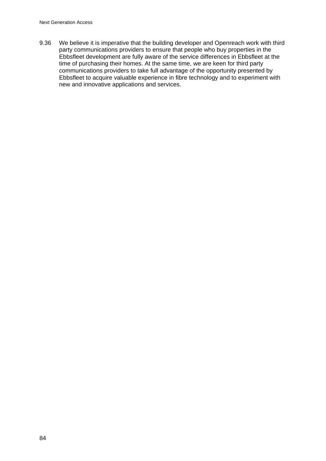9.36 We believe it is imperative that the building developer and Openreach work with third party communications providers to ensure that people who buy properties in the Ebbsfleet development are fully aware of the service differences in Ebbsfleet at the time of purchasing their homes. At the same time, we are keen for third party communications providers to take full advantage of the opportunity presented by Ebbsfleet to acquire valuable experience in fibre technology and to experiment with new and innovative applications and services.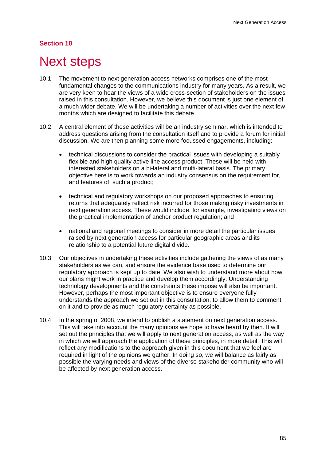## **Section 10**

# **Next steps**

- 10.1 The movement to next generation access networks comprises one of the most fundamental changes to the communications industry for many years. As a result, we are very keen to hear the views of a wide cross-section of stakeholders on the issues raised in this consultation. However, we believe this document is just one element of a much wider debate. We will be undertaking a number of activities over the next few months which are designed to facilitate this debate.
- 10.2 A central element of these activities will be an industry seminar, which is intended to address questions arising from the consultation itself and to provide a forum for initial discussion. We are then planning some more focussed engagements, including:
	- technical discussions to consider the practical issues with developing a suitably flexible and high quality active line access product. These will be held with interested stakeholders on a bi-lateral and multi-lateral basis. The primary objective here is to work towards an industry consensus on the requirement for, and features of, such a product;
	- technical and regulatory workshops on our proposed approaches to ensuring returns that adequately reflect risk incurred for those making risky investments in next generation access. These would include, for example, investigating views on the practical implementation of anchor product regulation; and
	- national and regional meetings to consider in more detail the particular issues raised by next generation access for particular geographic areas and its relationship to a potential future digital divide.
- 10.3 Our objectives in undertaking these activities include gathering the views of as many stakeholders as we can, and ensure the evidence base used to determine our regulatory approach is kept up to date. We also wish to understand more about how our plans might work in practice and develop them accordingly. Understanding technology developments and the constraints these impose will also be important. However, perhaps the most important objective is to ensure everyone fully understands the approach we set out in this consultation, to allow them to comment on it and to provide as much regulatory certainty as possible.
- 10.4 In the spring of 2008, we intend to publish a statement on next generation access. This will take into account the many opinions we hope to have heard by then. It will set out the principles that we will apply to next generation access, as well as the way in which we will approach the application of these principles, in more detail. This will reflect any modifications to the approach given in this document that we feel are required in light of the opinions we gather. In doing so, we will balance as fairly as possible the varying needs and views of the diverse stakeholder community who will be affected by next generation access.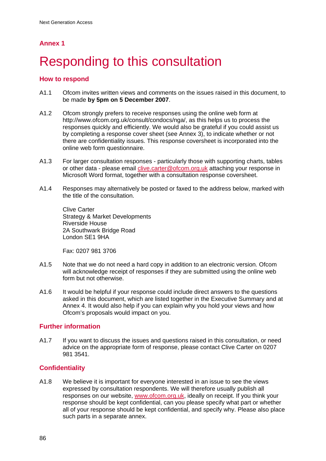# **Responding to this consultation**

## **How to respond**

- A1.1 Ofcom invites written views and comments on the issues raised in this document, to be made **by 5pm on 5 December 2007**.
- A1.2 Ofcom strongly prefers to receive responses using the online web form at http://www.ofcom.org.uk/consult/condocs/nga/, as this helps us to process the responses quickly and efficiently. We would also be grateful if you could assist us by completing a response cover sheet (see Annex 3), to indicate whether or not there are confidentiality issues. This response coversheet is incorporated into the online web form questionnaire.
- A1.3 For larger consultation responses particularly those with supporting charts, tables or other data - please email clive.carter@ofcom.org.uk attaching your response in Microsoft Word format, together with a consultation response coversheet.
- A1.4 Responses may alternatively be posted or faxed to the address below, marked with the title of the consultation.

Clive Carter Strategy & Market Developments Riverside House 2A Southwark Bridge Road London SE1 9HA

Fax: 0207 981 3706

- A1.5 Note that we do not need a hard copy in addition to an electronic version. Ofcom will acknowledge receipt of responses if they are submitted using the online web form but not otherwise.
- A1.6 It would be helpful if your response could include direct answers to the questions asked in this document, which are listed together in the Executive Summary and at Annex 4. It would also help if you can explain why you hold your views and how Ofcom's proposals would impact on you.

## **Further information**

A1.7 If you want to discuss the issues and questions raised in this consultation, or need advice on the appropriate form of response, please contact Clive Carter on 0207 981 3541.

## **Confidentiality**

A1.8 We believe it is important for everyone interested in an issue to see the views expressed by consultation respondents. We will therefore usually publish all responses on our website, www.ofcom.org.uk, ideally on receipt. If you think your response should be kept confidential, can you please specify what part or whether all of your response should be kept confidential, and specify why. Please also place such parts in a separate annex.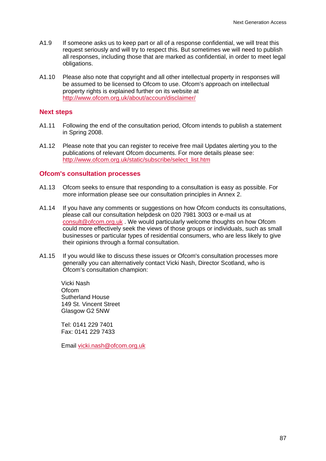- A1.9 If someone asks us to keep part or all of a response confidential, we will treat this request seriously and will try to respect this. But sometimes we will need to publish all responses, including those that are marked as confidential, in order to meet legal obligations.
- A1.10 Please also note that copyright and all other intellectual property in responses will be assumed to be licensed to Ofcom to use. Ofcom's approach on intellectual property rights is explained further on its website at http://www.ofcom.org.uk/about/accoun/disclaimer/

## **Next steps**

- A1.11 Following the end of the consultation period, Ofcom intends to publish a statement in Spring 2008.
- A1.12 Please note that you can register to receive free mail Updates alerting you to the publications of relevant Ofcom documents. For more details please see: http://www.ofcom.org.uk/static/subscribe/select\_list.htm

#### **Ofcom's consultation processes**

- A1.13 Ofcom seeks to ensure that responding to a consultation is easy as possible. For more information please see our consultation principles in Annex 2.
- A1.14 If you have any comments or suggestions on how Ofcom conducts its consultations, please call our consultation helpdesk on 020 7981 3003 or e-mail us at consult@ofcom.org.uk . We would particularly welcome thoughts on how Ofcom could more effectively seek the views of those groups or individuals, such as small businesses or particular types of residential consumers, who are less likely to give their opinions through a formal consultation.
- A1.15 If you would like to discuss these issues or Ofcom's consultation processes more generally you can alternatively contact Vicki Nash, Director Scotland, who is Ofcom's consultation champion:

Vicki Nash **Ofcom** Sutherland House 149 St. Vincent Street Glasgow G2 5NW

Tel: 0141 229 7401 Fax: 0141 229 7433

Email vicki.nash@ofcom.org.uk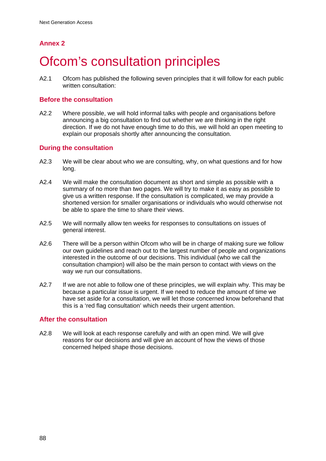# **Ofcom's consultation principles**

A2.1 Ofcom has published the following seven principles that it will follow for each public written consultation:

## **Before the consultation**

A2.2 Where possible, we will hold informal talks with people and organisations before announcing a big consultation to find out whether we are thinking in the right direction. If we do not have enough time to do this, we will hold an open meeting to explain our proposals shortly after announcing the consultation.

## **During the consultation**

- A2.3 We will be clear about who we are consulting, why, on what questions and for how long.
- A2.4 We will make the consultation document as short and simple as possible with a summary of no more than two pages. We will try to make it as easy as possible to give us a written response. If the consultation is complicated, we may provide a shortened version for smaller organisations or individuals who would otherwise not be able to spare the time to share their views.
- A2.5 We will normally allow ten weeks for responses to consultations on issues of general interest.
- A2.6 There will be a person within Ofcom who will be in charge of making sure we follow our own guidelines and reach out to the largest number of people and organizations interested in the outcome of our decisions. This individual (who we call the consultation champion) will also be the main person to contact with views on the way we run our consultations.
- A2.7 If we are not able to follow one of these principles, we will explain why. This may be because a particular issue is urgent. If we need to reduce the amount of time we have set aside for a consultation, we will let those concerned know beforehand that this is a 'red flag consultation' which needs their urgent attention.

## **After the consultation**

A2.8 We will look at each response carefully and with an open mind. We will give reasons for our decisions and will give an account of how the views of those concerned helped shape those decisions.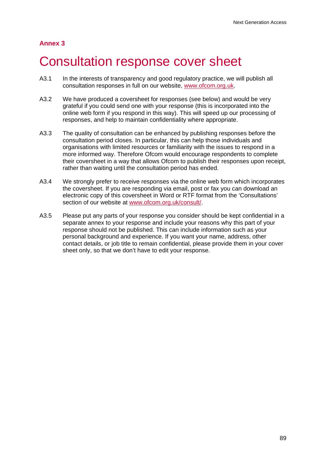# 3 Consultation response cover sheet

- A3.1 In the interests of transparency and good regulatory practice, we will publish all consultation responses in full on our website, www.ofcom.org.uk.
- A3.2 We have produced a coversheet for responses (see below) and would be very grateful if you could send one with your response (this is incorporated into the online web form if you respond in this way). This will speed up our processing of responses, and help to maintain confidentiality where appropriate.
- A3.3 The quality of consultation can be enhanced by publishing responses before the consultation period closes. In particular, this can help those individuals and organisations with limited resources or familiarity with the issues to respond in a more informed way. Therefore Ofcom would encourage respondents to complete their coversheet in a way that allows Ofcom to publish their responses upon receipt, rather than waiting until the consultation period has ended.
- A3.4 We strongly prefer to receive responses via the online web form which incorporates the coversheet. If you are responding via email, post or fax you can download an electronic copy of this coversheet in Word or RTF format from the 'Consultations' section of our website at www.ofcom.org.uk/consult/.
- A3.5 Please put any parts of your response you consider should be kept confidential in a separate annex to your response and include your reasons why this part of your response should not be published. This can include information such as your personal background and experience. If you want your name, address, other contact details, or job title to remain confidential, please provide them in your cover sheet only, so that we don't have to edit your response.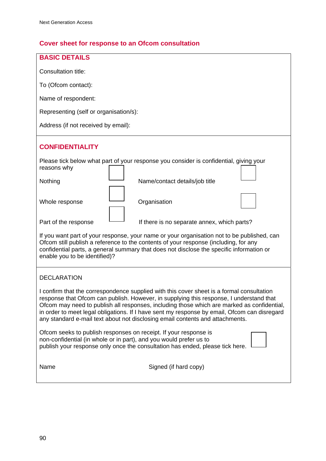# **Cover sheet for response to an Ofcom consultation**

| <b>BASIC DETAILS</b>                                                                                                                                                                                                                                                                                                                                                                                                                                                |  |  |  |
|---------------------------------------------------------------------------------------------------------------------------------------------------------------------------------------------------------------------------------------------------------------------------------------------------------------------------------------------------------------------------------------------------------------------------------------------------------------------|--|--|--|
| Consultation title:                                                                                                                                                                                                                                                                                                                                                                                                                                                 |  |  |  |
| To (Ofcom contact):                                                                                                                                                                                                                                                                                                                                                                                                                                                 |  |  |  |
| Name of respondent:                                                                                                                                                                                                                                                                                                                                                                                                                                                 |  |  |  |
| Representing (self or organisation/s):                                                                                                                                                                                                                                                                                                                                                                                                                              |  |  |  |
| Address (if not received by email):                                                                                                                                                                                                                                                                                                                                                                                                                                 |  |  |  |
| <b>CONFIDENTIALITY</b>                                                                                                                                                                                                                                                                                                                                                                                                                                              |  |  |  |
| Please tick below what part of your response you consider is confidential, giving your<br>reasons why                                                                                                                                                                                                                                                                                                                                                               |  |  |  |
| Nothing<br>Name/contact details/job title                                                                                                                                                                                                                                                                                                                                                                                                                           |  |  |  |
| Whole response<br>Organisation                                                                                                                                                                                                                                                                                                                                                                                                                                      |  |  |  |
| Part of the response<br>If there is no separate annex, which parts?                                                                                                                                                                                                                                                                                                                                                                                                 |  |  |  |
| If you want part of your response, your name or your organisation not to be published, can<br>Ofcom still publish a reference to the contents of your response (including, for any<br>confidential parts, a general summary that does not disclose the specific information or<br>enable you to be identified)?                                                                                                                                                     |  |  |  |
| <b>DECLARATION</b>                                                                                                                                                                                                                                                                                                                                                                                                                                                  |  |  |  |
| I confirm that the correspondence supplied with this cover sheet is a formal consultation<br>response that Ofcom can publish. However, in supplying this response, I understand that<br>Ofcom may need to publish all responses, including those which are marked as confidential,<br>in order to meet legal obligations. If I have sent my response by email, Ofcom can disregard<br>any standard e-mail text about not disclosing email contents and attachments. |  |  |  |
| Ofcom seeks to publish responses on receipt. If your response is<br>non-confidential (in whole or in part), and you would prefer us to<br>publish your response only once the consultation has ended, please tick here.                                                                                                                                                                                                                                             |  |  |  |
| Signed (if hard copy)<br>Name                                                                                                                                                                                                                                                                                                                                                                                                                                       |  |  |  |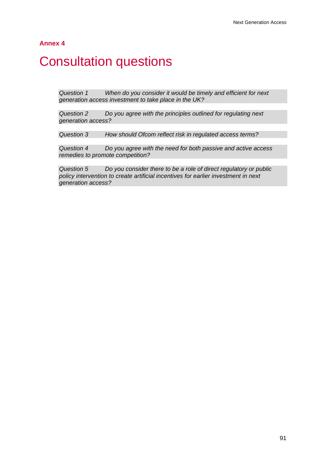# **Consultation questions**

*Question 1 When do you consider it would be timely and efficient for next generation access investment to take place in the UK?* 

*Question 2 Do you agree with the principles outlined for regulating next generation access?* 

*Question 3 How should Ofcom reflect risk in regulated access terms?* 

*Question 4 Do you agree with the need for both passive and active access remedies to promote competition?* 

*Question 5 Do you consider there to be a role of direct regulatory or public policy intervention to create artificial incentives for earlier investment in next generation access?*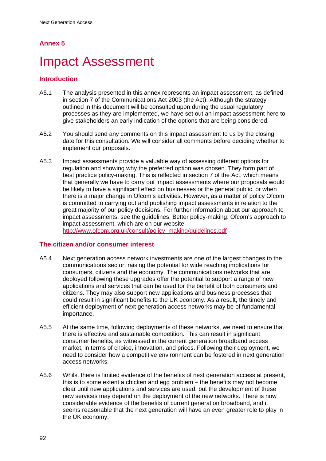# **Impact Assessment**

## **Introduction**

- A5.1 The analysis presented in this annex represents an impact assessment, as defined in section 7 of the Communications Act 2003 (the Act). Although the strategy outlined in this document will be consulted upon during the usual regulatory processes as they are implemented, we have set out an impact assessment here to give stakeholders an early indication of the options that are being considered.
- A5.2 You should send any comments on this impact assessment to us by the closing date for this consultation. We will consider all comments before deciding whether to implement our proposals.
- A5.3 Impact assessments provide a valuable way of assessing different options for regulation and showing why the preferred option was chosen. They form part of best practice policy-making. This is reflected in section 7 of the Act, which means that generally we have to carry out impact assessments where our proposals would be likely to have a significant effect on businesses or the general public, or when there is a major change in Ofcom's activities. However, as a matter of policy Ofcom is committed to carrying out and publishing impact assessments in relation to the great majority of our policy decisions. For further information about our approach to impact assessments, see the guidelines, Better policy-making: Ofcom's approach to impact assessment, which are on our website: http://www.ofcom.org.uk/consult/policy\_making/guidelines.pdf

## **The citizen and/or consumer interest**

- A5.4 Next generation access network investments are one of the largest changes to the communications sector, raising the potential for wide reaching implications for consumers, citizens and the economy. The communications networks that are deployed following these upgrades offer the potential to support a range of new applications and services that can be used for the benefit of both consumers and citizens. They may also support new applications and business processes that could result in significant benefits to the UK economy. As a result, the timely and efficient deployment of next generation access networks may be of fundamental importance.
- A5.5 At the same time, following deployments of these networks, we need to ensure that there is effective and sustainable competition. This can result in significant consumer benefits, as witnessed in the current generation broadband access market, in terms of choice, innovation, and prices. Following their deployment, we need to consider how a competitive environment can be fostered in next generation access networks.
- A5.6 Whilst there is limited evidence of the benefits of next generation access at present, this is to some extent a chicken and egg problem – the benefits may not become clear until new applications and services are used, but the development of these new services may depend on the deployment of the new networks. There is now considerable evidence of the benefits of current generation broadband, and it seems reasonable that the next generation will have an even greater role to play in the UK economy.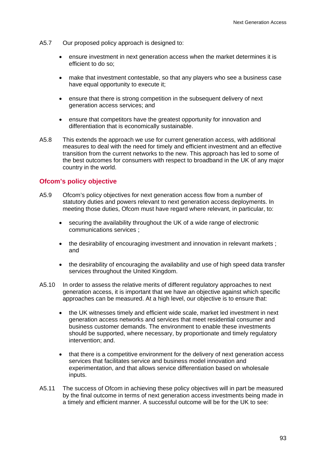- A5.7 Our proposed policy approach is designed to:
	- ensure investment in next generation access when the market determines it is efficient to do so;
	- make that investment contestable, so that any players who see a business case have equal opportunity to execute it;
	- ensure that there is strong competition in the subsequent delivery of next generation access services; and
	- ensure that competitors have the greatest opportunity for innovation and differentiation that is economically sustainable.
- A5.8 This extends the approach we use for current generation access, with additional measures to deal with the need for timely and efficient investment and an effective transition from the current networks to the new. This approach has led to some of the best outcomes for consumers with respect to broadband in the UK of any major country in the world.

## **Ofcom's policy objective**

- A5.9 Ofcom's policy objectives for next generation access flow from a number of statutory duties and powers relevant to next generation access deployments. In meeting those duties, Ofcom must have regard where relevant, in particular, to:
	- securing the availability throughout the UK of a wide range of electronic communications services ;
	- the desirability of encouraging investment and innovation in relevant markets; and
	- the desirability of encouraging the availability and use of high speed data transfer services throughout the United Kingdom.
- A5.10 In order to assess the relative merits of different regulatory approaches to next generation access, it is important that we have an objective against which specific approaches can be measured. At a high level, our objective is to ensure that:
	- the UK witnesses timely and efficient wide scale, market led investment in next generation access networks and services that meet residential consumer and business customer demands. The environment to enable these investments should be supported, where necessary, by proportionate and timely regulatory intervention; and.
	- that there is a competitive environment for the delivery of next generation access services that facilitates service and business model innovation and experimentation, and that allows service differentiation based on wholesale inputs.
- A5.11 The success of Ofcom in achieving these policy objectives will in part be measured by the final outcome in terms of next generation access investments being made in a timely and efficient manner. A successful outcome will be for the UK to see: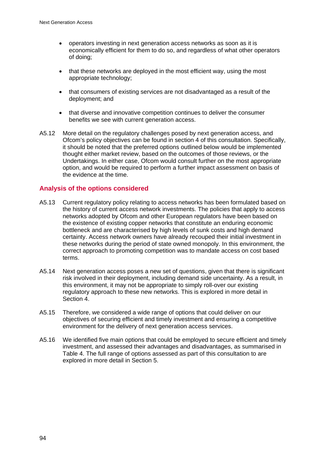- operators investing in next generation access networks as soon as it is economically efficient for them to do so, and regardless of what other operators of doing;
- that these networks are deployed in the most efficient way, using the most appropriate technology;
- that consumers of existing services are not disadvantaged as a result of the deployment; and
- that diverse and innovative competition continues to deliver the consumer benefits we see with current generation access.
- A5.12 More detail on the regulatory challenges posed by next generation access, and Ofcom's policy objectives can be found in section 4 of this consultation. Specifically, it should be noted that the preferred options outlined below would be implemented thought either market review, based on the outcomes of those reviews, or the Undertakings. In either case, Ofcom would consult further on the most appropriate option, and would be required to perform a further impact assessment on basis of the evidence at the time.

## **Analysis of the options considered**

- A5.13 Current regulatory policy relating to access networks has been formulated based on the history of current access network investments. The policies that apply to access networks adopted by Ofcom and other European regulators have been based on the existence of existing copper networks that constitute an enduring economic bottleneck and are characterised by high levels of sunk costs and high demand certainty. Access network owners have already recouped their initial investment in these networks during the period of state owned monopoly. In this environment, the correct approach to promoting competition was to mandate access on cost based terms.
- A5.14 Next generation access poses a new set of questions, given that there is significant risk involved in their deployment, including demand side uncertainty. As a result, in this environment, it may not be appropriate to simply roll-over our existing regulatory approach to these new networks. This is explored in more detail in Section 4.
- A5.15 Therefore, we considered a wide range of options that could deliver on our objectives of securing efficient and timely investment and ensuring a competitive environment for the delivery of next generation access services.
- A5.16 We identified five main options that could be employed to secure efficient and timely investment, and assessed their advantages and disadvantages, as summarised in Table 4. The full range of options assessed as part of this consultation to are explored in more detail in Section 5.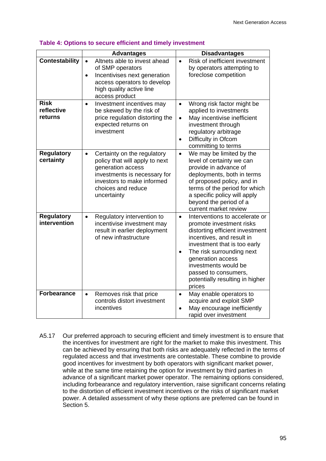|                                      | <b>Advantages</b>                                                                                                                                                                                  | <b>Disadvantages</b>                                                                                                                                                                                                                                                                                                                |
|--------------------------------------|----------------------------------------------------------------------------------------------------------------------------------------------------------------------------------------------------|-------------------------------------------------------------------------------------------------------------------------------------------------------------------------------------------------------------------------------------------------------------------------------------------------------------------------------------|
| <b>Contestability</b>                | Altnets able to invest ahead<br>$\bullet$<br>of SMP operators<br>Incentivises next generation<br>$\bullet$<br>access operators to develop<br>high quality active line<br>access product            | Risk of inefficient investment<br>$\bullet$<br>by operators attempting to<br>foreclose competition                                                                                                                                                                                                                                  |
| <b>Risk</b><br>reflective<br>returns | Investment incentives may<br>$\bullet$<br>be skewed by the risk of<br>price regulation distorting the<br>expected returns on<br>investment                                                         | Wrong risk factor might be<br>$\bullet$<br>applied to investments<br>May incentivise inefficient<br>$\bullet$<br>investment through<br>regulatory arbitrage<br>Difficulty in Ofcom<br>$\bullet$<br>committing to terms                                                                                                              |
| <b>Regulatory</b><br>certainty       | Certainty on the regulatory<br>$\bullet$<br>policy that will apply to next<br>generation access<br>investments is necessary for<br>investors to make informed<br>choices and reduce<br>uncertainty | We may be limited by the<br>$\bullet$<br>level of certainty we can<br>provide in advance of<br>deployments, both in terms<br>of proposed policy, and in<br>terms of the period for which<br>a specific policy will apply<br>beyond the period of a<br>current market review                                                         |
| <b>Regulatory</b><br>intervention    | Regulatory intervention to<br>$\bullet$<br>incentivise investment may<br>result in earlier deployment<br>of new infrastructure                                                                     | Interventions to accelerate or<br>$\bullet$<br>promote investment risks<br>distorting efficient investment<br>incentives, and result in<br>investment that is too early<br>The risk surrounding next<br>$\bullet$<br>generation access<br>investments would be<br>passed to consumers,<br>potentially resulting in higher<br>prices |
| <b>Forbearance</b>                   | Removes risk that price<br>$\bullet$<br>controls distort investment<br>incentives                                                                                                                  | May enable operators to<br>$\bullet$<br>acquire and exploit SMP<br>May encourage inefficiently<br>$\bullet$<br>rapid over investment                                                                                                                                                                                                |

#### **Table 4: Options to secure efficient and timely investment**

A5.17 Our preferred approach to securing efficient and timely investment is to ensure that the incentives for investment are right for the market to make this investment. This can be achieved by ensuring that both risks are adequately reflected in the terms of regulated access and that investments are contestable. These combine to provide good incentives for investment by both operators with significant market power, while at the same time retaining the option for investment by third parties in advance of a significant market power operator. The remaining options considered, including forbearance and regulatory intervention, raise significant concerns relating to the distortion of efficient investment incentives or the risks of significant market power. A detailed assessment of why these options are preferred can be found in Section 5.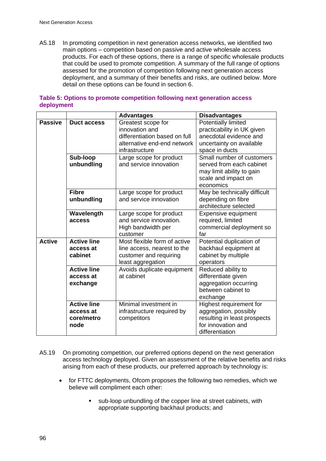A5.18 In promoting competition in next generation access networks, we identified two main options – competition based on passive and active wholesale access products. For each of these options, there is a range of specific wholesale products that could be used to promote competition. A summary of the full range of options assessed for the promotion of competition following next generation access deployment, and a summary of their benefits and risks, are outlined below. More detail on these options can be found in section 6.

|                |                    | <b>Advantages</b>                                  | <b>Disadvantages</b>                          |
|----------------|--------------------|----------------------------------------------------|-----------------------------------------------|
| <b>Passive</b> | <b>Duct access</b> | Greatest scope for                                 | Potentially limited                           |
|                |                    | innovation and                                     | practicability in UK given                    |
|                |                    | differentiation based on full                      | anecdotal evidence and                        |
|                |                    | alternative end-end network                        | uncertainty on available                      |
|                |                    | infrastructure                                     | space in ducts                                |
|                | Sub-loop           | Large scope for product                            | Small number of customers                     |
|                | unbundling         | and service innovation                             | served from each cabinet                      |
|                |                    |                                                    | may limit ability to gain                     |
|                |                    |                                                    | scale and impact on                           |
|                |                    |                                                    | economics                                     |
|                | <b>Fibre</b>       | Large scope for product                            | May be technically difficult                  |
|                | unbundling         | and service innovation                             | depending on fibre                            |
|                |                    |                                                    | architecture selected                         |
|                | Wavelength         | Large scope for product<br>and service innovation. | Expensive equipment                           |
|                | access             | High bandwidth per                                 | required, limited<br>commercial deployment so |
|                |                    | customer                                           | far                                           |
| <b>Active</b>  | <b>Active line</b> | Most flexible form of active                       | Potential duplication of                      |
|                | access at          | line access, nearest to the                        | backhaul equipment at                         |
|                | cabinet            | customer and requiring                             | cabinet by multiple                           |
|                |                    | least aggregation                                  | operators                                     |
|                | <b>Active line</b> | Avoids duplicate equipment                         | Reduced ability to                            |
|                | access at          | at cabinet                                         | differentiate given                           |
|                | exchange           |                                                    | aggregation occurring                         |
|                |                    |                                                    | between cabinet to                            |
|                |                    |                                                    | exchange                                      |
|                | <b>Active line</b> | Minimal investment in                              | Highest requirement for                       |
|                | access at          | infrastructure required by                         | aggregation, possibly                         |
|                | core/metro         | competitors                                        | resulting in least prospects                  |
|                | node               |                                                    | for innovation and                            |
|                |                    |                                                    | differentiation                               |

## **Table 5: Options to promote competition following next generation access deployment**

- A5.19 On promoting competition, our preferred options depend on the next generation access technology deployed. Given an assessment of the relative benefits and risks arising from each of these products, our preferred approach by technology is:
	- for FTTC deployments, Ofcom proposes the following two remedies, which we believe will compliment each other:
		- sub-loop unbundling of the copper line at street cabinets, with appropriate supporting backhaul products; and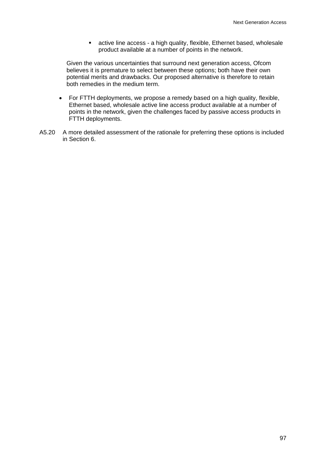active line access - a high quality, flexible, Ethernet based, wholesale product available at a number of points in the network.

Given the various uncertainties that surround next generation access, Ofcom believes it is premature to select between these options; both have their own potential merits and drawbacks. Our proposed alternative is therefore to retain both remedies in the medium term.

- For FTTH deployments, we propose a remedy based on a high quality, flexible, Ethernet based, wholesale active line access product available at a number of points in the network, given the challenges faced by passive access products in FTTH deployments.
- A5.20 A more detailed assessment of the rationale for preferring these options is included in Section 6.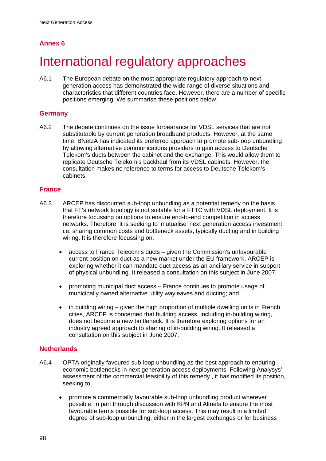# International regulatory approaches

A6.1 The European debate on the most appropriate regulatory approach to next generation access has demonstrated the wide range of diverse situations and characteristics that different countries face. However, there are a number of specific positions emerging. We summarise these positions below.

## **Germany**

A6.2 The debate continues on the issue forbearance for VDSL services that are not substitutable by current generation broadband products. However, at the same time, BNetzA has indicated its preferred approach to promote sub-loop unbundling by allowing alternative communications providers to gain access to Deutsche Telekom's ducts between the cabinet and the exchange. This would allow them to replicate Deutsche Telekom's backhaul from its VDSL cabinets. However, the consultation makes no reference to terms for access to Deutsche Telekom's cabinets.

## **France**

- A6.3 ARCEP has discounted sub-loop unbundling as a potential remedy on the basis that FT's network topology is not suitable for a FTTC with VDSL deployment. It is therefore focussing on options to ensure end-to-end competition in access networks. Therefore, it is seeking to 'mutualise' next generation access investment i.e. sharing common costs and bottleneck assets, typically ducting and in building wiring. It is therefore focussing on:
	- access to France Telecom's ducts given the Commission's unfavourable current position on duct as a new market under the EU framework, ARCEP is exploring whether it can mandate duct access as an ancillary service in support of physical unbundling. It released a consultation on this subject in June 2007.
	- promoting municipal duct access France continues to promote usage of municipally owned alternative utility wayleaves and ducting; and
	- in building wiring given the high proportion of multiple dwelling units in French cities, ARCEP is concerned that building access, including in-building wiring, does not become a new bottleneck. It is therefore exploring options for an industry agreed approach to sharing of in-building wiring. It released a consultation on this subject in June 2007.

## **Netherlands**

- A6.4 OPTA originally favoured sub-loop unbundling as the best approach to enduring economic bottlenecks in next generation access deployments. Following Analysys' assessment of the commercial feasibility of this remedy , it has modified its position, seeking to:
	- promote a commercially favourable sub-loop unbundling product wherever possible, in part through discussion with KPN and Altnets to ensure the most favourable terms possible for sub-loop access. This may result in a limited degree of sub-loop unbundling, either in the largest exchanges or for business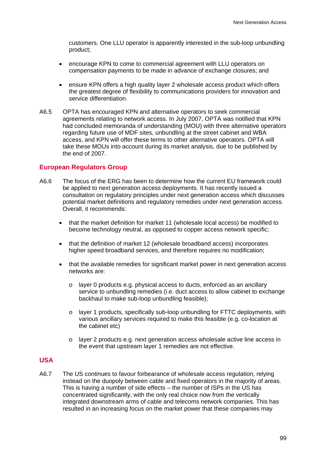customers. One LLU operator is apparently interested in the sub-loop unbundling product;

- encourage KPN to come to commercial agreement with LLU operators on compensation payments to be made in advance of exchange closures; and
- ensure KPN offers a high quality layer 2 wholesale access product which offers the greatest degree of flexibility to communications providers for innovation and service differentiation.
- A6.5 OPTA has encouraged KPN and alternative operators to seek commercial agreements relating to network access. In July 2007, OPTA was notified that KPN had concluded memoranda of understanding (MOU) with three alternative operators regarding future use of MDF sites, unbundling at the street cabinet and WBA access, and KPN will offer these terms to other alternative operators. OPTA will take these MOUs into account during its market analysis, due to be published by the end of 2007.

#### **European Regulators Group**

- A6.6 The focus of the ERG has been to determine how the current EU framework could be applied to next generation access deployments. It has recently issued a consultation on regulatory principles under next generation access which discusses potential market definitions and regulatory remedies under next generation access. Overall, it recommends:
	- that the market definition for market 11 (wholesale local access) be modified to become technology neutral, as opposed to copper access network specific;
	- that the definition of market 12 (wholesale broadband access) incorporates higher speed broadband services, and therefore requires no modification;
	- that the available remedies for significant market power in next generation access networks are:
		- o layer 0 products e.g. physical access to ducts, enforced as an ancillary service to unbundling remedies (i.e. duct access to allow cabinet to exchange backhaul to make sub-loop unbundling feasible);
		- o layer 1 products, specifically sub-loop unbundling for FTTC deployments, with various ancillary services required to make this feasible (e.g. co-location at the cabinet etc)
		- o layer 2 products e.g. next generation access wholesale active line access in the event that upstream layer 1 remedies are not effective.

## **USA**

A6.7 The US continues to favour forbearance of wholesale access regulation, relying instead on the duopoly between cable and fixed operators in the majority of areas. This is having a number of side effects – the number of ISPs in the US has concentrated significantly, with the only real choice now from the vertically integrated downstream arms of cable and telecoms network companies. This has resulted in an increasing focus on the market power that these companies may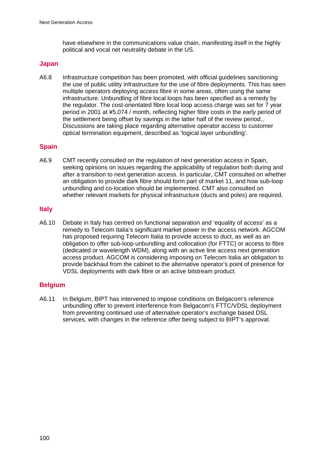have elsewhere in the communications value chain, manifesting itself in the highly political and vocal net neutrality debate in the US.

#### **Japan**

A6.8 Infrastructure competition has been promoted, with official guidelines sanctioning the use of public utility infrastructure for the use of fibre deployments. This has seen multiple operators deploying access fibre in some areas, often using the same infrastructure. Unbundling of fibre local loops has been specified as a remedy by the regulator. The cost-orientated fibre local loop access charge was set for 7 year period in 2001 at ¥5,074 / month, reflecting higher fibre costs in the early period of the settlement being offset by savings in the latter half of the review period., Discussions are taking place regarding alternative operator access to customer optical termination equipment, described as 'logical layer unbundling'.

## **Spain**

A6.9 CMT recently consulted on the regulation of next generation access in Spain, seeking opinions on issues regarding the applicability of regulation both during and after a transition to next generation access. In particular, CMT consulted on whether an obligation to provide dark fibre should form part of market 11, and how sub-loop unbundling and co-location should be implemented. CMT also consulted on whether relevant markets for physical infrastructure (ducts and poles) are required.

## **Italy**

A6.10 Debate in Italy has centred on functional separation and 'equality of access' as a remedy to Telecom Italia's significant market power in the access network. AGCOM has proposed requiring Telecom Italia to provide access to duct, as well as an obligation to offer sub-loop unbundling and collocation (for FTTC) or access to fibre (dedicated or wavelength WDM), along with an active line access next generation access product. AGCOM is considering imposing on Telecom Italia an obligation to provide backhaul from the cabinet to the alternative operator's point of presence for VDSL deployments with dark fibre or an active bitstream product.

## **Belgium**

A6.11 In Belgium, BIPT has intervened to impose conditions on Belgacom's reference unbundling offer to prevent interference from Belgacom's FTTC/VDSL deployment from preventing continued use of alternative operator's exchange based DSL services, with changes in the reference offer being subject to BIPT's approval.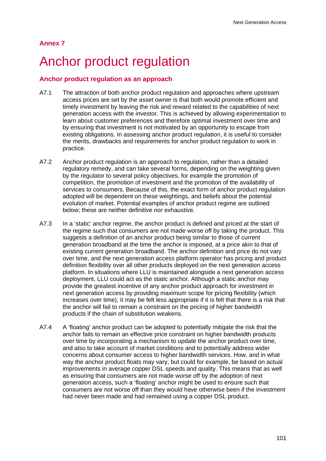# Anchor product regulation

## **Anchor product regulation as an approach**

- A7.1 The attraction of both anchor product regulation and approaches where upstream access prices are set by the asset owner is that both would promote efficient and timely investment by leaving the risk and reward related to the capabilities of next generation access with the investor. This is achieved by allowing experimentation to learn about customer preferences and therefore optimal investment over time and by ensuring that investment is not motivated by an opportunity to escape from existing obligations. In assessing anchor product regulation, it is useful to consider the merits, drawbacks and requirements for anchor product regulation to work in practice.
- A7.2 Anchor product regulation is an approach to regulation, rather than a detailed regulatory remedy, and can take several forms, depending on the weighting given by the regulator to several policy objectives, for example the promotion of competition, the promotion of investment and the promotion of the availability of services to consumers. Because of this, the exact form of anchor product regulation adopted will be dependent on these weightings, and beliefs about the potential evolution of market. Potential examples of anchor product regime are outlined below; these are neither definitive nor exhaustive.
- A7.3 In a 'static' anchor regime, the anchor product is defined and priced at the start of the regime such that consumers are not made worse off by taking the product. This suggests a definition of an anchor product being similar to those of current generation broadband at the time the anchor is imposed, at a price akin to that of existing current generation broadband. The anchor definition and price do not vary over time, and the next generation access platform operator has pricing and product definition flexibility over all other products deployed on the next generation access platform. In situations where LLU is maintained alongside a next generation access deployment, LLU could act as the static anchor. Although a static anchor may provide the greatest incentive of any anchor product approach for investment in next generation access by providing maximum scope for pricing flexibility (which increases over time), it may be felt less appropriate if it is felt that there is a risk that the anchor will fail to remain a constraint on the pricing of higher bandwidth products if the chain of substitution weakens.
- A7.4 A 'floating' anchor product can be adopted to potentially mitigate the risk that the anchor fails to remain an effective price constraint on higher bandwidth products over time by incorporating a mechanism to update the anchor product over time, and also to take account of market conditions and to potentially address wider concerns about consumer access to higher bandwidth services. How, and in what way the anchor product floats may vary, but could for example, be based on actual improvements in average copper DSL speeds and quality. This means that as well as ensuring that consumers are not made worse off by the adoption of next generation access, such a 'floating' anchor might be used to ensure such that consumers are not worse off than they would have otherwise been if the investment had never been made and had remained using a copper DSL product.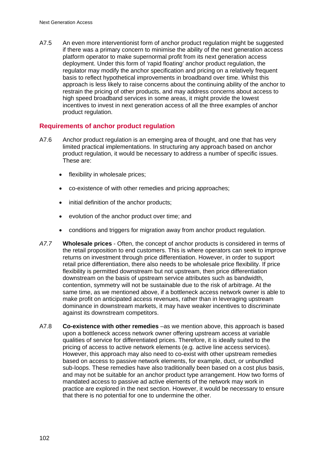A7.5 An even more interventionist form of anchor product regulation might be suggested if there was a primary concern to minimise the ability of the next generation access platform operator to make supernormal profit from its next generation access deployment. Under this form of 'rapid floating' anchor product regulation, the regulator may modify the anchor specification and pricing on a relatively frequent basis to reflect hypothetical improvements in broadband over time. Whilst this approach is less likely to raise concerns about the continuing ability of the anchor to restrain the pricing of other products, and may address concerns about access to high speed broadband services in some areas, it might provide the lowest incentives to invest in next generation access of all the three examples of anchor product regulation.

## **Requirements of anchor product regulation**

- A7.6 Anchor product regulation is an emerging area of thought, and one that has very limited practical implementations. In structuring any approach based on anchor product regulation, it would be necessary to address a number of specific issues. These are:
	- flexibility in wholesale prices;
	- co-existence of with other remedies and pricing approaches;
	- initial definition of the anchor products;
	- evolution of the anchor product over time; and
	- conditions and triggers for migration away from anchor product regulation.
- *A7.7* **Wholesale prices**  Often, the concept of anchor products is considered in terms of the retail proposition to end customers. This is where operators can seek to improve returns on investment through price differentiation. However, in order to support retail price differentiation, there also needs to be wholesale price flexibility. If price flexibility is permitted downstream but not upstream, then price differentiation downstream on the basis of upstream service attributes such as bandwidth, contention, symmetry will not be sustainable due to the risk of arbitrage. At the same time, as we mentioned above, if a bottleneck access network owner is able to make profit on anticipated access revenues, rather than in leveraging upstream dominance in downstream markets, it may have weaker incentives to discriminate against its downstream competitors.
- A7.8 **Co-existence with other remedies** –as we mention above, this approach is based upon a bottleneck access network owner offering upstream access at variable qualities of service for differentiated prices. Therefore, it is ideally suited to the pricing of access to active network elements (e.g. active line access services). However, this approach may also need to co-exist with other upstream remedies based on access to passive network elements, for example, duct, or unbundled sub-loops. These remedies have also traditionally been based on a cost plus basis, and may not be suitable for an anchor product type arrangement. How two forms of mandated access to passive ad active elements of the network may work in practice are explored in the next section. However, it would be necessary to ensure that there is no potential for one to undermine the other.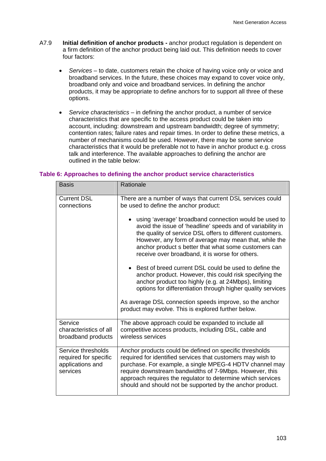- A7.9 **Initial definition of anchor products** anchor product regulation is dependent on a firm definition of the anchor product being laid out. This definition needs to cover four factors:
	- *Services* to date, customers retain the choice of having voice only or voice and broadband services. In the future, these choices may expand to cover voice only, broadband only and voice and broadband services. In defining the anchor products, it may be appropriate to define anchors for to support all three of these options.
	- *Service characteristics*  in defining the anchor product, a number of service characteristics that are specific to the access product could be taken into account, including: downstream and upstream bandwidth; degree of symmetry; contention rates; failure rates and repair times. In order to define these metrics, a number of mechanisms could be used. However, there may be some service characteristics that it would be preferable not to have in anchor product e.g. cross talk and interference. The available approaches to defining the anchor are outlined in the table below:

| <b>Basis</b>                                                                | Rationale                                                                                                                                                                                                                                                                                                                                                                                                                                                   |  |
|-----------------------------------------------------------------------------|-------------------------------------------------------------------------------------------------------------------------------------------------------------------------------------------------------------------------------------------------------------------------------------------------------------------------------------------------------------------------------------------------------------------------------------------------------------|--|
| <b>Current DSL</b><br>connections                                           | There are a number of ways that current DSL services could<br>be used to define the anchor product:<br>using 'average' broadband connection would be used to<br>avoid the issue of 'headline' speeds and of variability in<br>the quality of service DSL offers to different customers.<br>However, any form of average may mean that, while the<br>anchor product s better that what some customers can<br>receive over broadband, it is worse for others. |  |
|                                                                             | Best of breed current DSL could be used to define the<br>anchor product. However, this could risk specifying the<br>anchor product too highly (e.g. at 24Mbps), limiting<br>options for differentiation through higher quality services<br>As average DSL connection speeds improve, so the anchor<br>product may evolve. This is explored further below.                                                                                                   |  |
| Service<br>characteristics of all<br>broadband products                     | The above approach could be expanded to include all<br>competitive access products, including DSL, cable and<br>wireless services                                                                                                                                                                                                                                                                                                                           |  |
| Service thresholds<br>required for specific<br>applications and<br>services | Anchor products could be defined on specific thresholds<br>required for identified services that customers may wish to<br>purchase. For example, a single MPEG-4 HDTV channel may<br>require downstream bandwidths of 7-9Mbps. However, this<br>approach requires the regulator to determine which services<br>should and should not be supported by the anchor product.                                                                                    |  |

#### **Table 6: Approaches to defining the anchor product service characteristics**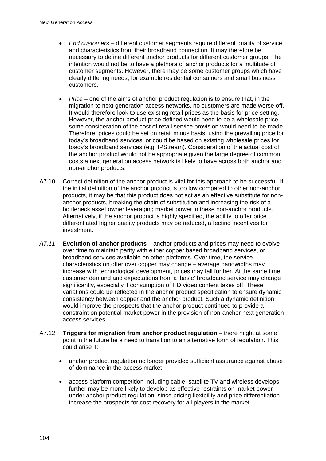- *End customers* different customer segments require different quality of service and characteristics from their broadband connection. It may therefore be necessary to define different anchor products for different customer groups. The intention would not be to have a plethora of anchor products for a multitude of customer segments. However, there may be some customer groups which have clearly differing needs, for example residential consumers and small business customers.
- *Price* one of the aims of anchor product regulation is to ensure that, in the migration to next generation access networks, no customers are made worse off. It would therefore look to use existing retail prices as the basis for price setting. However, the anchor product price defined would need to be a wholesale price – some consideration of the cost of retail service provision would need to be made. Therefore, prices could be set on retail minus basis, using the prevailing price for today's broadband services, or could be based on existing wholesale prices for toady's broadband services (e.g. IPStream). Consideration of the actual cost of the anchor product would not be appropriate given the large degree of common costs a next generation access network is likely to have across both anchor and non-anchor products.
- A7.10 Correct definition of the anchor product is vital for this approach to be successful. If the initial definition of the anchor product is too low compared to other non-anchor products, it may be that this product does not act as an effective substitute for nonanchor products, breaking the chain of substitution and increasing the risk of a bottleneck asset owner leveraging market power in these non-anchor products. Alternatively, if the anchor product is highly specified, the ability to offer price differentiated higher quality products may be reduced, affecting incentives for investment.
- *A7.11* **Evolution of anchor products** anchor products and prices may need to evolve over time to maintain parity with either copper based broadband services, or broadband services available on other platforms. Over time, the service characteristics on offer over copper may change – average bandwidths may increase with technological development, prices may fall further. At the same time, customer demand and expectations from a 'basic' broadband service may change significantly, especially if consumption of HD video content takes off. These variations could be reflected in the anchor product specification to ensure dynamic consistency between copper and the anchor product. Such a dynamic definition would improve the prospects that the anchor product continued to provide a constraint on potential market power in the provision of non-anchor next generation access services.
- A7.12 **Triggers for migration from anchor product regulation** there might at some point in the future be a need to transition to an alternative form of regulation. This could arise if:
	- anchor product regulation no longer provided sufficient assurance against abuse of dominance in the access market
	- access platform competition including cable, satellite TV and wireless develops further may be more likely to develop as effective restraints on market power under anchor product regulation, since pricing flexibility and price differentiation increase the prospects for cost recovery for all players in the market.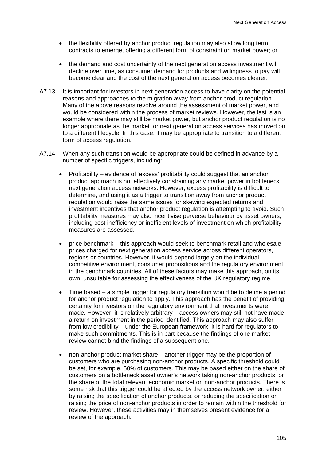- the flexibility offered by anchor product regulation may also allow long term contracts to emerge, offering a different form of constraint on market power; or
- the demand and cost uncertainty of the next generation access investment will decline over time, as consumer demand for products and willingness to pay will become clear and the cost of the next generation access becomes clearer.
- A7.13 It is important for investors in next generation access to have clarity on the potential reasons and approaches to the migration away from anchor product regulation. Many of the above reasons revolve around the assessment of market power, and would be considered within the process of market reviews. However, the last is an example where there may still be market power, but anchor product regulation is no longer appropriate as the market for next generation access services has moved on to a different lifecycle. In this case, it may be appropriate to transition to a different form of access regulation.
- A7.14 When any such transition would be appropriate could be defined in advance by a number of specific triggers, including:
	- Profitability evidence of 'excess' profitability could suggest that an anchor product approach is not effectively constraining any market power in bottleneck next generation access networks. However, excess profitability is difficult to determine, and using it as a trigger to transition away from anchor product regulation would raise the same issues for skewing expected returns and investment incentives that anchor product regulation is attempting to avoid. Such profitability measures may also incentivise perverse behaviour by asset owners, including cost inefficiency or inefficient levels of investment on which profitability measures are assessed.
	- price benchmark this approach would seek to benchmark retail and wholesale prices charged for next generation access service across different operators, regions or countries. However, it would depend largely on the individual competitive environment, consumer propositions and the regulatory environment in the benchmark countries. All of these factors may make this approach, on its own, unsuitable for assessing the effectiveness of the UK regulatory regime.
	- Time based a simple trigger for regulatory transition would be to define a period for anchor product regulation to apply. This approach has the benefit of providing certainty for investors on the regulatory environment that investments were made. However, it is relatively arbitrary – access owners may still not have made a return on investment in the period identified. This approach may also suffer from low credibility – under the European framework, it is hard for regulators to make such commitments. This is in part because the findings of one market review cannot bind the findings of a subsequent one.
	- non-anchor product market share another trigger may be the proportion of customers who are purchasing non-anchor products. A specific threshold could be set, for example, 50% of customers. This may be based either on the share of customers on a bottleneck asset owner's network taking non-anchor products, or the share of the total relevant economic market on non-anchor products. There is some risk that this trigger could be affected by the access network owner, either by raising the specification of anchor products, or reducing the specification or raising the price of non-anchor products in order to remain within the threshold for review. However, these activities may in themselves present evidence for a review of the approach.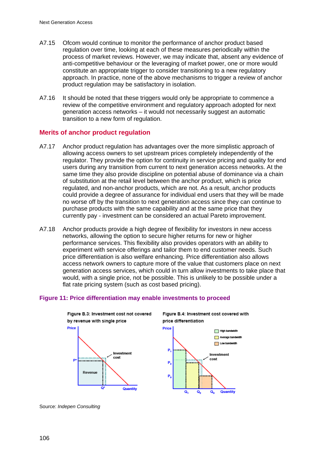- A7.15 Ofcom would continue to monitor the performance of anchor product based regulation over time, looking at each of these measures periodically within the process of market reviews. However, we may indicate that, absent any evidence of anti-competitive behaviour or the leveraging of market power, one or more would constitute an appropriate trigger to consider transitioning to a new regulatory approach. In practice, none of the above mechanisms to trigger a review of anchor product regulation may be satisfactory in isolation.
- A7.16 It should be noted that these triggers would only be appropriate to commence a review of the competitive environment and regulatory approach adopted for next generation access networks – it would not necessarily suggest an automatic transition to a new form of regulation.

## **Merits of anchor product regulation**

- A7.17 Anchor product regulation has advantages over the more simplistic approach of allowing access owners to set upstream prices completely independently of the regulator. They provide the option for continuity in service pricing and quality for end users during any transition from current to next generation access networks. At the same time they also provide discipline on potential abuse of dominance via a chain of substitution at the retail level between the anchor product, which is price regulated, and non-anchor products, which are not. As a result, anchor products could provide a degree of assurance for individual end users that they will be made no worse off by the transition to next generation access since they can continue to purchase products with the same capability and at the same price that they currently pay - investment can be considered an actual Pareto improvement.
- A7.18 Anchor products provide a high degree of flexibility for investors in new access networks, allowing the option to secure higher returns for new or higher performance services. This flexibility also provides operators with an ability to experiment with service offerings and tailor them to end customer needs. Such price differentiation is also welfare enhancing. Price differentiation also allows access network owners to capture more of the value that customers place on next generation access services, which could in turn allow investments to take place that would, with a single price, not be possible. This is unlikely to be possible under a flat rate pricing system (such as cost based pricing).

## **Figure 11: Price differentiation may enable investments to proceed**



Figure B.4: Investment cost covered with price differentiation



Source: *Indepen Consulting*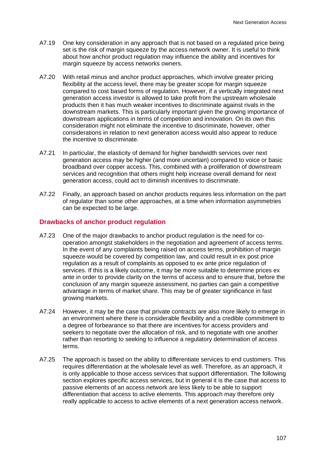- A7.19 One key consideration in any approach that is not based on a regulated price being set is the risk of margin squeeze by the access network owner. It is useful to think about how anchor product regulation may influence the ability and incentives for margin squeeze by access networks owners.
- A7.20 With retail minus and anchor product approaches, which involve greater pricing flexibility at the access level, there may be greater scope for margin squeeze compared to cost based forms of regulation. However, if a vertically integrated next generation access investor is allowed to take profit from the upstream wholesale products then it has much weaker incentives to discriminate against rivals in the downstream markets. This is particularly important given the growing importance of downstream applications in terms of competition and innovation. On its own this consideration might not eliminate the incentive to discriminate, however, other considerations in relation to next generation access would also appear to reduce the incentive to discriminate.
- A7.21 In particular, the elasticity of demand for higher bandwidth services over next generation access may be higher (and more uncertain) compared to voice or basic broadband over copper access. This, combined with a proliferation of downstream services and recognition that others might help increase overall demand for next generation access, could act to diminish incentives to discriminate.
- A7.22 Finally, an approach based on anchor products requires less information on the part of regulator than some other approaches, at a time when information asymmetries can be expected to be large.

#### **Drawbacks of anchor product regulation**

- A7.23 One of the major drawbacks to anchor product regulation is the need for cooperation amongst stakeholders in the negotiation and agreement of access terms. In the event of any complaints being raised on access terms, prohibition of margin squeeze would be covered by competition law, and could result in ex post price regulation as a result of complaints as opposed to ex ante price regulation of services. If this is a likely outcome, it may be more suitable to determine prices ex ante in order to provide clarity on the terms of access and to ensure that, before the conclusion of any margin squeeze assessment, no parties can gain a competitive advantage in terms of market share. This may be of greater significance in fast growing markets.
- A7.24 However, it may be the case that private contracts are also more likely to emerge in an environment where there is considerable flexibility and a credible commitment to a degree of forbearance so that there are incentives for access providers and seekers to negotiate over the allocation of risk, and to negotiate with one another rather than resorting to seeking to influence a regulatory determination of access terms.
- A7.25 The approach is based on the ability to differentiate services to end customers. This requires differentiation at the wholesale level as well. Therefore, as an approach, it is only applicable to those access services that support differentiation. The following section explores specific access services, but in general it is the case that access to passive elements of an access network are less likely to be able to support differentiation that access to active elements. This approach may therefore only really applicable to access to active elements of a next generation access network.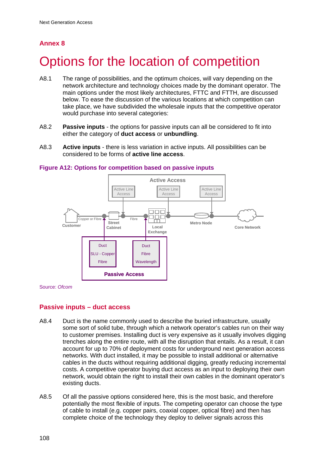## **Annex 8**

# Options for the location of competition

- A8.1 The range of possibilities, and the optimum choices, will vary depending on the network architecture and technology choices made by the dominant operator. The main options under the most likely architectures, FTTC and FTTH, are discussed below. To ease the discussion of the various locations at which competition can take place, we have subdivided the wholesale inputs that the competitive operator would purchase into several categories:
- A8.2 **Passive inputs**  the options for passive inputs can all be considered to fit into either the category of **duct access** or **unbundling**.
- A8.3 **Active inputs** there is less variation in active inputs. All possibilities can be considered to be forms of **active line access**.



#### **Figure A12: Options for competition based on passive inputs**

Source: *Ofcom* 

## **Passive inputs – duct access**

- A8.4 Duct is the name commonly used to describe the buried infrastructure, usually some sort of solid tube, through which a network operator's cables run on their way to customer premises. Installing duct is very expensive as it usually involves digging trenches along the entire route, with all the disruption that entails. As a result, it can account for up to 70% of deployment costs for underground next generation access networks. With duct installed, it may be possible to install additional or alternative cables in the ducts without requiring additional digging, greatly reducing incremental costs. A competitive operator buying duct access as an input to deploying their own network, would obtain the right to install their own cables in the dominant operator's existing ducts.
- A8.5 Of all the passive options considered here, this is the most basic, and therefore potentially the most flexible of inputs. The competing operator can choose the type of cable to install (e.g. copper pairs, coaxial copper, optical fibre) and then has complete choice of the technology they deploy to deliver signals across this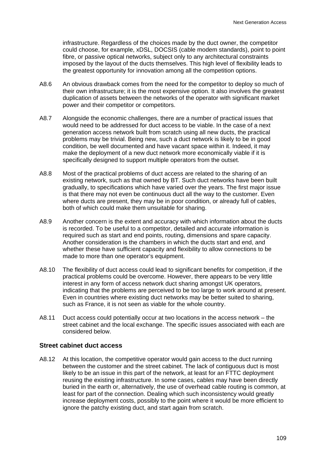infrastructure. Regardless of the choices made by the duct owner, the competitor could choose, for example, xDSL, DOCSIS (cable modem standards), point to point fibre, or passive optical networks, subject only to any architectural constraints imposed by the layout of the ducts themselves. This high level of flexibility leads to the greatest opportunity for innovation among all the competition options.

- A8.6 An obvious drawback comes from the need for the competitor to deploy so much of their own infrastructure; it is the most expensive option. It also involves the greatest duplication of assets between the networks of the operator with significant market power and their competitor or competitors.
- A8.7 Alongside the economic challenges, there are a number of practical issues that would need to be addressed for duct access to be viable. In the case of a next generation access network built from scratch using all new ducts, the practical problems may be trivial. Being new, such a duct network is likely to be in good condition, be well documented and have vacant space within it. Indeed, it may make the deployment of a new duct network more economically viable if it is specifically designed to support multiple operators from the outset.
- A8.8 Most of the practical problems of duct access are related to the sharing of an existing network, such as that owned by BT. Such duct networks have been built gradually, to specifications which have varied over the years. The first major issue is that there may not even be continuous duct all the way to the customer. Even where ducts are present, they may be in poor condition, or already full of cables, both of which could make them unsuitable for sharing.
- A8.9 Another concern is the extent and accuracy with which information about the ducts is recorded. To be useful to a competitor, detailed and accurate information is required such as start and end points, routing, dimensions and spare capacity. Another consideration is the chambers in which the ducts start and end, and whether these have sufficient capacity and flexibility to allow connections to be made to more than one operator's equipment.
- A8.10 The flexibility of duct access could lead to significant benefits for competition, if the practical problems could be overcome. However, there appears to be very little interest in any form of access network duct sharing amongst UK operators, indicating that the problems are perceived to be too large to work around at present. Even in countries where existing duct networks may be better suited to sharing, such as France, it is not seen as viable for the whole country.
- A8.11 Duct access could potentially occur at two locations in the access network the street cabinet and the local exchange. The specific issues associated with each are considered below.

## **Street cabinet duct access**

A8.12 At this location, the competitive operator would gain access to the duct running between the customer and the street cabinet. The lack of contiguous duct is most likely to be an issue in this part of the network, at least for an FTTC deployment reusing the existing infrastructure. In some cases, cables may have been directly buried in the earth or, alternatively, the use of overhead cable routing is common, at least for part of the connection. Dealing which such inconsistency would greatly increase deployment costs, possibly to the point where it would be more efficient to ignore the patchy existing duct, and start again from scratch.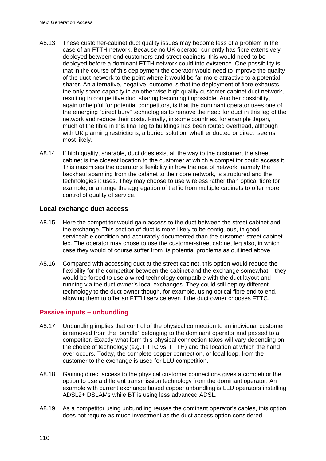- A8.13 These customer-cabinet duct quality issues may become less of a problem in the case of an FTTH network. Because no UK operator currently has fibre extensively deployed between end customers and street cabinets, this would need to be deployed before a dominant FTTH network could into existence. One possibility is that in the course of this deployment the operator would need to improve the quality of the duct network to the point where it would be far more attractive to a potential sharer. An alternative, negative, outcome is that the deployment of fibre exhausts the only spare capacity in an otherwise high quality customer-cabinet duct network, resulting in competitive duct sharing becoming impossible. Another possibility, again unhelpful for potential competitors, is that the dominant operator uses one of the emerging "direct bury" technologies to remove the need for duct in this leg of the network and reduce their costs. Finally, in some countries, for example Japan, much of the fibre in this final leg to buildings has been routed overhead, although with UK planning restrictions, a buried solution, whether ducted or direct, seems most likely.
- A8.14 If high quality, sharable, duct does exist all the way to the customer, the street cabinet is the closest location to the customer at which a competitor could access it. This maximises the operator's flexibility in how the rest of network, namely the backhaul spanning from the cabinet to their core network, is structured and the technologies it uses. They may choose to use wireless rather than optical fibre for example, or arrange the aggregation of traffic from multiple cabinets to offer more control of quality of service.

## **Local exchange duct access**

- A8.15 Here the competitor would gain access to the duct between the street cabinet and the exchange. This section of duct is more likely to be contiguous, in good serviceable condition and accurately documented than the customer-street cabinet leg. The operator may chose to use the customer-street cabinet leg also, in which case they would of course suffer from its potential problems as outlined above.
- A8.16 Compared with accessing duct at the street cabinet, this option would reduce the flexibility for the competitor between the cabinet and the exchange somewhat – they would be forced to use a wired technology compatible with the duct layout and running via the duct owner's local exchanges. They could still deploy different technology to the duct owner though, for example, using optical fibre end to end, allowing them to offer an FTTH service even if the duct owner chooses FTTC.

## **Passive inputs – unbundling**

- A8.17 Unbundling implies that control of the physical connection to an individual customer is removed from the "bundle" belonging to the dominant operator and passed to a competitor. Exactly what form this physical connection takes will vary depending on the choice of technology (e.g. FTTC vs. FTTH) and the location at which the hand over occurs. Today, the complete copper connection, or local loop, from the customer to the exchange is used for LLU competition.
- A8.18 Gaining direct access to the physical customer connections gives a competitor the option to use a different transmission technology from the dominant operator. An example with current exchange based copper unbundling is LLU operators installing ADSL2+ DSLAMs while BT is using less advanced ADSL.
- A8.19 As a competitor using unbundling reuses the dominant operator's cables, this option does not require as much investment as the duct access option considered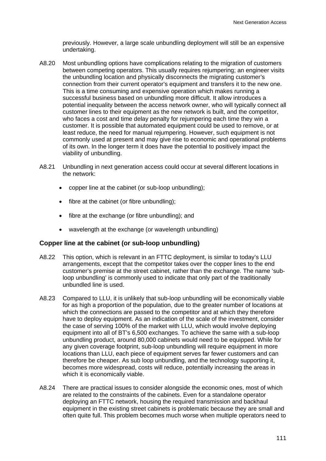previously. However, a large scale unbundling deployment will still be an expensive undertaking.

- A8.20 Most unbundling options have complications relating to the migration of customers between competing operators. This usually requires rejumpering; an engineer visits the unbundling location and physically disconnects the migrating customer's connection from their current operator's equipment and transfers it to the new one. This is a time consuming and expensive operation which makes running a successful business based on unbundling more difficult. It allow introduces a potential inequality between the access network owner, who will typically connect all customer lines to their equipment as the new network is built, and the competitor, who faces a cost and time delay penalty for rejumpering each time they win a customer. It is possible that automated equipment could be used to remove, or at least reduce, the need for manual rejumpering. However, such equipment is not commonly used at present and may give rise to economic and operational problems of its own. In the longer term it does have the potential to positively impact the viability of unbundling.
- A8.21 Unbundling in next generation access could occur at several different locations in the network:
	- copper line at the cabinet (or sub-loop unbundling);
	- fibre at the cabinet (or fibre unbundling);
	- fibre at the exchange (or fibre unbundling); and
	- wavelength at the exchange (or wavelength unbundling)

## **Copper line at the cabinet (or sub-loop unbundling)**

- A8.22 This option, which is relevant in an FTTC deployment, is similar to today's LLU arrangements, except that the competitor takes over the copper lines to the end customer's premise at the street cabinet, rather than the exchange. The name 'subloop unbundling' is commonly used to indicate that only part of the traditionally unbundled line is used.
- A8.23 Compared to LLU, it is unlikely that sub-loop unbundling will be economically viable for as high a proportion of the population, due to the greater number of locations at which the connections are passed to the competitor and at which they therefore have to deploy equipment. As an indication of the scale of the investment, consider the case of serving 100% of the market with LLU, which would involve deploying equipment into all of BT's 6,500 exchanges. To achieve the same with a sub-loop unbundling product, around 80,000 cabinets would need to be equipped. While for any given coverage footprint, sub-loop unbundling will require equipment in more locations than LLU, each piece of equipment serves far fewer customers and can therefore be cheaper. As sub loop unbundling, and the technology supporting it, becomes more widespread, costs will reduce, potentially increasing the areas in which it is economically viable.
- A8.24 There are practical issues to consider alongside the economic ones, most of which are related to the constraints of the cabinets. Even for a standalone operator deploying an FTTC network, housing the required transmission and backhaul equipment in the existing street cabinets is problematic because they are small and often quite full. This problem becomes much worse when multiple operators need to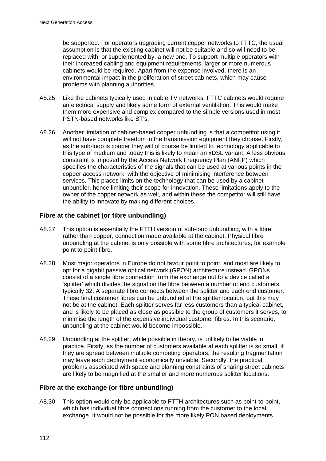be supported. For operators upgrading current copper networks to FTTC, the usual assumption is that the existing cabinet will not be suitable and so will need to be replaced with, or supplemented by, a new one. To support multiple operators with their increased cabling and equipment requirements, larger or more numerous cabinets would be required. Apart from the expense involved, there is an environmental impact in the proliferation of street cabinets, which may cause problems with planning authorities.

- A8.25 Like the cabinets typically used in cable TV networks, FTTC cabinets would require an electrical supply and likely some form of external ventilation. This would make them more expensive and complex compared to the simple versions used in most PSTN-based networks like BT's.
- A8.26 Another limitation of cabinet-based copper unbundling is that a competitor using it will not have complete freedom in the transmission equipment they choose. Firstly, as the sub-loop is cooper they will of course be limited to technology applicable to this type of medium and today this is likely to mean an xDSL variant. A less obvious constraint is imposed by the Access Network Frequency Plan (ANFP) which specifies the characteristics of the signals that can be used at various points in the copper access network, with the objective of minimising interference between services. This places limits on the technology that can be used by a cabinet unbundler, hence limiting their scope for innovation. These limitations apply to the owner of the copper network as well, and within these the competitor will still have the ability to innovate by making different choices.

## **Fibre at the cabinet (or fibre unbundling)**

- A8.27 This option is essentially the FTTH version of sub-loop unbundling, with a fibre, rather than copper, connection made available at the cabinet. Physical fibre unbundling at the cabinet is only possible with some fibre architectures, for example point to point fibre.
- A8.28 Most major operators in Europe do not favour point to point, and most are likely to opt for a gigabit passive optical network (GPON) architecture instead. GPONs consist of a single fibre connection from the exchange out to a device called a 'splitter' which divides the signal on the fibre between a number of end customers, typically 32. A separate fibre connects between the splitter and each end customer. These final customer fibres can be unbundled at the splitter location, but this may not be at the cabinet. Each splitter serves far less customers than a typical cabinet, and is likely to be placed as close as possible to the group of customers it serves, to minimise the length of the expensive individual customer fibres. In this scenario, unbundling at the cabinet would become impossible.
- A8.29 Unbundling at the splitter, while possible in theory, is unlikely to be viable in practice. Firstly, as the number of customers available at each splitter is so small, if they are spread between multiple competing operators, the resulting fragmentation may leave each deployment economically unviable. Secondly, the practical problems associated with space and planning constraints of sharing street cabinets are likely to be magnified at the smaller and more numerous splitter locations.

## **Fibre at the exchange (or fibre unbundling)**

A8.30 This option would only be applicable to FTTH architectures such as point-to-point, which has individual fibre connections running from the customer to the local exchange. It would not be possible for the more likely PON based deployments.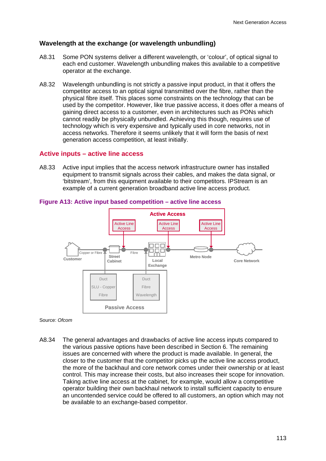## **Wavelength at the exchange (or wavelength unbundling)**

- A8.31 Some PON systems deliver a different wavelength, or 'colour', of optical signal to each end customer. Wavelength unbundling makes this available to a competitive operator at the exchange.
- A8.32 Wavelength unbundling is not strictly a passive input product, in that it offers the competitor access to an optical signal transmitted over the fibre, rather than the physical fibre itself. This places some constraints on the technology that can be used by the competitor. However, like true passive access, it does offer a means of gaining direct access to a customer, even in architectures such as PONs which cannot readily be physically unbundled. Achieving this though, requires use of technology which is very expensive and typically used in core networks, not in access networks. Therefore it seems unlikely that it will form the basis of next generation access competition, at least initially.

## **Active inputs – active line access**

A8.33 Active input implies that the access network infrastructure owner has installed equipment to transmit signals across their cables, and makes the data signal, or 'bitstream', from this equipment available to their competitors. IPStream is an example of a current generation broadband active line access product.



## **Figure A13: Active input based competition – active line access**

Source: *Ofcom*

A8.34 The general advantages and drawbacks of active line access inputs compared to the various passive options have been described in Section 6. The remaining issues are concerned with where the product is made available. In general, the closer to the customer that the competitor picks up the active line access product, the more of the backhaul and core network comes under their ownership or at least control. This may increase their costs, but also increases their scope for innovation. Taking active line access at the cabinet, for example, would allow a competitive operator building their own backhaul network to install sufficient capacity to ensure an uncontended service could be offered to all customers, an option which may not be available to an exchange-based competitor.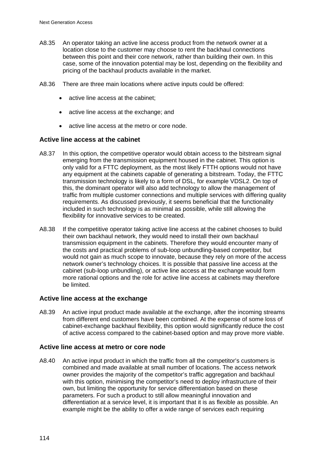- A8.35 An operator taking an active line access product from the network owner at a location close to the customer may choose to rent the backhaul connections between this point and their core network, rather than building their own. In this case, some of the innovation potential may be lost, depending on the flexibility and pricing of the backhaul products available in the market.
- A8.36 There are three main locations where active inputs could be offered:
	- active line access at the cabinet;
	- active line access at the exchange; and
	- active line access at the metro or core node.

#### **Active line access at the cabinet**

- A8.37 In this option, the competitive operator would obtain access to the bitstream signal emerging from the transmission equipment housed in the cabinet. This option is only valid for a FTTC deployment, as the most likely FTTH options would not have any equipment at the cabinets capable of generating a bitstream. Today, the FTTC transmission technology is likely to a form of DSL, for example VDSL2. On top of this, the dominant operator will also add technology to allow the management of traffic from multiple customer connections and multiple services with differing quality requirements. As discussed previously, it seems beneficial that the functionality included in such technology is as minimal as possible, while still allowing the flexibility for innovative services to be created.
- A8.38 If the competitive operator taking active line access at the cabinet chooses to build their own backhaul network, they would need to install their own backhaul transmission equipment in the cabinets. Therefore they would encounter many of the costs and practical problems of sub-loop unbundling-based competitor, but would not gain as much scope to innovate, because they rely on more of the access network owner's technology choices. It is possible that passive line access at the cabinet (sub-loop unbundling), or active line access at the exchange would form more rational options and the role for active line access at cabinets may therefore be limited.

#### **Active line access at the exchange**

A8.39 An active input product made available at the exchange, after the incoming streams from different end customers have been combined. At the expense of some loss of cabinet-exchange backhaul flexibility, this option would significantly reduce the cost of active access compared to the cabinet-based option and may prove more viable.

#### **Active line access at metro or core node**

A8.40 An active input product in which the traffic from all the competitor's customers is combined and made available at small number of locations. The access network owner provides the majority of the competitor's traffic aggregation and backhaul with this option, minimising the competitor's need to deploy infrastructure of their own, but limiting the opportunity for service differentiation based on these parameters. For such a product to still allow meaningful innovation and differentiation at a service level, it is important that it is as flexible as possible. An example might be the ability to offer a wide range of services each requiring